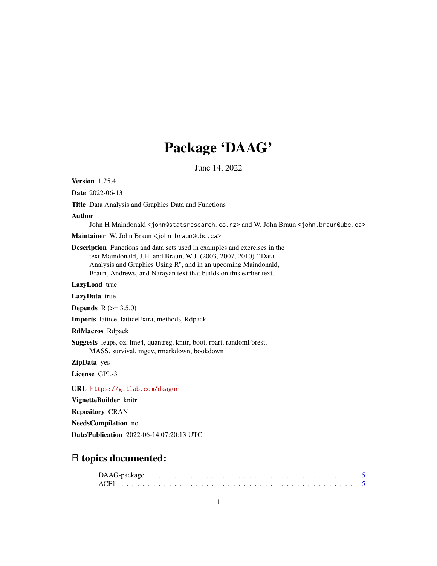# Package 'DAAG'

June 14, 2022

<span id="page-0-0"></span>Version 1.25.4

Date 2022-06-13

Title Data Analysis and Graphics Data and Functions

#### Author

John H Maindonald <john@statsresearch.co.nz> and W. John Braun <john.braun@ubc.ca>

Maintainer W. John Braun <john.braun@ubc.ca>

Description Functions and data sets used in examples and exercises in the text Maindonald, J.H. and Braun, W.J. (2003, 2007, 2010) ``Data Analysis and Graphics Using R'', and in an upcoming Maindonald, Braun, Andrews, and Narayan text that builds on this earlier text.

LazyLoad true

LazyData true

**Depends** R  $(>= 3.5.0)$ 

Imports lattice, latticeExtra, methods, Rdpack

RdMacros Rdpack

Suggests leaps, oz, lme4, quantreg, knitr, boot, rpart, randomForest, MASS, survival, mgcv, rmarkdown, bookdown

ZipData yes

License GPL-3

URL <https://gitlab.com/daagur>

VignetteBuilder knitr

Repository CRAN

NeedsCompilation no

Date/Publication 2022-06-14 07:20:13 UTC

# R topics documented: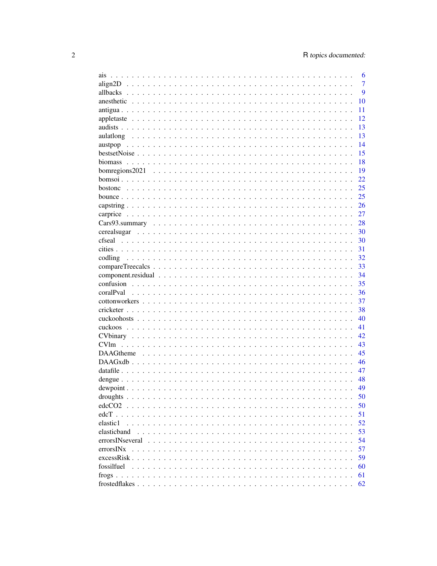| ais                            | 6              |
|--------------------------------|----------------|
| $align2D                     $ | $\overline{7}$ |
|                                | 9              |
|                                | 10             |
|                                | 11             |
|                                | 12             |
|                                | 13             |
|                                | 13             |
|                                | 14             |
|                                | 15             |
|                                | 18             |
| bomregions2021                 | 19             |
|                                | 22             |
|                                | 25             |
|                                | 25             |
|                                | 26             |
|                                | 27             |
|                                | 28             |
|                                | 30             |
|                                | 30             |
|                                | 31             |
| codling                        | 32             |
|                                | 33             |
|                                | 34             |
|                                | 35             |
|                                | 36             |
|                                | 37             |
|                                | 38             |
|                                | 40             |
|                                | 41             |
|                                |                |
|                                | 42             |
| CV <sub>lm</sub>               | 43             |
|                                | 45             |
|                                | 46             |
|                                | 47             |
|                                | 48             |
|                                | 49             |
| droughts.                      | 50             |
| edcCO <sub>2</sub>             | 50             |
| $edcT$                         | 51             |
| elastic1                       | 52             |
| elasticband                    | 53             |
|                                | 54             |
| errorsINx                      | 57             |
|                                | 59             |
| fossilfuel                     | 60             |
|                                | 61             |
|                                | 62             |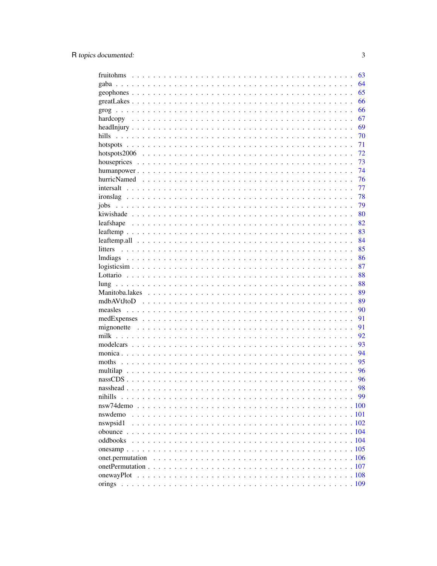|               | 63 |
|---------------|----|
|               | 64 |
|               | 65 |
|               | 66 |
|               | 66 |
|               | 67 |
|               | 69 |
| hills         | 70 |
|               | 71 |
|               | 72 |
|               | 73 |
|               | 74 |
|               | 76 |
|               | 77 |
|               | 78 |
| jobs          | 79 |
|               | 80 |
|               | 82 |
|               | 83 |
|               | 84 |
|               | 85 |
|               |    |
|               | 86 |
| $logisticsim$ | 87 |
|               | 88 |
|               | 88 |
|               | 89 |
|               | 89 |
|               | 90 |
|               | 91 |
|               | 91 |
|               | 92 |
|               | 93 |
|               | 94 |
|               | 95 |
|               | 96 |
|               | 96 |
|               | 98 |
| nihills       | 99 |
|               |    |
| nswdemo       |    |
| nswpsid1      |    |
|               |    |
|               |    |
|               |    |
|               |    |
|               |    |
| onewayPlot    |    |
|               |    |
|               |    |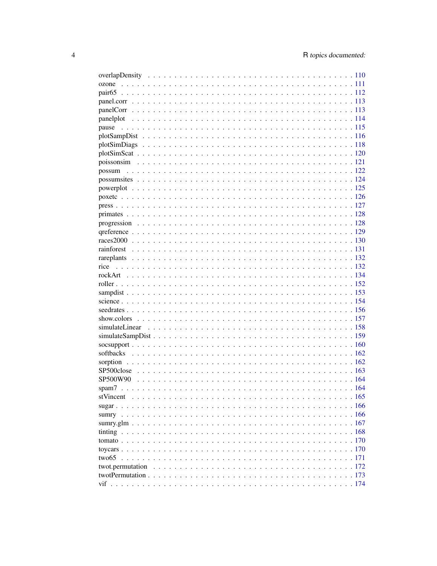| pause |  |
|-------|--|
|       |  |
|       |  |
|       |  |
|       |  |
|       |  |
|       |  |
|       |  |
|       |  |
|       |  |
|       |  |
|       |  |
|       |  |
|       |  |
|       |  |
|       |  |
|       |  |
|       |  |
|       |  |
|       |  |
|       |  |
|       |  |
|       |  |
|       |  |
|       |  |
|       |  |
|       |  |
|       |  |
|       |  |
|       |  |
|       |  |
|       |  |
|       |  |
|       |  |
|       |  |
|       |  |
|       |  |
|       |  |
|       |  |
|       |  |
|       |  |
|       |  |
|       |  |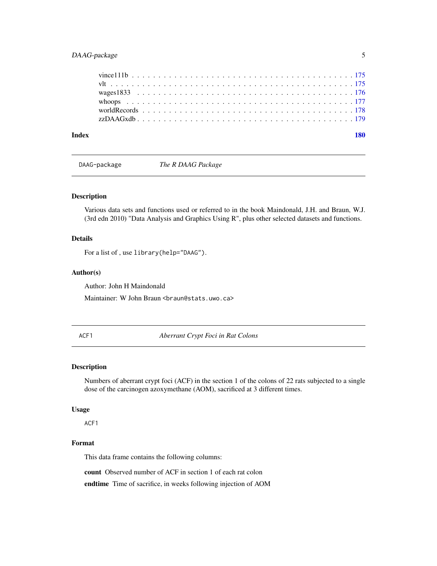# <span id="page-4-0"></span>DAAG-package 5

| Index |  |  |  |  |  |  |  |  |  |  |  |  |  |  |  |  |  |
|-------|--|--|--|--|--|--|--|--|--|--|--|--|--|--|--|--|--|
|       |  |  |  |  |  |  |  |  |  |  |  |  |  |  |  |  |  |
|       |  |  |  |  |  |  |  |  |  |  |  |  |  |  |  |  |  |
|       |  |  |  |  |  |  |  |  |  |  |  |  |  |  |  |  |  |
|       |  |  |  |  |  |  |  |  |  |  |  |  |  |  |  |  |  |
|       |  |  |  |  |  |  |  |  |  |  |  |  |  |  |  |  |  |
|       |  |  |  |  |  |  |  |  |  |  |  |  |  |  |  |  |  |

DAAG-package *The R DAAG Package*

# Description

Various data sets and functions used or referred to in the book Maindonald, J.H. and Braun, W.J. (3rd edn 2010) "Data Analysis and Graphics Using R", plus other selected datasets and functions.

#### Details

For a list of , use library(help="DAAG").

#### Author(s)

Author: John H Maindonald Maintainer: W John Braun <br />
stats.uwo.ca>

ACF1 *Aberrant Crypt Foci in Rat Colons*

#### Description

Numbers of aberrant crypt foci (ACF) in the section 1 of the colons of 22 rats subjected to a single dose of the carcinogen azoxymethane (AOM), sacrificed at 3 different times.

#### Usage

ACF1

# Format

This data frame contains the following columns:

count Observed number of ACF in section 1 of each rat colon

endtime Time of sacrifice, in weeks following injection of AOM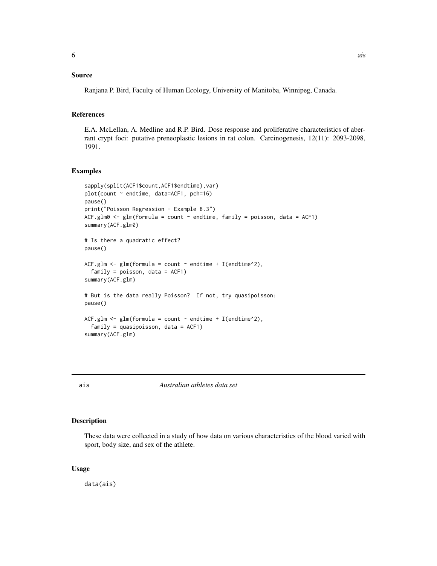# <span id="page-5-0"></span>Source

Ranjana P. Bird, Faculty of Human Ecology, University of Manitoba, Winnipeg, Canada.

#### References

E.A. McLellan, A. Medline and R.P. Bird. Dose response and proliferative characteristics of aberrant crypt foci: putative preneoplastic lesions in rat colon. Carcinogenesis, 12(11): 2093-2098, 1991.

# Examples

```
sapply(split(ACF1$count,ACF1$endtime), var)
plot(count ~ endtime, data=ACF1, pch=16)
pause()
print("Poisson Regression - Example 8.3")
ACF.glm0 \leq glm(formula = count \sim endtime, family = poisson, data = ACF1)
summary(ACF.glm0)
# Is there a quadratic effect?
pause()
ACF.glm \leq glm(formula = count \sim endtime + I(endtime^2),
  family = poisson, data = ACF1)
summary(ACF.glm)
# But is the data really Poisson? If not, try quasipoisson:
pause()
ACF.glm <- glm(formula = count \sim endtime + I(endtime^2),
  family = quasipoisson, data = ACF1)summary(ACF.glm)
```
ais *Australian athletes data set*

# Description

These data were collected in a study of how data on various characteristics of the blood varied with sport, body size, and sex of the athlete.

#### Usage

data(ais)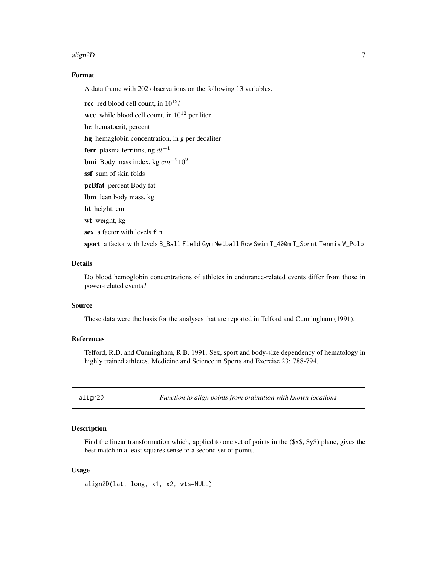#### <span id="page-6-0"></span>align2D 7

# Format

A data frame with 202 observations on the following 13 variables.

**rcc** red blood cell count, in  $10^{12}l^{-1}$ wcc while blood cell count, in  $10^{12}$  per liter hc hematocrit, percent hg hemaglobin concentration, in g per decaliter

ferr plasma ferritins, ng  $dl^{-1}$ 

bmi Body mass index, kg cm−210<sup>2</sup>

ssf sum of skin folds

pcBfat percent Body fat

lbm lean body mass, kg

ht height, cm

wt weight, kg

sex a factor with levels f m

sport a factor with levels B\_Ball Field Gym Netball Row Swim T\_400m T\_Sprnt Tennis W\_Polo

# Details

Do blood hemoglobin concentrations of athletes in endurance-related events differ from those in power-related events?

#### Source

These data were the basis for the analyses that are reported in Telford and Cunningham (1991).

#### References

Telford, R.D. and Cunningham, R.B. 1991. Sex, sport and body-size dependency of hematology in highly trained athletes. Medicine and Science in Sports and Exercise 23: 788-794.

align2D *Function to align points from ordination with known locations*

# Description

Find the linear transformation which, applied to one set of points in the  $(\$x$, \$y$) plane, gives the$ best match in a least squares sense to a second set of points.

# Usage

align2D(lat, long, x1, x2, wts=NULL)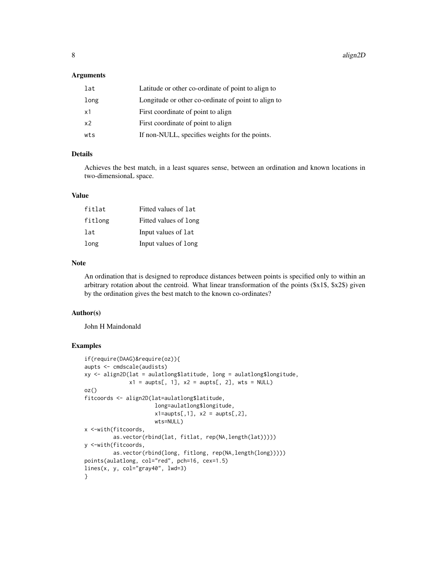#### **Arguments**

| lat            | Latitude or other co-ordinate of point to align to  |
|----------------|-----------------------------------------------------|
| long           | Longitude or other co-ordinate of point to align to |
| x1             | First coordinate of point to align                  |
| x <sub>2</sub> | First coordinate of point to align                  |
| wts            | If non-NULL, specifies weights for the points.      |

# Details

Achieves the best match, in a least squares sense, between an ordination and known locations in two-dimensionaL space.

#### Value

| fitlat  | Fitted values of lat  |
|---------|-----------------------|
| fitlong | Fitted values of long |
| lat     | Input values of lat   |
| long    | Input values of long  |

# Note

An ordination that is designed to reproduce distances between points is specified only to within an arbitrary rotation about the centroid. What linear transformation of the points (\$x1\$, \$x2\$) given by the ordination gives the best match to the known co-ordinates?

#### Author(s)

John H Maindonald

```
if(require(DAAG)&require(oz)){
aupts <- cmdscale(audists)
xy <- align2D(lat = aulatlong$latitude, long = aulatlong$longitude,
              x1 = \text{aupts}[, 1], x2 = \text{aupts}[, 2], wts = NULLoz()
fitcoords <- align2D(lat=aulatlong$latitude,
                      long=aulatlong$longitude,
                      x1=aupts[,1], x2 =aupts[,2],
                      wts=NULL)
x <-with(fitcoords,
         as.vector(rbind(lat, fitlat, rep(NA,length(lat)))))
y <-with(fitcoords,
         as.vector(rbind(long, fitlong, rep(NA,length(long)))))
points(aulatlong, col="red", pch=16, cex=1.5)
lines(x, y, col="gray40", lwd=3)}
```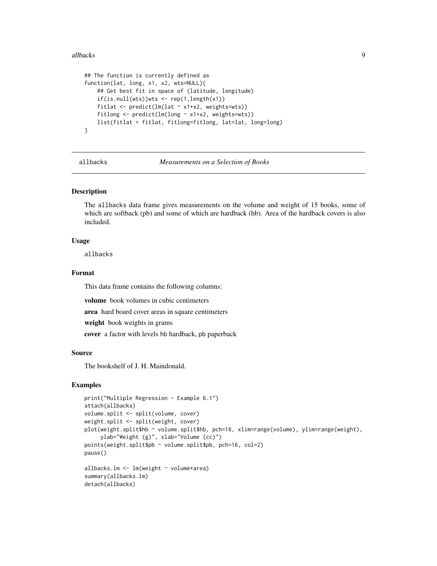#### <span id="page-8-0"></span>allbacks **9**

```
## The function is currently defined as
function(lat, long, x1, x2, wts=NULL){
    ## Get best fit in space of (latitude, longitude)
    if(is.null(wts))wts < - rep(1, length(x1))fitlat <- predict(lm(lat ~ x1+x2, weights=wts))
   fitlong <- predict(lm(long ~ x1+x2, weights=wts))
   list(fitlat = fitlat, fitlong=fitlong, lat=lat, long=long)
}
```
allbacks *Measurements on a Selection of Books*

#### Description

The allbacks data frame gives measurements on the volume and weight of 15 books, some of which are softback (pb) and some of which are hardback (hb). Area of the hardback covers is also included.

#### Usage

allbacks

#### Format

This data frame contains the following columns:

volume book volumes in cubic centimeters

area hard board cover areas in square centimeters

weight book weights in grams

cover a factor with levels hb hardback, pb paperback

# Source

The bookshelf of J. H. Maindonald.

```
print("Multiple Regression - Example 6.1")
attach(allbacks)
volume.split <- split(volume, cover)
weight.split <- split(weight, cover)
plot(weight.split$hb ~ volume.split$hb, pch=16, xlim=range(volume), ylim=range(weight),
     ylab="Weight (g)", xlab="Volume (cc)")
points(weight.split$pb ~ volume.split$pb, pch=16, col=2)
pause()
allbacks.lm <- lm(weight ~ volume+area)
summary(allbacks.lm)
detach(allbacks)
```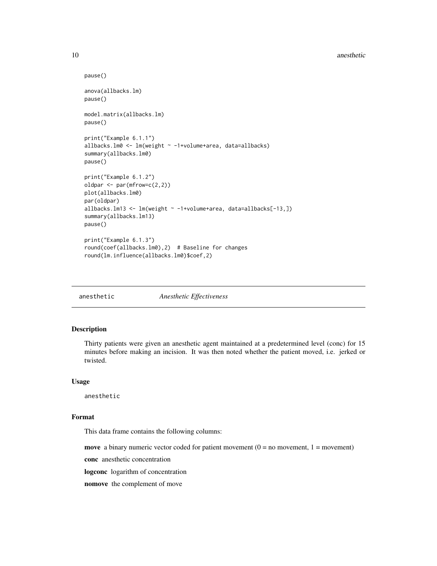#### <span id="page-9-0"></span>10 anesthetic and the state of the state of the state of the state of the state of the state of the state of the state of the state of the state of the state of the state of the state of the state of the state of the state

```
pause()
anova(allbacks.lm)
pause()
model.matrix(allbacks.lm)
pause()
print("Example 6.1.1")
allbacks.lm0 <- lm(weight ~ -1+volume+area, data=allbacks)
summary(allbacks.lm0)
pause()
print("Example 6.1.2")
oldpar <- par(mfrow=c(2,2))
plot(allbacks.lm0)
par(oldpar)
allbacks.lm13 <- lm(weight ~ -1+volume+area, data=allbacks[-13,])
summary(allbacks.lm13)
pause()
print("Example 6.1.3")
round(coef(allbacks.lm0),2) # Baseline for changes
round(lm.influence(allbacks.lm0)$coef,2)
```
anesthetic *Anesthetic Effectiveness*

# Description

Thirty patients were given an anesthetic agent maintained at a predetermined level (conc) for 15 minutes before making an incision. It was then noted whether the patient moved, i.e. jerked or twisted.

#### Usage

anesthetic

# Format

This data frame contains the following columns:

move a binary numeric vector coded for patient movement  $(0 = no$  movement,  $1 = movement$ )

conc anesthetic concentration

logconc logarithm of concentration

nomove the complement of move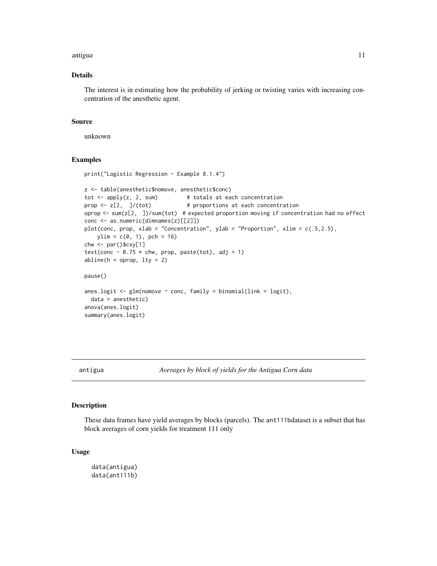#### <span id="page-10-0"></span>antigua 11

# Details

The interest is in estimating how the probability of jerking or twisting varies with increasing concentration of the anesthetic agent.

# Source

unknown

#### Examples

```
print("Logistic Regression - Example 8.1.4")
z <- table(anesthetic$nomove, anesthetic$conc)
tot \leq apply(z, 2, sum) # totals at each concentration
prop \leq z[2, ]/(tot) # proportions at each concentration
oprop <- sum(z[2, ])/sum(tot) # expected proportion moving if concentration had no effect
conc <- as.numeric(dimnames(z)[[2]])
plot(conc, prop, xlab = "Concentration", ylab = "Proportion", xlim = c(.5, 2.5),
   ylim = c(0, 1), pch = 16)
chw <- par()$cxy[1]
text(conc - 0.75 \times chw, prop, paste(tot), adj = 1)
abline(h = opp, lty = 2)pause()
anes.logit \leq glm(nomove \sim conc, family = binomial(link = logit),
  data = anesthetic)
anova(anes.logit)
summary(anes.logit)
```
antigua *Averages by block of yields for the Antigua Corn data*

#### Description

These data frames have yield averages by blocks (parcels). The ant111bdataset is a subset that has block averages of corn yields for treatment 111 only

#### Usage

data(antigua) data(ant111b)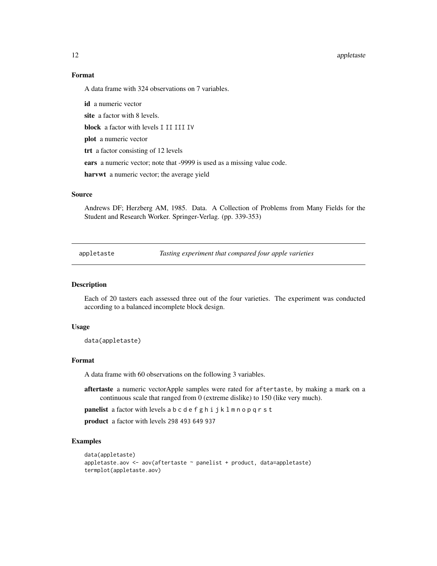#### 12 appletaste to the contract of the contract of the contract of the contract of the contract of the contract of the contract of the contract of the contract of the contract of the contract of the contract of the contract

# Format

A data frame with 324 observations on 7 variables.

id a numeric vector site a factor with 8 levels. block a factor with levels I II III IV plot a numeric vector trt a factor consisting of 12 levels ears a numeric vector; note that -9999 is used as a missing value code. harvwt a numeric vector; the average yield

# Source

Andrews DF; Herzberg AM, 1985. Data. A Collection of Problems from Many Fields for the Student and Research Worker. Springer-Verlag. (pp. 339-353)

appletaste *Tasting experiment that compared four apple varieties*

#### Description

Each of 20 tasters each assessed three out of the four varieties. The experiment was conducted according to a balanced incomplete block design.

# Usage

data(appletaste)

#### Format

A data frame with 60 observations on the following 3 variables.

aftertaste a numeric vectorApple samples were rated for aftertaste, by making a mark on a continuous scale that ranged from 0 (extreme dislike) to 150 (like very much).

panelist a factor with levels a b c d e f g h i j k l m n o p q r s t

product a factor with levels 298 493 649 937

```
data(appletaste)
appletaste.aov <- aov(aftertaste ~ panelist + product, data=appletaste)
termplot(appletaste.aov)
```
<span id="page-11-0"></span>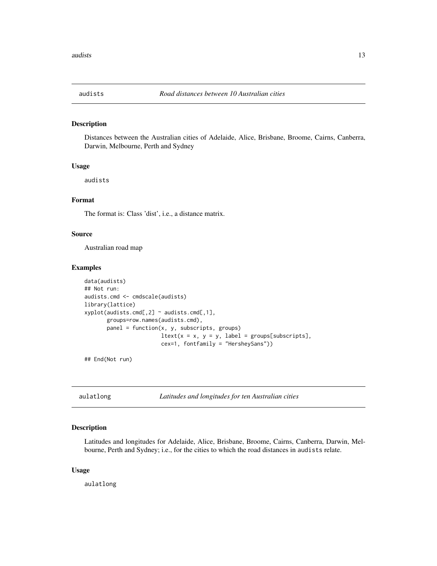<span id="page-12-0"></span>

#### Description

Distances between the Australian cities of Adelaide, Alice, Brisbane, Broome, Cairns, Canberra, Darwin, Melbourne, Perth and Sydney

#### Usage

audists

# Format

The format is: Class 'dist', i.e., a distance matrix.

#### Source

Australian road map

# Examples

```
data(audists)
## Not run:
audists.cmd <- cmdscale(audists)
library(lattice)
xyplot(audists.cmd[,2] ~ audists.cmd[,1],
      groups=row.names(audists.cmd),
      panel = function(x, y, subsets, groups)ltext(x = x, y = y, label = groups[subscripts],cex=1, fontfamily = "HersheySans"))
```
## End(Not run)

aulatlong *Latitudes and longitudes for ten Australian cities*

#### Description

Latitudes and longitudes for Adelaide, Alice, Brisbane, Broome, Cairns, Canberra, Darwin, Melbourne, Perth and Sydney; i.e., for the cities to which the road distances in audists relate.

#### Usage

aulatlong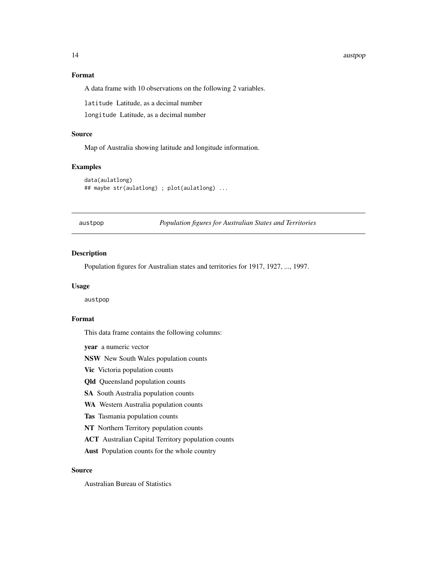#### <span id="page-13-0"></span>14 austrophen austrophen austrophen austrophen austrophen austrophen austrophen austrophen austrophen austroph

# Format

A data frame with 10 observations on the following 2 variables.

latitude Latitude, as a decimal number

longitude Latitude, as a decimal number

# Source

Map of Australia showing latitude and longitude information.

#### Examples

```
data(aulatlong)
## maybe str(aulatlong) ; plot(aulatlong) ...
```
austpop *Population figures for Australian States and Territories*

# Description

Population figures for Australian states and territories for 1917, 1927, ..., 1997.

#### Usage

austpop

#### Format

This data frame contains the following columns:

year a numeric vector

NSW New South Wales population counts

Vic Victoria population counts

Qld Queensland population counts

SA South Australia population counts

WA Western Australia population counts

Tas Tasmania population counts

NT Northern Territory population counts

ACT Australian Capital Territory population counts

Aust Population counts for the whole country

# Source

Australian Bureau of Statistics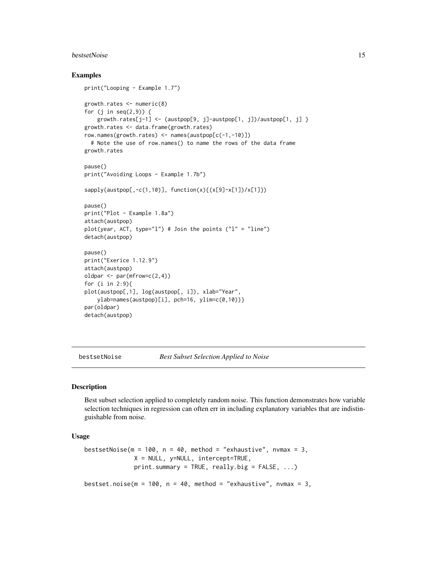#### <span id="page-14-0"></span>bestsetNoise 15

#### Examples

```
print("Looping - Example 1.7")
growth.rates <- numeric(8)
for (j in seq(2,9)) {
    growth.rates[j-1] <- (austpop[9, j]-austpop[1, j])/austpop[1, j] }
growth.rates <- data.frame(growth.rates)
row.names(growth.rates) <- names(austpop[c(-1,-10)])
  # Note the use of row.names() to name the rows of the data frame
growth.rates
pause()
print("Avoiding Loops - Example 1.7b")
sapply(austpop[,-c(1,10)], function(x){(x[9]-x[1])/x[1]})
pause()
print("Plot - Example 1.8a")
attach(austpop)
plot(year, ACT, type="l") # Join the points ("l" = "line")
detach(austpop)
pause()
print("Exerice 1.12.9")
attach(austpop)
oldpar <- par(mfrow=c(2,4))
for (i in 2:9){
plot(austpop[,1], log(austpop[, i]), xlab="Year",
   ylab=names(austpop)[i], pch=16, ylim=c(0,10))}
par(oldpar)
detach(austpop)
```
bestsetNoise *Best Subset Selection Applied to Noise*

#### Description

Best subset selection applied to completely random noise. This function demonstrates how variable selection techniques in regression can often err in including explanatory variables that are indistinguishable from noise.

#### Usage

```
bestsetNoise(m = 100, n = 40, method = "exhaustive", nvmax = 3,
              X = NULL, y = NULL, intercept=TRUE,
              print.summary = TRUE, really.big = FALSE, ...)
bestset.noise(m = 100, n = 40, method = "exhaustive", nvmax = 3,
```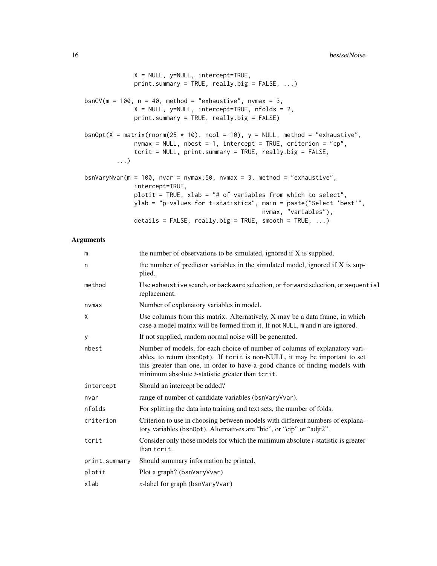```
X = NULL, y=NULL, intercept=TRUE,
              print.summary = TRUE, really.big = FALSE, ...)
bsnCV(m = 100, n = 40, method = "exhaustive", nvmax = 3,
              X = NULL, y=NULL, intercept=TRUE, nfolds = 2,
              print.summary = TRUE, really.big = FALSE)
bsnOpt(X = matrix(rnorm(25 \star 10), ncol = 10), y = NULL, method = "exhaustive",
             nvmax = NULL, nbest = 1, intercept = TRUE, criterion = "cp",tcrit = NULL, print.summary = TRUE, really.big = FALSE,
         ...)
bsnVaryNvar(m = 100, nvar = nvmax:50, nvmax = 3, method = "exhaustive",
              intercept=TRUE,
              plotit = TRUE, xlab = "# of variables from which to select",
              ylab = "p-values for t-statistics", main = paste("Select 'best'",
                                                  nvmax, "variables"),
              details = FALSE, really.big = TRUE, smooth = TRUE, \ldots)
```
# Arguments

| m             | the number of observations to be simulated, ignored if $X$ is supplied.                                                                                                                                                                                                                                |
|---------------|--------------------------------------------------------------------------------------------------------------------------------------------------------------------------------------------------------------------------------------------------------------------------------------------------------|
| n             | the number of predictor variables in the simulated model, ignored if X is sup-<br>plied.                                                                                                                                                                                                               |
| method        | Use exhaustive search, or backward selection, or forward selection, or sequential<br>replacement.                                                                                                                                                                                                      |
| nvmax         | Number of explanatory variables in model.                                                                                                                                                                                                                                                              |
| X             | Use columns from this matrix. Alternatively, X may be a data frame, in which<br>case a model matrix will be formed from it. If not NULL, m and n are ignored.                                                                                                                                          |
| У             | If not supplied, random normal noise will be generated.                                                                                                                                                                                                                                                |
| nbest         | Number of models, for each choice of number of columns of explanatory vari-<br>ables, to return (bsn0pt). If tcrit is non-NULL, it may be important to set<br>this greater than one, in order to have a good chance of finding models with<br>minimum absolute <i>t</i> -statistic greater than tcrit. |
| intercept     | Should an intercept be added?                                                                                                                                                                                                                                                                          |
| nvar          | range of number of candidate variables (bsnVaryVvar).                                                                                                                                                                                                                                                  |
| nfolds        | For splitting the data into training and text sets, the number of folds.                                                                                                                                                                                                                               |
| criterion     | Criterion to use in choosing between models with different numbers of explana-<br>tory variables (bsn0pt). Alternatives are "bic", or "cip" or "adjr2".                                                                                                                                                |
| tcrit         | Consider only those models for which the minimum absolute $t$ -statistic is greater<br>than tcrit.                                                                                                                                                                                                     |
| print.summary | Should summary information be printed.                                                                                                                                                                                                                                                                 |
| plotit        | Plot a graph? (bsnVaryVvar)                                                                                                                                                                                                                                                                            |
| xlab          | $x$ -label for graph (bsnVaryVvar)                                                                                                                                                                                                                                                                     |
|               |                                                                                                                                                                                                                                                                                                        |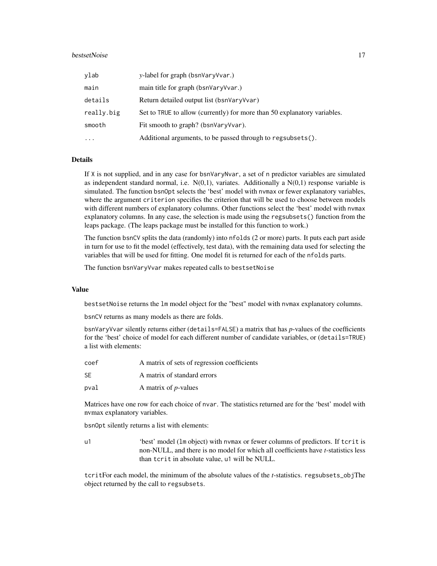#### bestsetNoise 17

| ylab       | y-label for graph (bsnVaryVvar.)                                         |
|------------|--------------------------------------------------------------------------|
| main       | main title for graph (bsnVaryVvar.)                                      |
| details    | Return detailed output list (bsnVaryVvar)                                |
| really.big | Set to TRUE to allow (currently) for more than 50 explanatory variables. |
| smooth     | Fit smooth to graph? (bsnVaryVvar).                                      |
| $\cdots$   | Additional arguments, to be passed through to regsubsets().              |

#### **Details**

If X is not supplied, and in any case for bsnVaryNvar, a set of n predictor variables are simulated as independent standard normal, i.e.  $N(0,1)$ , variates. Additionally a  $N(0,1)$  response variable is simulated. The function bsnOpt selects the 'best' model with nvmax or fewer explanatory variables, where the argument criterion specifies the criterion that will be used to choose between models with different numbers of explanatory columns. Other functions select the 'best' model with nvmax explanatory columns. In any case, the selection is made using the regsubsets() function from the leaps package. (The leaps package must be installed for this function to work.)

The function bsnCV splits the data (randomly) into nfolds (2 or more) parts. It puts each part aside in turn for use to fit the model (effectively, test data), with the remaining data used for selecting the variables that will be used for fitting. One model fit is returned for each of the nfolds parts.

The function bsnVaryVvar makes repeated calls to bestsetNoise

#### Value

bestsetNoise returns the lm model object for the "best" model with nvmax explanatory columns.

bsnCV returns as many models as there are folds.

bsnVaryVvar silently returns either (details=FALSE) a matrix that has *p*-values of the coefficients for the 'best' choice of model for each different number of candidate variables, or (details=TRUE) a list with elements:

| coef | A matrix of sets of regression coefficients |
|------|---------------------------------------------|
| SF.  | A matrix of standard errors                 |
| pval | A matrix of <i>p</i> -values                |

Matrices have one row for each choice of nvar. The statistics returned are for the 'best' model with nvmax explanatory variables.

bsnOpt silently returns a list with elements:

u1 'best' model (lm object) with nvmax or fewer columns of predictors. If tcrit is non-NULL, and there is no model for which all coefficients have *t*-statistics less than tcrit in absolute value, u1 will be NULL.

tcritFor each model, the minimum of the absolute values of the *t*-statistics. regsubsets\_objThe object returned by the call to regsubsets.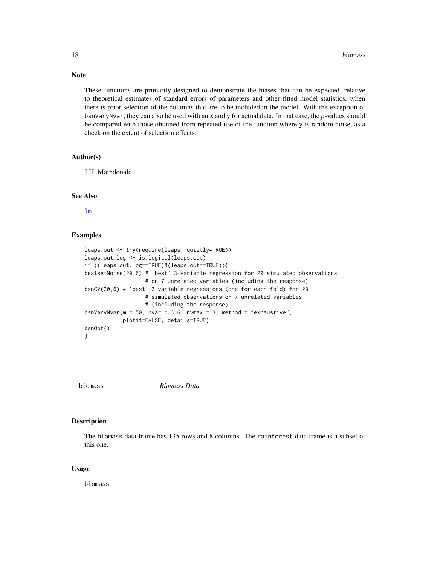These functions are primarily designed to demonstrate the biases that can be expected, relative to theoretical estimates of standard errors of parameters and other fitted model statistics, when there is prior selection of the columns that are to be included in the model. With the exception of bsnVaryNvar, they can also be used with an X and y for actual data. In that case, the *p*-values should be compared with those obtained from repeated use of the function where y is random noise, as a check on the extent of selection effects.

#### Author(s)

J.H. Maindonald

#### See Also

[lm](#page-0-0)

#### Examples

```
leaps.out <- try(require(leaps, quietly=TRUE))
leaps.out.log <- is.logical(leaps.out)
if ((leaps.out.log==TRUE)&(leaps.out==TRUE)){
bestsetNoise(20,6) # `best' 3-variable regression for 20 simulated observations
                   # on 7 unrelated variables (including the response)
bsnCV(20,6) # `best' 3-variable regressions (one for each fold) for 20
                   # simulated observations on 7 unrelated variables
                   # (including the response)
bsnVaryNvar(m = 50, nvar = 3:6, nvmax = 3, method = "exhaustive",
            plotit=FALSE, details=TRUE)
bsnOpt()
}
```
biomass *Biomass Data*

#### Description

The biomass data frame has 135 rows and 8 columns. The rainforest data frame is a subset of this one.

#### Usage

biomass

# <span id="page-17-0"></span>Note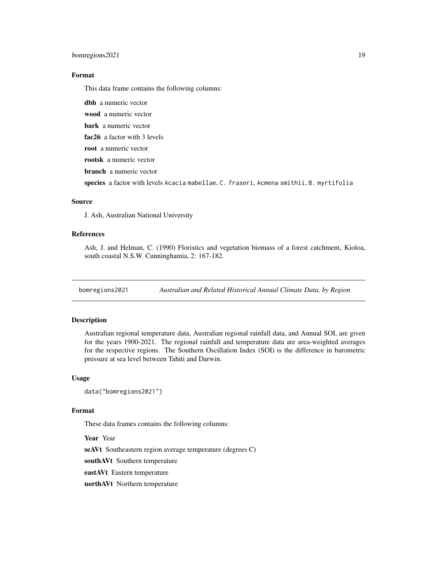# <span id="page-18-0"></span>bomregions2021 19

#### Format

This data frame contains the following columns:

dbh a numeric vector wood a numeric vector bark a numeric vector fac26 a factor with 3 levels root a numeric vector rootsk a numeric vector branch a numeric vector species a factor with levels Acacia mabellae, C. fraseri, Acmena smithii, B. myrtifolia

# Source

J. Ash, Australian National University

# References

Ash, J. and Helman, C. (1990) Floristics and vegetation biomass of a forest catchment, Kioloa, south coastal N.S.W. Cunninghamia, 2: 167-182.

bomregions2021 *Australian and Related Historical Annual Climate Data, by Region*

#### Description

Australian regional temperature data, Australian regional rainfall data, and Annual SOI, are given for the years 1900-2021. The regional rainfall and temperature data are area-weighted averages for the respective regions. The Southern Oscillation Index (SOI) is the difference in barometric pressure at sea level between Tahiti and Darwin.

#### Usage

```
data("bomregions2021")
```
#### Format

These data frames contains the following columns:

Year Year seAVt Southeastern region average temperature (degrees C) southAVt Southern temperature eastAVt Eastern temperature northAVt Northern temperature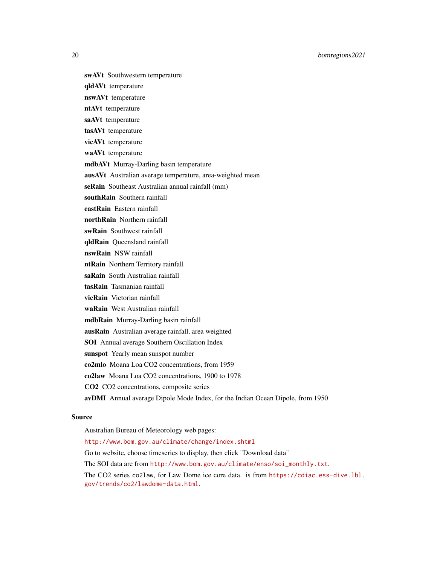20 bomregions2021

- swAVt Southwestern temperature
- qldAVt temperature
- nswAVt temperature
- ntAVt temperature
- saAVt temperature
- tasAVt temperature
- vicAVt temperature
- waAVt temperature
- mdbAVt Murray-Darling basin temperature
- ausAVt Australian average temperature, area-weighted mean
- seRain Southeast Australian annual rainfall (mm)
- southRain Southern rainfall
- eastRain Eastern rainfall
- northRain Northern rainfall
- swRain Southwest rainfall
- qldRain Queensland rainfall
- nswRain NSW rainfall
- ntRain Northern Territory rainfall
- saRain South Australian rainfall
- tasRain Tasmanian rainfall
- vicRain Victorian rainfall
- waRain West Australian rainfall
- mdbRain Murray-Darling basin rainfall
- ausRain Australian average rainfall, area weighted
- SOI Annual average Southern Oscillation Index
- sunspot Yearly mean sunspot number
- co2mlo Moana Loa CO2 concentrations, from 1959
- co2law Moana Loa CO2 concentrations, 1900 to 1978
- CO2 CO2 concentrations, composite series
- avDMI Annual average Dipole Mode Index, for the Indian Ocean Dipole, from 1950

#### Source

Australian Bureau of Meteorology web pages: <http://www.bom.gov.au/climate/change/index.shtml> Go to website, choose timeseries to display, then click "Download data" The SOI data are from [http://www.bom.gov.au/climate/enso/soi\\_monthly.txt](http://www.bom.gov.au/climate/enso/soi_monthly.txt). The CO2 series co2law, for Law Dome ice core data. is from [https://cdiac.ess-dive.lbl.](https://cdiac.ess-dive.lbl.gov/trends/co2/lawdome-data.html) [gov/trends/co2/lawdome-data.html](https://cdiac.ess-dive.lbl.gov/trends/co2/lawdome-data.html).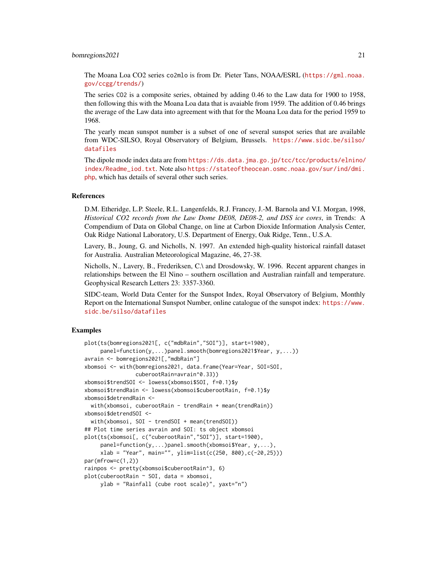#### bomregions2021 21

The Moana Loa CO2 series co2mlo is from Dr. Pieter Tans, NOAA/ESRL ([https://gml.noaa.](https://gml.noaa.gov/ccgg/trends/) [gov/ccgg/trends/](https://gml.noaa.gov/ccgg/trends/))

The series CO2 is a composite series, obtained by adding 0.46 to the Law data for 1900 to 1958, then following this with the Moana Loa data that is avaiable from 1959. The addition of 0.46 brings the average of the Law data into agreement with that for the Moana Loa data for the period 1959 to 1968.

The yearly mean sunspot number is a subset of one of several sunspot series that are available from WDC-SILSO, Royal Observatory of Belgium, Brussels. [https://www.sidc.be/silso/](https://www.sidc.be/silso/datafiles) [datafiles](https://www.sidc.be/silso/datafiles)

The dipole mode index data are from [https://ds.data.jma.go.jp/tcc/tcc/products/elnino/](https://ds.data.jma.go.jp/tcc/tcc/products/elnino/index/Readme_iod.txt) [index/Readme\\_iod.txt](https://ds.data.jma.go.jp/tcc/tcc/products/elnino/index/Readme_iod.txt). Note also [https://stateoftheocean.osmc.noaa.gov/sur/ind/dmi.](https://stateoftheocean.osmc.noaa.gov/sur/ind/dmi.php) [php](https://stateoftheocean.osmc.noaa.gov/sur/ind/dmi.php), which has details of several other such series.

#### References

D.M. Etheridge, L.P. Steele, R.L. Langenfelds, R.J. Francey, J.-M. Barnola and V.I. Morgan, 1998, *Historical CO2 records from the Law Dome DE08, DE08-2, and DSS ice cores*, in Trends: A Compendium of Data on Global Change, on line at Carbon Dioxide Information Analysis Center, Oak Ridge National Laboratory, U.S. Department of Energy, Oak Ridge, Tenn., U.S.A.

Lavery, B., Joung, G. and Nicholls, N. 1997. An extended high-quality historical rainfall dataset for Australia. Australian Meteorological Magazine, 46, 27-38.

Nicholls, N., Lavery, B., Frederiksen, C.\ and Drosdowsky, W. 1996. Recent apparent changes in relationships between the El Nino – southern oscillation and Australian rainfall and temperature. Geophysical Research Letters 23: 3357-3360.

SIDC-team, World Data Center for the Sunspot Index, Royal Observatory of Belgium, Monthly Report on the International Sunspot Number, online catalogue of the sunspot index: [https://www.](https://www.sidc.be/silso/datafiles) [sidc.be/silso/datafiles](https://www.sidc.be/silso/datafiles)

```
plot(ts(bomregions2021[, c("mdbRain","SOI")], start=1900),
     panel=function(y,...)panel.smooth(bomregions2021$Year, y,...))
avrain <- bomregions2021[,"mdbRain"]
xbomsoi <- with(bomregions2021, data.frame(Year=Year, SOI=SOI,
               cuberootRain=avrain^0.33))
xbomsoi$trendSOI <- lowess(xbomsoi$SOI, f=0.1)$y
xbomsoi$trendRain <- lowess(xbomsoi$cuberootRain, f=0.1)$y
xbomsoi$detrendRain <-
 with(xbomsoi, cuberootRain - trendRain + mean(trendRain))
xbomsoi$detrendSOI <-
 with(xbomsoi, SOI - trendSOI + mean(trendSOI))
## Plot time series avrain and SOI: ts object xbomsoi
plot(ts(xbomsoi[, c("cuberootRain","SOI")], start=1900),
     panel=function(y,...)panel.smooth(xbomsoi$Year, y,...),
     xlab = "Year", main="", ylim=list(c(250, 800),c(-20,25)))
par(mfrow=c(1,2))
rainpos <- pretty(xbomsoi$cuberootRain^3, 6)
plot(cuberootRain ~ SOI, data = xbomsoi,
     ylab = "Rainfall (cube root scale)", yaxt="n")
```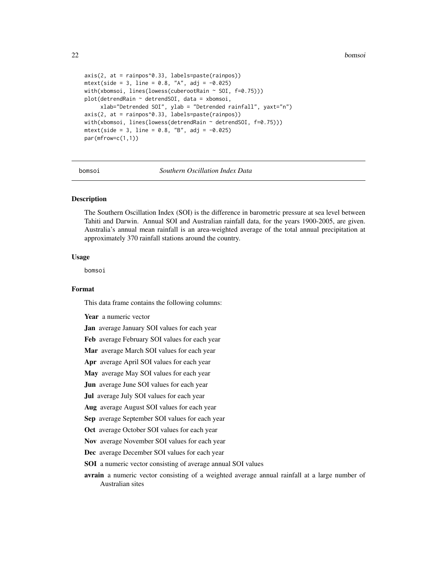```
axis(2, at = rainpos^0.33, labels=paste(rainpos))
mtext{text(side = 3, line = 0.8, "A", adj = -0.025)with(xbomsoi, lines(lowess(cuberootRain ~ SOI, f=0.75)))
plot(detrendRain ~ detrendS0I, data = xbomsoi,xlab="Detrended SOI", ylab = "Detrended rainfall", yaxt="n")
axis(2, at = rainpos^0.33, labels=paste(rainpos))
with(xbomsoi, lines(lowess(detrendRain ~ detrendSOI, f=0.75)))
mtext{text(side = 3, line = 0.8, "B", adj = -0.025)par(mfrow=c(1,1))
```
bomsoi *Southern Oscillation Index Data*

#### Description

The Southern Oscillation Index (SOI) is the difference in barometric pressure at sea level between Tahiti and Darwin. Annual SOI and Australian rainfall data, for the years 1900-2005, are given. Australia's annual mean rainfall is an area-weighted average of the total annual precipitation at approximately 370 rainfall stations around the country.

#### Usage

bomsoi

#### Format

This data frame contains the following columns:

Year a numeric vector

Jan average January SOI values for each year

Feb average February SOI values for each year

Mar average March SOI values for each year

Apr average April SOI values for each year

May average May SOI values for each year

Jun average June SOI values for each year

**Jul** average July SOI values for each year

Aug average August SOI values for each year

Sep average September SOI values for each year

Oct average October SOI values for each year

Nov average November SOI values for each year

Dec average December SOI values for each year

SOI a numeric vector consisting of average annual SOI values

avrain a numeric vector consisting of a weighted average annual rainfall at a large number of Australian sites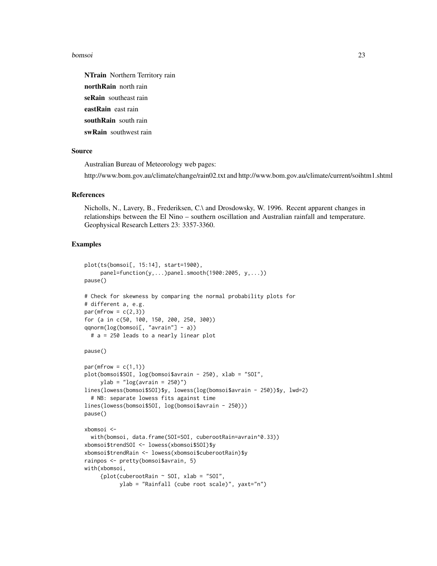#### bomsoi 23

NTrain Northern Territory rain northRain north rain seRain southeast rain eastRain east rain southRain south rain swRain southwest rain

#### Source

Australian Bureau of Meteorology web pages: http://www.bom.gov.au/climate/change/rain02.txt and http://www.bom.gov.au/climate/current/soihtm1.shtml

#### References

Nicholls, N., Lavery, B., Frederiksen, C.\ and Drosdowsky, W. 1996. Recent apparent changes in relationships between the El Nino – southern oscillation and Australian rainfall and temperature. Geophysical Research Letters 23: 3357-3360.

```
plot(ts(bomsoi[, 15:14], start=1900),
     panel=function(y,...)panel.smooth(1900:2005, y,...))
pause()
# Check for skewness by comparing the normal probability plots for
# different a, e.g.
par(mfrow = c(2,3))for (a in c(50, 100, 150, 200, 250, 300))
qqnorm(log(bomsoi[, "avrain"] - a))
 # a = 250 leads to a nearly linear plot
pause()
par(mfrow = c(1,1))plot(bomsoi$SOI, log(bomsoi$avrain - 250), xlab = "SOI",
     ylab = "log(avrain = 250)")lines(lowess(bomsoi$SOI)$y, lowess(log(bomsoi$avrain - 250))$y, lwd=2)
 # NB: separate lowess fits against time
lines(lowess(bomsoi$SOI, log(bomsoi$avrain - 250)))
pause()
xbomsoi <-
 with(bomsoi, data.frame(SOI=SOI, cuberootRain=avrain^0.33))
xbomsoi$trendSOI <- lowess(xbomsoi$SOI)$y
xbomsoi$trendRain <- lowess(xbomsoi$cuberootRain)$y
rainpos <- pretty(bomsoi$avrain, 5)
with(xbomsoi,
     {plot(cuberootRain ~ SOI, xlab = "SOI",
           ylab = "Rainfall (cube root scale)", yaxt="n")
```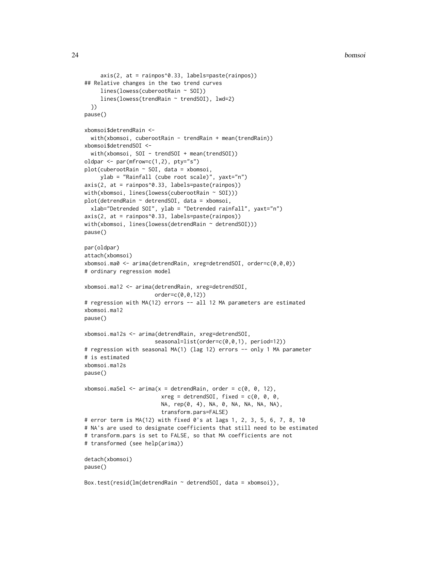```
axis(2, at = rainpos^0.33, labels=paste(rainpos))## Relative changes in the two trend curves
    lines(lowess(cuberootRain ~ SOI))
     lines(lowess(trendRain ~ trendSOI), lwd=2)
 })
pause()
xbomsoi$detrendRain <-
 with(xbomsoi, cuberootRain - trendRain + mean(trendRain))
xbomsoi$detrendSOI <-
 with(xbomsoi, SOI - trendSOI + mean(trendSOI))
oldpar <- par(mfrow=c(1,2), pty="s")
plot(cuberootRain ~ SOI, data = xbomsoi,
     ylab = "Rainfall (cube root scale)", yaxt="n")
axis(2, at = rainpos^0.33, labels=paste(rainpos))
with(xbomsoi, lines(lowess(cuberootRain ~ SOI)))
plot(detrendRain ~ detrendSOI, data = xbomsoi,
 xlab="Detrended SOI", ylab = "Detrended rainfall", yaxt="n")
axis(2, at = rainpos^0.33, labels=paste(rainpos))
with(xbomsoi, lines(lowess(detrendRain ~ detrendSOI)))
pause()
par(oldpar)
attach(xbomsoi)
xbomsoi.ma0 <- arima(detrendRain, xreg=detrendSOI, order=c(0,0,0))
# ordinary regression model
xbomsoi.ma12 <- arima(detrendRain, xreg=detrendSOI,
                      order=c(0,0,12))
# regression with MA(12) errors -- all 12 MA parameters are estimated
xbomsoi.ma12
pause()
xbomsoi.ma12s <- arima(detrendRain, xreg=detrendSOI,
                      seasonal=list(order=c(0,0,1), period=12))
# regression with seasonal MA(1) (lag 12) errors -- only 1 MA parameter
# is estimated
xbomsoi.ma12s
pause()
xbomsoi.maSel \leq arima(x = detrendRain, order = c(0, 0, 12),
                        xreg = detrendSOI, fixed = c(0, 0, 0,NA, rep(0, 4), NA, 0, NA, NA, NA, NA),
                        transform.pars=FALSE)
# error term is MA(12) with fixed 0's at lags 1, 2, 3, 5, 6, 7, 8, 10
# NA's are used to designate coefficients that still need to be estimated
# transform.pars is set to FALSE, so that MA coefficients are not
# transformed (see help(arima))
detach(xbomsoi)
pause()
Box.test(resid(lm(detrendRain ~ detrendSOI, data = xbomsoi)),
```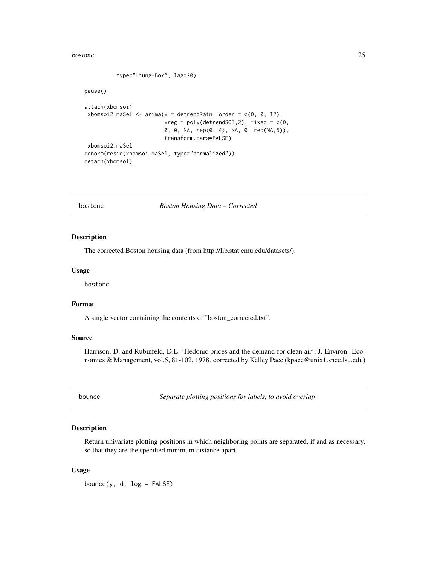#### <span id="page-24-0"></span>bostonc 25

type="Ljung-Box", lag=20)

#### pause()

```
attach(xbomsoi)
xbomsoi2.maSel \leq arima(x = detrendRain, order = c(0, 0, 12),
                         xreg = poly(detrendSOI, 2), fixed = c(0, 1)0, 0, NA, rep(0, 4), NA, 0, rep(NA,5)),
                         transform.pars=FALSE)
xbomsoi2.maSel
qqnorm(resid(xbomsoi.maSel, type="normalized"))
detach(xbomsoi)
```
bostonc *Boston Housing Data – Corrected*

#### Description

The corrected Boston housing data (from http://lib.stat.cmu.edu/datasets/).

# Usage

bostonc

# Format

A single vector containing the contents of "boston\_corrected.txt".

# Source

Harrison, D. and Rubinfeld, D.L. 'Hedonic prices and the demand for clean air', J. Environ. Economics & Management, vol.5, 81-102, 1978. corrected by Kelley Pace (kpace@unix1.sncc.lsu.edu)

bounce *Separate plotting positions for labels, to avoid overlap*

# Description

Return univariate plotting positions in which neighboring points are separated, if and as necessary, so that they are the specified minimum distance apart.

#### Usage

bounce(y, d,  $log = FALSE$ )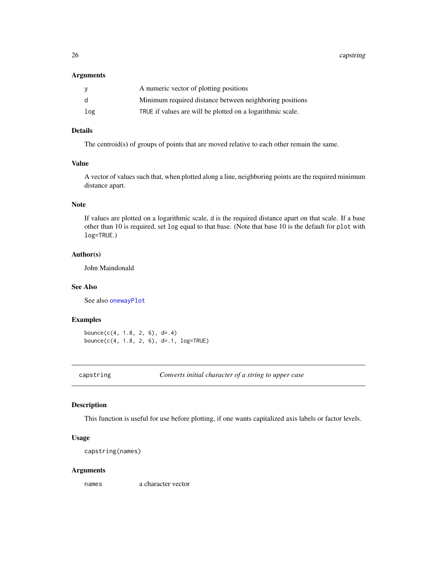<span id="page-25-0"></span>26 capstring and the contract of the contract of the contract of the contract of the contract of the contract of the contract of the contract of the contract of the contract of the contract of the contract of the contract

#### Arguments

| <b>y</b> | A numeric vector of plotting positions                     |
|----------|------------------------------------------------------------|
| d        | Minimum required distance between neighboring positions    |
| log      | TRUE if values are will be plotted on a logarithmic scale. |

# Details

The centroid(s) of groups of points that are moved relative to each other remain the same.

# Value

A vector of values such that, when plotted along a line, neighboring points are the required minimum distance apart.

# Note

If values are plotted on a logarithmic scale, d is the required distance apart on that scale. If a base other than 10 is required, set log equal to that base. (Note that base 10 is the default for plot with log=TRUE.)

### Author(s)

John Maindonald

# See Also

See also [onewayPlot](#page-107-1)

# Examples

```
bounce(c(4, 1.8, 2, 6), d=.4)bounce(c(4, 1.8, 2, 6), d=.1, log=TRUE)
```
capstring *Converts initial character of a string to upper case*

# Description

This function is useful for use before plotting, if one wants capitalized axis labels or factor levels.

#### Usage

capstring(names)

#### Arguments

names a character vector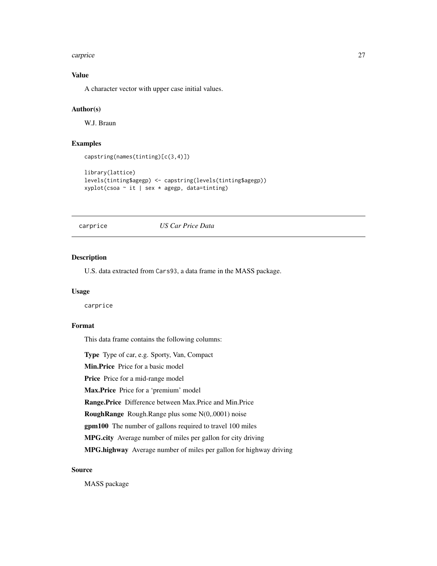#### <span id="page-26-0"></span>carprice 27

# Value

A character vector with upper case initial values.

## Author(s)

W.J. Braun

# Examples

```
capstring(names(tinting)[c(3,4)])
```

```
library(lattice)
levels(tinting$agegp) <- capstring(levels(tinting$agegp))
xyplot(csoa ~ it | sex * agegp, data=tinting)
```
carprice *US Car Price Data*

#### Description

U.S. data extracted from Cars93, a data frame in the MASS package.

# Usage

carprice

### Format

This data frame contains the following columns:

Type Type of car, e.g. Sporty, Van, Compact

Min.Price Price for a basic model

Price Price for a mid-range model

Max.Price Price for a 'premium' model

Range.Price Difference between Max.Price and Min.Price

RoughRange Rough.Range plus some N(0,.0001) noise

gpm100 The number of gallons required to travel 100 miles

MPG.city Average number of miles per gallon for city driving

MPG.highway Average number of miles per gallon for highway driving

#### Source

MASS package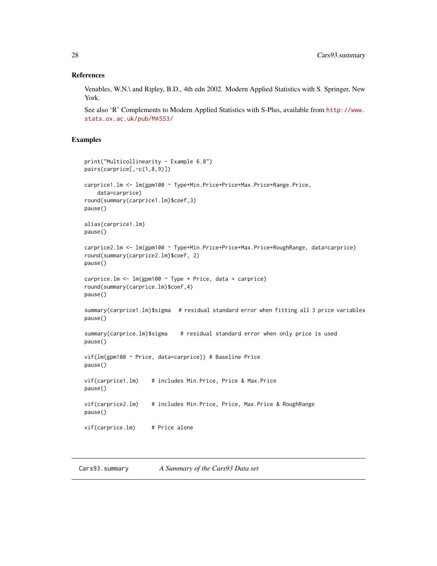#### <span id="page-27-0"></span>References

Venables, W.N.\ and Ripley, B.D., 4th edn 2002. Modern Applied Statistics with S. Springer, New York.

See also 'R' Complements to Modern Applied Statistics with S-Plus, available from [http://www.](http://www.stats.ox.ac.uk/pub/MASS3/) [stats.ox.ac.uk/pub/MASS3/](http://www.stats.ox.ac.uk/pub/MASS3/)

# Examples

```
print("Multicollinearity - Example 6.8")
pairs(carprice[,-c(1,8,9)])
carprice1.lm <- lm(gpm100 ~ Type+Min.Price+Price+Max.Price+Range.Price,
    data=carprice)
round(summary(carprice1.lm)$coef,3)
pause()
alias(carprice1.lm)
pause()
carprice2.lm <- lm(gpm100 ~ Type+Min.Price+Price+Max.Price+RoughRange, data=carprice)
round(summary(carprice2.lm)$coef, 2)
pause()
carprice.lm <- lm(gpm100 ~ Type + Price, data = carprice)
round(summary(carprice.lm)$coef,4)
pause()
summary(carprice1.lm)$sigma # residual standard error when fitting all 3 price variables
pause()
summary(carprice.lm)$sigma # residual standard error when only price is used
pause()
vif(lm(gpm100 ~ Price, data=carprice)) # Baseline Price
pause()
vif(carprice1.lm) # includes Min.Price, Price & Max.Price
pause()
vif(carprice2.lm) # includes Min.Price, Price, Max.Price & RoughRange
pause()
vif(carprice.lm) # Price alone
```
Cars93.summary *A Summary of the Cars93 Data set*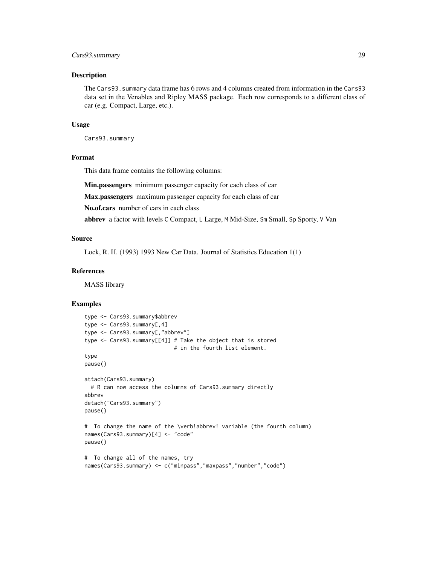# Cars93.summary 29

#### Description

The Cars93.summary data frame has 6 rows and 4 columns created from information in the Cars93 data set in the Venables and Ripley MASS package. Each row corresponds to a different class of car (e.g. Compact, Large, etc.).

#### Usage

Cars93.summary

# Format

This data frame contains the following columns:

Min.passengers minimum passenger capacity for each class of car

Max.passengers maximum passenger capacity for each class of car

No.of.cars number of cars in each class

abbrev a factor with levels C Compact, L Large, M Mid-Size, Sm Small, Sp Sporty, V Van

#### Source

Lock, R. H. (1993) 1993 New Car Data. Journal of Statistics Education 1(1)

# References

MASS library

```
type <- Cars93.summary$abbrev
type <- Cars93.summary[,4]
type <- Cars93.summary[,"abbrev"]
type <- Cars93.summary[[4]] # Take the object that is stored
                            # in the fourth list element.
type
pause()
attach(Cars93.summary)
 # R can now access the columns of Cars93.summary directly
abbrev
detach("Cars93.summary")
pause()
# To change the name of the \verb!abbrev! variable (the fourth column)
names(Cars93.summary)[4] <- "code"
pause()
# To change all of the names, try
names(Cars93.summary) <- c("minpass","maxpass","number","code")
```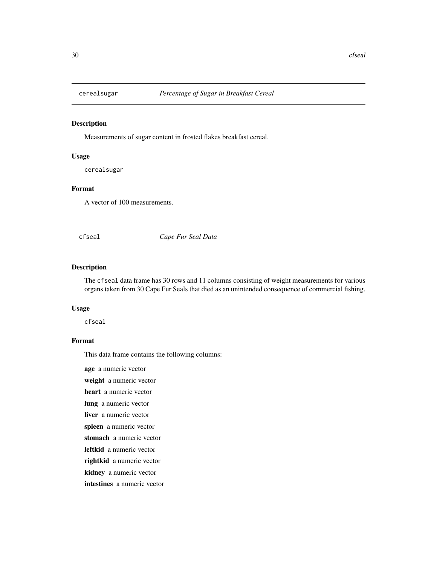<span id="page-29-0"></span>

#### Description

Measurements of sugar content in frosted flakes breakfast cereal.

# Usage

cerealsugar

### Format

A vector of 100 measurements.

cfseal *Cape Fur Seal Data*

# Description

The cfseal data frame has 30 rows and 11 columns consisting of weight measurements for various organs taken from 30 Cape Fur Seals that died as an unintended consequence of commercial fishing.

## Usage

cfseal

# Format

This data frame contains the following columns:

age a numeric vector

weight a numeric vector

heart a numeric vector

lung a numeric vector

liver a numeric vector

spleen a numeric vector

stomach a numeric vector

leftkid a numeric vector

rightkid a numeric vector

kidney a numeric vector

intestines a numeric vector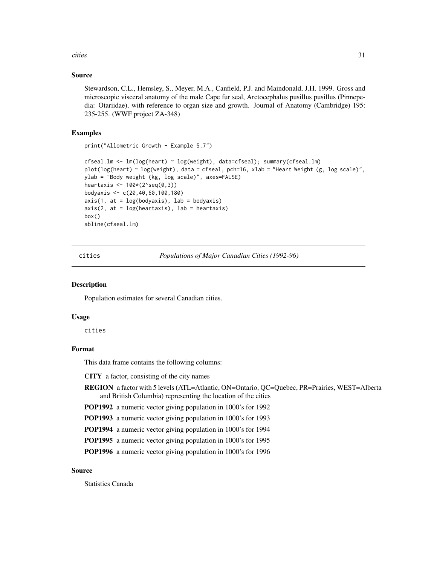<span id="page-30-0"></span>cities 31

# Source

Stewardson, C.L., Hemsley, S., Meyer, M.A., Canfield, P.J. and Maindonald, J.H. 1999. Gross and microscopic visceral anatomy of the male Cape fur seal, Arctocephalus pusillus pusillus (Pinnepedia: Otariidae), with reference to organ size and growth. Journal of Anatomy (Cambridge) 195: 235-255. (WWF project ZA-348)

# Examples

print("Allometric Growth - Example 5.7")

```
cfseal.lm <- lm(log(heart) ~ log(weight), data=cfseal); summary(cfseal.lm)
plot(log(heart) ~ log(weight), data = cfseal, pch=16, xlab = "Heart Weight (g, log scale)",
ylab = "Body weight (kg, log scale)", axes=FALSE)
heartaxis <- 100*(2^seq(0,3))
bodyaxis <- c(20,40,60,100,180)
axis(1, at = log(bodyaxis), lab = bodyaxis)axis(2, at = log(heartaxis), lab = heartaxis)box()
abline(cfseal.lm)
```
cities *Populations of Major Canadian Cities (1992-96)*

#### Description

Population estimates for several Canadian cities.

#### Usage

cities

# Format

This data frame contains the following columns:

CITY a factor, consisting of the city names

REGION a factor with 5 levels (ATL=Atlantic, ON=Ontario, QC=Quebec, PR=Prairies, WEST=Alberta and British Columbia) representing the location of the cities

POP1992 a numeric vector giving population in 1000's for 1992

POP1993 a numeric vector giving population in 1000's for 1993

POP1994 a numeric vector giving population in 1000's for 1994

POP1995 a numeric vector giving population in 1000's for 1995

POP1996 a numeric vector giving population in 1000's for 1996

# Source

Statistics Canada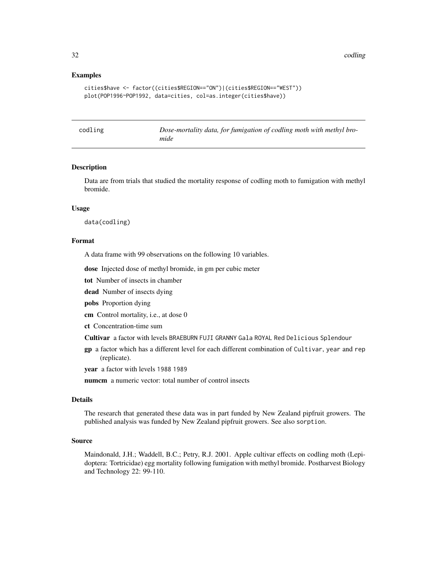<span id="page-31-0"></span>32 codling and the codling of the codling of the codling of the codling of the codling of the codling of the codling

#### Examples

```
cities$have <- factor((cities$REGION=="ON")|(cities$REGION=="WEST"))
plot(POP1996~POP1992, data=cities, col=as.integer(cities$have))
```

| odlin |  |  |
|-------|--|--|
|       |  |  |
|       |  |  |

eg *Dose-mortality data, for fumigation of codling moth with methyl bromide*

#### Description

Data are from trials that studied the mortality response of codling moth to fumigation with methyl bromide.

# Usage

data(codling)

#### Format

A data frame with 99 observations on the following 10 variables.

dose Injected dose of methyl bromide, in gm per cubic meter

tot Number of insects in chamber

dead Number of insects dying

pobs Proportion dying

cm Control mortality, i.e., at dose 0

ct Concentration-time sum

Cultivar a factor with levels BRAEBURN FUJI GRANNY Gala ROYAL Red Delicious Splendour

gp a factor which has a different level for each different combination of Cultivar, year and rep (replicate).

year a factor with levels 1988 1989

numcm a numeric vector: total number of control insects

#### Details

The research that generated these data was in part funded by New Zealand pipfruit growers. The published analysis was funded by New Zealand pipfruit growers. See also sorption.

#### Source

Maindonald, J.H.; Waddell, B.C.; Petry, R.J. 2001. Apple cultivar effects on codling moth (Lepidoptera: Tortricidae) egg mortality following fumigation with methyl bromide. Postharvest Biology and Technology 22: 99-110.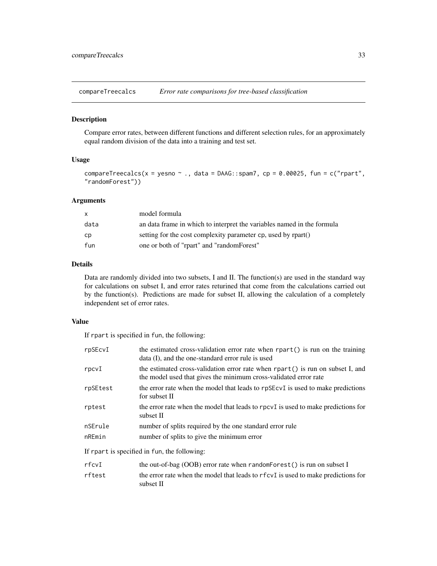<span id="page-32-0"></span>compareTreecalcs *Error rate comparisons for tree-based classification*

# Description

Compare error rates, between different functions and different selection rules, for an approximately equal random division of the data into a training and test set.

#### Usage

```
compareTreecalcs(x = yesno \sim ., data = DAAG::spam7, cp = 0.00025, fun = c("rpart",
"randomForest"))
```
# Arguments

| $\mathsf{x}$ | model formula                                                          |
|--------------|------------------------------------------------------------------------|
| data         | an data frame in which to interpret the variables named in the formula |
| cp           | setting for the cost complexity parameter cp, used by rpart()          |
| fun          | one or both of "rpart" and "randomForest"                              |

# Details

Data are randomly divided into two subsets, I and II. The function(s) are used in the standard way for calculations on subset I, and error rates returined that come from the calculations carried out by the function(s). Predictions are made for subset II, allowing the calculation of a completely independent set of error rates.

# Value

If rpart is specified in fun, the following:

| rpSEcvI                                      | the estimated cross-validation error rate when rpart() is run on the training<br>data (I), and the one-standard error rule is used                 |  |
|----------------------------------------------|----------------------------------------------------------------------------------------------------------------------------------------------------|--|
| rpcvI                                        | the estimated cross-validation error rate when rpart() is run on subset I, and<br>the model used that gives the minimum cross-validated error rate |  |
| rpSEtest                                     | the error rate when the model that leads to rpSEcvI is used to make predictions<br>for subset II                                                   |  |
| rptest                                       | the error rate when the model that leads to rpcvI is used to make predictions for<br>subset II                                                     |  |
| nSErule<br>nREmin                            | number of splits required by the one standard error rule<br>number of splits to give the minimum error                                             |  |
| If rpart is specified in fun, the following: |                                                                                                                                                    |  |
| rfcvI                                        | the out-of-bag $(OOB)$ error rate when random Forest () is run on subset I                                                                         |  |

| rftest | the error rate when the model that leads to rfcvI is used to make predictions for |
|--------|-----------------------------------------------------------------------------------|
|        | subset II                                                                         |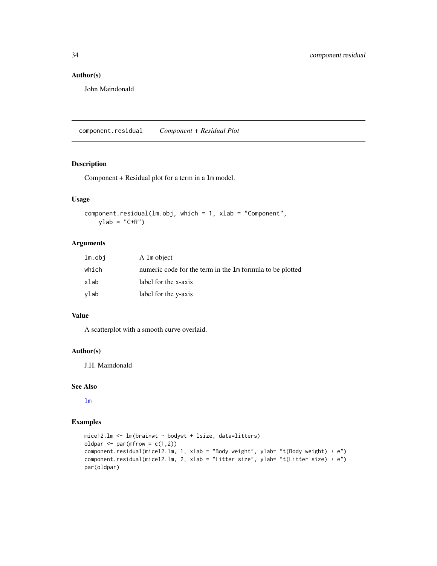# <span id="page-33-0"></span>Author(s)

John Maindonald

component.residual *Component + Residual Plot*

# Description

Component + Residual plot for a term in a lm model.

#### Usage

```
component.residual(lm.obj, which = 1, xlab = "Component",
   ylab = "C+R")
```
# Arguments

| lm.obj | A 1m object                                               |
|--------|-----------------------------------------------------------|
| which  | numeric code for the term in the 1m formula to be plotted |
| xlab   | label for the x-axis                                      |
| vlab   | label for the y-axis                                      |

#### Value

A scatterplot with a smooth curve overlaid.

# Author(s)

J.H. Maindonald

#### See Also

[lm](#page-0-0)

```
mice12.lm <- lm(brainwt ~ bodywt + lsize, data=litters)
oldpar \leq par(mfrow = c(1,2))
component.residual(mice12.1m, 1, xlab = "Body weight", ylab= "t(Body weight) + e")
component.residual(mice12.lm, 2, xlab = "Litter size", ylab= "t(Litter size) + e")
par(oldpar)
```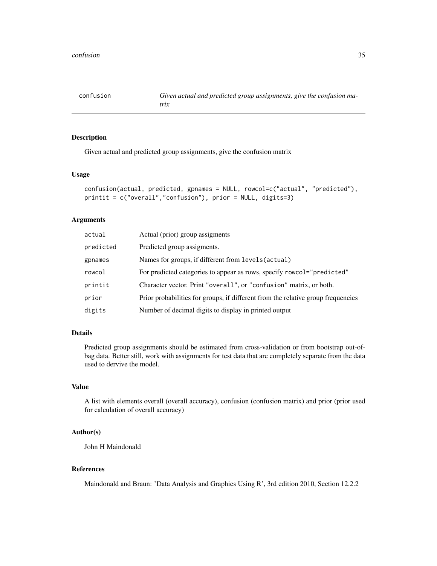<span id="page-34-0"></span>confusion *Given actual and predicted group assignments, give the confusion matrix*

# Description

Given actual and predicted group assignments, give the confusion matrix

#### Usage

```
confusion(actual, predicted, gpnames = NULL, rowcol=c("actual", "predicted"),
printit = c("overall","confusion"), prior = NULL, digits=3)
```
# Arguments

| actual    | Actual (prior) group assigments                                                  |
|-----------|----------------------------------------------------------------------------------|
| predicted | Predicted group assigments.                                                      |
| gpnames   | Names for groups, if different from levels (actual)                              |
| rowcol    | For predicted categories to appear as rows, specify rowcol="predicted"           |
| printit   | Character vector. Print "overall", or "confusion" matrix, or both.               |
| prior     | Prior probabilities for groups, if different from the relative group frequencies |
| digits    | Number of decimal digits to display in printed output                            |

# Details

Predicted group assignments should be estimated from cross-validation or from bootstrap out-ofbag data. Better still, work with assignments for test data that are completely separate from the data used to dervive the model.

#### Value

A list with elements overall (overall accuracy), confusion (confusion matrix) and prior (prior used for calculation of overall accuracy)

# Author(s)

John H Maindonald

#### References

Maindonald and Braun: 'Data Analysis and Graphics Using R', 3rd edition 2010, Section 12.2.2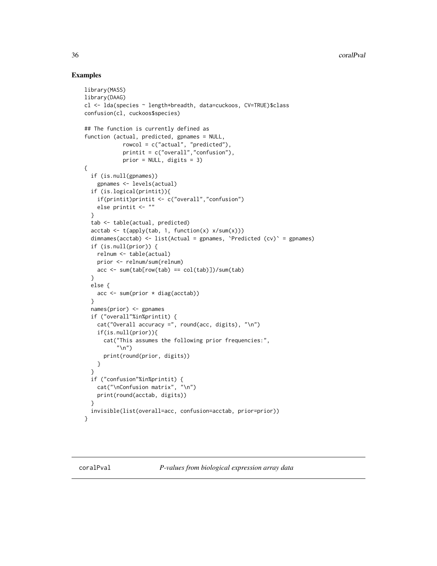```
library(MASS)
library(DAAG)
cl <- lda(species ~ length+breadth, data=cuckoos, CV=TRUE)$class
confusion(cl, cuckoos$species)
## The function is currently defined as
function (actual, predicted, gpnames = NULL,
            rowcol = c("actual", "predicted"),
            printit = c("overall","confusion"),
            prior = NULL, digits = 3)
{
 if (is.null(gpnames))
   gpnames <- levels(actual)
 if (is.logical(printit)){
    if(printit)printit <- c("overall","confusion")
    else printit <- ""
 }
 tab <- table(actual, predicted)
 acctab <- t(apply(tab, 1, function(x) x/sum(x)))
 dimnames(acctab) <- list(Actual = gpnames, `Predicted (cv)` = gpnames)
 if (is.null(prior)) {
   relnum <- table(actual)
   prior <- relnum/sum(relnum)
   acc \leq sum(tab[row(tab) == col(tab)])/sum(tab)}
 else {
   acc <- sum(prior * diag(acctab))
 }
 names(prior) <- gpnames
 if ("overall"%in%printit) {
   cat("Overall accuracy =", round(acc, digits), "\n")
    if(is.null(prior)){
     cat("This assumes the following prior frequencies:",
          "\n")
     print(round(prior, digits))
   }
 }
 if ("confusion"%in%printit) {
   cat("\nConfusion matrix", "\n")
   print(round(acctab, digits))
  }
 invisible(list(overall=acc, confusion=acctab, prior=prior))
}
```
<span id="page-35-0"></span>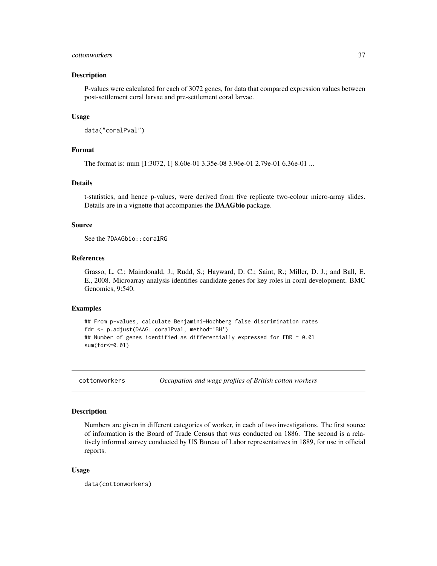# cottonworkers 37

### **Description**

P-values were calculated for each of 3072 genes, for data that compared expression values between post-settlement coral larvae and pre-settlement coral larvae.

## Usage

```
data("coralPval")
```
# Format

The format is: num [1:3072, 1] 8.60e-01 3.35e-08 3.96e-01 2.79e-01 6.36e-01 ...

## Details

t-statistics, and hence p-values, were derived from five replicate two-colour micro-array slides. Details are in a vignette that accompanies the DAAGbio package.

## Source

See the ?DAAGbio:: coralRG

## References

Grasso, L. C.; Maindonald, J.; Rudd, S.; Hayward, D. C.; Saint, R.; Miller, D. J.; and Ball, E. E., 2008. Microarray analysis identifies candidate genes for key roles in coral development. BMC Genomics, 9:540.

#### Examples

```
## From p-values, calculate Benjamini-Hochberg false discrimination rates
fdr <- p.adjust(DAAG::coralPval, method='BH')
## Number of genes identified as differentially expressed for FDR = 0.01
sum(fdr<=0.01)
```
cottonworkers *Occupation and wage profiles of British cotton workers*

## Description

Numbers are given in different categories of worker, in each of two investigations. The first source of information is the Board of Trade Census that was conducted on 1886. The second is a relatively informal survey conducted by US Bureau of Labor representatives in 1889, for use in official reports.

#### Usage

```
data(cottonworkers)
```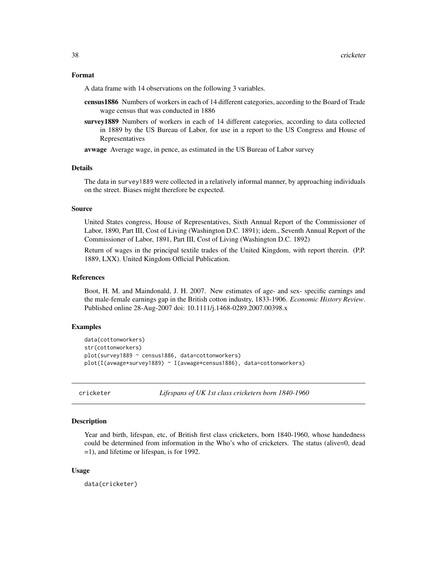## Format

A data frame with 14 observations on the following 3 variables.

- census1886 Numbers of workers in each of 14 different categories, according to the Board of Trade wage census that was conducted in 1886
- survey1889 Numbers of workers in each of 14 different categories, according to data collected in 1889 by the US Bureau of Labor, for use in a report to the US Congress and House of Representatives

avwage Average wage, in pence, as estimated in the US Bureau of Labor survey

## Details

The data in survey1889 were collected in a relatively informal manner, by approaching individuals on the street. Biases might therefore be expected.

## Source

United States congress, House of Representatives, Sixth Annual Report of the Commissioner of Labor, 1890, Part III, Cost of Living (Washington D.C. 1891); idem., Seventh Annual Report of the Commissioner of Labor, 1891, Part III, Cost of Living (Washington D.C. 1892)

Return of wages in the principal textile trades of the United Kingdom, with report therein. (P.P. 1889, LXX). United Kingdom Official Publication.

## References

Boot, H. M. and Maindonald, J. H. 2007. New estimates of age- and sex- specific earnings and the male-female earnings gap in the British cotton industry, 1833-1906. *Economic History Review*. Published online 28-Aug-2007 doi: 10.1111/j.1468-0289.2007.00398.x

# Examples

```
data(cottonworkers)
str(cottonworkers)
plot(survey1889 ~ census1886, data=cottonworkers)
plot(I(avwage*survey1889) ~ I(avwage*census1886), data=cottonworkers)
```
cricketer *Lifespans of UK 1st class cricketers born 1840-1960*

## Description

Year and birth, lifespan, etc, of British first class cricketers, born 1840-1960, whose handedness could be determined from information in the Who's who of cricketers. The status (alive=0, dead =1), and lifetime or lifespan, is for 1992.

## Usage

data(cricketer)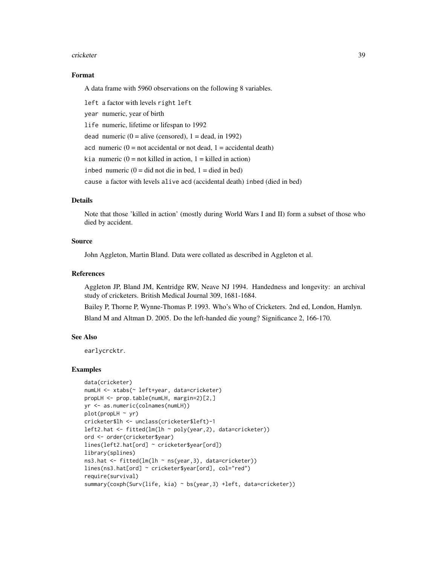#### cricketer 39

## Format

A data frame with 5960 observations on the following 8 variables.

left a factor with levels right left year numeric, year of birth life numeric, lifetime or lifespan to 1992 dead numeric  $(0 = alive$  (censored),  $1 = dead$ , in 1992) acd numeric  $(0 = not accidental or not dead, 1 = accidental death)$ kia numeric (0 = not killed in action, 1 = killed in action) inbed numeric  $(0 = did not die in bed, 1 = died in bed)$ cause a factor with levels alive acd (accidental death) inbed (died in bed)

# Details

Note that those 'killed in action' (mostly during World Wars I and II) form a subset of those who died by accident.

# Source

John Aggleton, Martin Bland. Data were collated as described in Aggleton et al.

## References

Aggleton JP, Bland JM, Kentridge RW, Neave NJ 1994. Handedness and longevity: an archival study of cricketers. British Medical Journal 309, 1681-1684.

Bailey P, Thorne P, Wynne-Thomas P. 1993. Who's Who of Cricketers. 2nd ed, London, Hamlyn. Bland M and Altman D. 2005. Do the left-handed die young? Significance 2, 166-170.

## See Also

earlycrcktr.

```
data(cricketer)
numLH <- xtabs(~ left+year, data=cricketer)
propLH <- prop.table(numLH, margin=2)[2,]
yr <- as.numeric(colnames(numLH))
plot(propLH \sim yr)cricketer$lh <- unclass(cricketer$left)-1
left2.hat <- fitted(lm(lh ~ poly(year,2), data=cricketer))
ord <- order(cricketer$year)
lines(left2.hat[ord] ~ cricketer$year[ord])
library(splines)
ns3.hat <- fitted(lm(lh ~ ns(year,3), data=cricketer))
lines(ns3.hat[ord] ~ cricketer$year[ord], col="red")
require(survival)
summary(coxph(Surv(life, kia) ~ bs(year,3) +left, data=cricketer))
```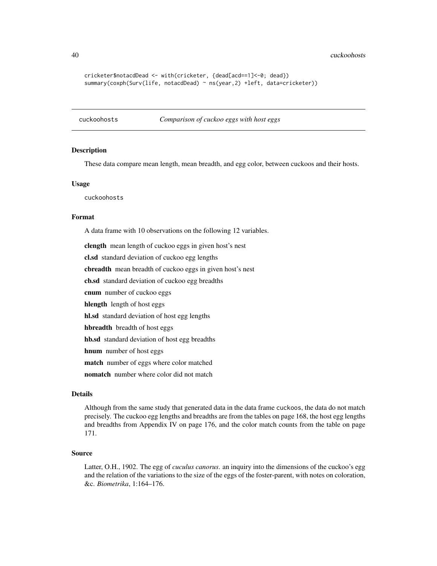40 cuckoohosts

```
cricketer$notacdDead <- with(cricketer, {dead[acd==1]<-0; dead})
summary(coxph(Surv(life, notacdDead) ~ ns(year,2) +left, data=cricketer))
```
cuckoohosts *Comparison of cuckoo eggs with host eggs*

#### Description

These data compare mean length, mean breadth, and egg color, between cuckoos and their hosts.

#### Usage

cuckoohosts

## Format

A data frame with 10 observations on the following 12 variables.

clength mean length of cuckoo eggs in given host's nest

cl.sd standard deviation of cuckoo egg lengths

cbreadth mean breadth of cuckoo eggs in given host's nest

cb.sd standard deviation of cuckoo egg breadths

cnum number of cuckoo eggs

hlength length of host eggs

hl.sd standard deviation of host egg lengths

hbreadth breadth of host eggs

hb.sd standard deviation of host egg breadths

hnum number of host eggs

match number of eggs where color matched

nomatch number where color did not match

## Details

Although from the same study that generated data in the data frame cuckoos, the data do not match precisely. The cuckoo egg lengths and breadths are from the tables on page 168, the host egg lengths and breadths from Appendix IV on page 176, and the color match counts from the table on page 171.

# Source

Latter, O.H., 1902. The egg of *cuculus canorus*. an inquiry into the dimensions of the cuckoo's egg and the relation of the variations to the size of the eggs of the foster-parent, with notes on coloration, &c. *Biometrika*, 1:164–176.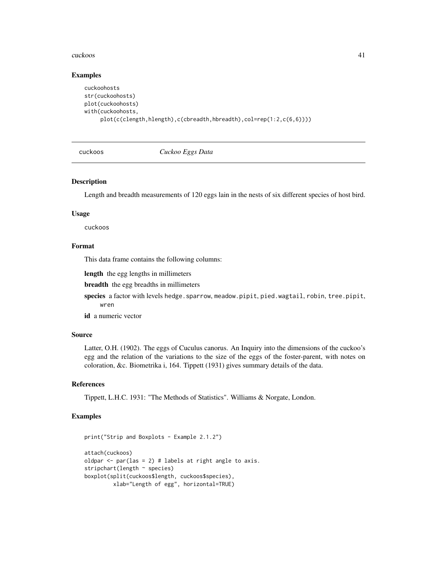#### cuckoos 41

# Examples

```
cuckoohosts
str(cuckoohosts)
plot(cuckoohosts)
with(cuckoohosts,
     plot(c(clength,hlength),c(cbreadth,hbreadth),col=rep(1:2,c(6,6))))
```
cuckoos *Cuckoo Eggs Data*

# Description

Length and breadth measurements of 120 eggs lain in the nests of six different species of host bird.

#### Usage

cuckoos

# Format

This data frame contains the following columns:

length the egg lengths in millimeters

breadth the egg breadths in millimeters

species a factor with levels hedge.sparrow, meadow.pipit, pied.wagtail, robin, tree.pipit, wren

id a numeric vector

# Source

Latter, O.H. (1902). The eggs of Cuculus canorus. An Inquiry into the dimensions of the cuckoo's egg and the relation of the variations to the size of the eggs of the foster-parent, with notes on coloration, &c. Biometrika i, 164. Tippett (1931) gives summary details of the data.

#### References

Tippett, L.H.C. 1931: "The Methods of Statistics". Williams & Norgate, London.

```
print("Strip and Boxplots - Example 2.1.2")
attach(cuckoos)
oldpar \leq par(las = 2) # labels at right angle to axis.
stripchart(length ~ species)
boxplot(split(cuckoos$length, cuckoos$species),
         xlab="Length of egg", horizontal=TRUE)
```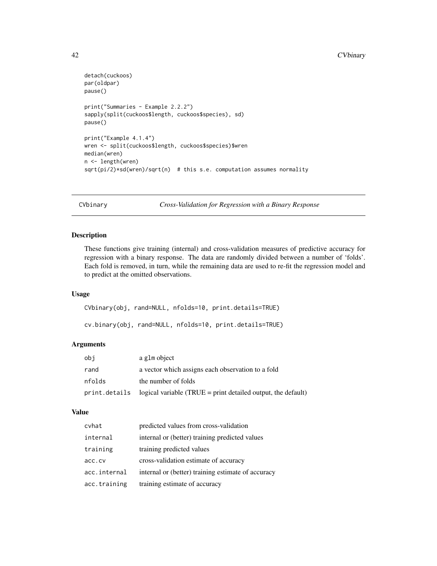```
detach(cuckoos)
par(oldpar)
pause()
print("Summaries - Example 2.2.2")
sapply(split(cuckoos$length, cuckoos$species), sd)
pause()
print("Example 4.1.4")
wren <- split(cuckoos$length, cuckoos$species)$wren
median(wren)
n <- length(wren)
sqrt(pi/2)*sd(wren)/sqrt(n) # this s.e. computation assumes normality
```
<span id="page-41-0"></span>CVbinary *Cross-Validation for Regression with a Binary Response*

# Description

These functions give training (internal) and cross-validation measures of predictive accuracy for regression with a binary response. The data are randomly divided between a number of 'folds'. Each fold is removed, in turn, while the remaining data are used to re-fit the regression model and to predict at the omitted observations.

# Usage

CVbinary(obj, rand=NULL, nfolds=10, print.details=TRUE)

cv.binary(obj, rand=NULL, nfolds=10, print.details=TRUE)

# Arguments

| obi           | a g1m object                                                   |
|---------------|----------------------------------------------------------------|
| rand          | a vector which assigns each observation to a fold              |
| nfolds        | the number of folds                                            |
| print.details | logical variable (TRUE $=$ print detailed output, the default) |

# Value

| cvhat        | predicted values from cross-validation             |
|--------------|----------------------------------------------------|
| internal     | internal or (better) training predicted values     |
| training     | training predicted values                          |
| acc.cv       | cross-validation estimate of accuracy              |
| acc.internal | internal or (better) training estimate of accuracy |
| acc.training | training estimate of accuracy                      |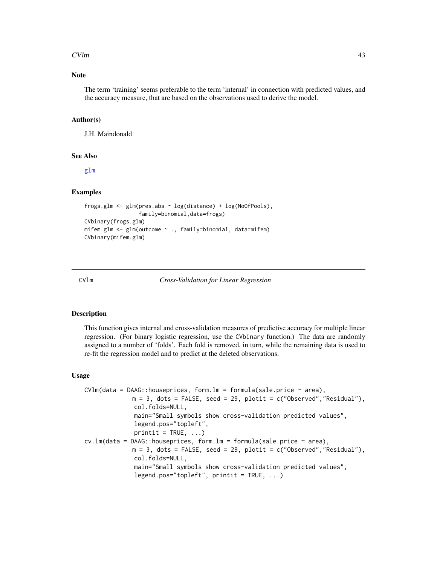#### $CVMm$  and  $43$

# Note

The term 'training' seems preferable to the term 'internal' in connection with predicted values, and the accuracy measure, that are based on the observations used to derive the model.

#### Author(s)

J.H. Maindonald

## See Also

[glm](#page-0-0)

# Examples

```
frogs.glm <- glm(pres.abs ~ log(distance) + log(NoOfPools),
                 family=binomial,data=frogs)
CVbinary(frogs.glm)
mifem.glm <- glm(outcome ~ ., family=binomial, data=mifem)
CVbinary(mifem.glm)
```
CVlm *Cross-Validation for Linear Regression*

# Description

This function gives internal and cross-validation measures of predictive accuracy for multiple linear regression. (For binary logistic regression, use the CVbinary function.) The data are randomly assigned to a number of 'folds'. Each fold is removed, in turn, while the remaining data is used to re-fit the regression model and to predict at the deleted observations.

### Usage

```
CVlm(data = DAAG:; house prices, form.lm = formula(sale price ~ area),m = 3, dots = FALSE, seed = 29, plotit = c("Observed","Residual"),
              col.folds=NULL,
              main="Small symbols show cross-validation predicted values",
              legend.pos="topleft",
              printit = TRUE, ...)
cv.lm(data = DAG::house prices, form.lm = formula(sale.price ~ area),m = 3, dots = FALSE, seed = 29, plotit = c("Observed", "Residual"),
              col.folds=NULL,
              main="Small symbols show cross-validation predicted values",
              legend.pos="topleft", printit = TRUE, \ldots)
```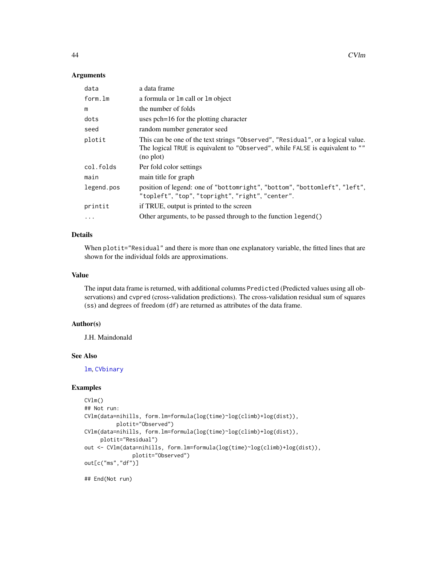## Arguments

| data       | a data frame                                                                                                                                                                  |
|------------|-------------------------------------------------------------------------------------------------------------------------------------------------------------------------------|
| form.lm    | a formula or 1m call or 1m object                                                                                                                                             |
| m          | the number of folds                                                                                                                                                           |
| dots       | uses pch=16 for the plotting character                                                                                                                                        |
| seed       | random number generator seed                                                                                                                                                  |
| plotit     | This can be one of the text strings "Observed", "Residual", or a logical value.<br>The logical TRUE is equivalent to "Observed", while FALSE is equivalent to ""<br>(no plot) |
| col.folds  | Per fold color settings                                                                                                                                                       |
| main       | main title for graph                                                                                                                                                          |
| legend.pos | position of legend: one of "bottomright", "bottom", "bottomleft", "left",<br>"topleft", "top", "topright", "right", "center".                                                 |
| printit    | if TRUE, output is printed to the screen                                                                                                                                      |
| $\ddots$   | Other arguments, to be passed through to the function legend()                                                                                                                |

# Details

When plotit="Residual" and there is more than one explanatory variable, the fitted lines that are shown for the individual folds are approximations.

# Value

The input data frame is returned, with additional columns Predicted (Predicted values using all observations) and cvpred (cross-validation predictions). The cross-validation residual sum of squares (ss) and degrees of freedom (df) are returned as attributes of the data frame.

## Author(s)

J.H. Maindonald

## See Also

[lm](#page-0-0), [CVbinary](#page-41-0)

## Examples

```
CVlm()
## Not run:
CVlm(data=nihills, form.lm=formula(log(time)~log(climb)+log(dist)),
          plotit="Observed")
CVlm(data=nihills, form.lm=formula(log(time)~log(climb)+log(dist)),
     plotit="Residual")
out <- CVlm(data=nihills, form.lm=formula(log(time)~log(climb)+log(dist)),
               plotit="Observed")
out[c("ms","df")]
```
## End(Not run)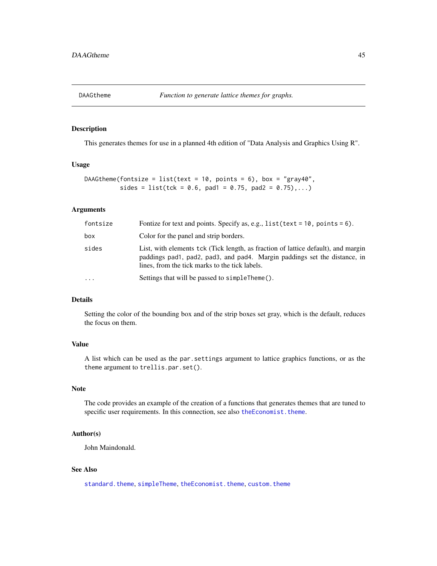This generates themes for use in a planned 4th edition of "Data Analysis and Graphics Using R".

# Usage

```
DAAGtheme(fontsize = list(text = 10, points = 6), box = "gray40",
         sides = list(tck = 0.6, pad1 = 0.75, pad2 = 0.75), ...)
```
## Arguments

| fontsize | Fontize for text and points. Specify as, e.g., $list(text = 10, points = 6)$ .                                                                                                                                   |
|----------|------------------------------------------------------------------------------------------------------------------------------------------------------------------------------------------------------------------|
| box      | Color for the panel and strip borders.                                                                                                                                                                           |
| sides    | List, with elements tck (Tick length, as fraction of lattice default), and margin<br>paddings pad1, pad2, pad3, and pad4. Margin paddings set the distance, in<br>lines, from the tick marks to the tick labels. |
|          | Settings that will be passed to simpleTheme().                                                                                                                                                                   |

## Details

Setting the color of the bounding box and of the strip boxes set gray, which is the default, reduces the focus on them.

# Value

A list which can be used as the par.settings argument to lattice graphics functions, or as the theme argument to trellis.par.set().

# Note

The code provides an example of the creation of a functions that generates themes that are tuned to specific user requirements. In this connection, see also [theEconomist.theme](#page-0-0).

## Author(s)

John Maindonald.

## See Also

[standard.theme](#page-0-0), [simpleTheme](#page-0-0), [theEconomist.theme](#page-0-0), [custom.theme](#page-0-0)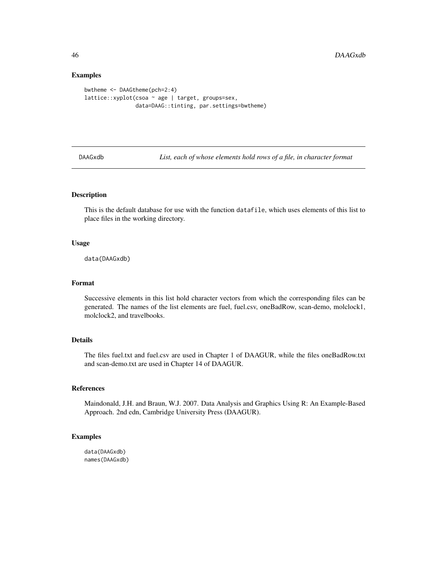## Examples

```
bwtheme <- DAAGtheme(pch=2:4)
lattice::xyplot(csoa ~ age | target, groups=sex,
                data=DAAG::tinting, par.settings=bwtheme)
```
DAAGxdb *List, each of whose elements hold rows of a file, in character format*

# Description

This is the default database for use with the function datafile, which uses elements of this list to place files in the working directory.

## Usage

data(DAAGxdb)

# Format

Successive elements in this list hold character vectors from which the corresponding files can be generated. The names of the list elements are fuel, fuel.csv, oneBadRow, scan-demo, molclock1, molclock2, and travelbooks.

# Details

The files fuel.txt and fuel.csv are used in Chapter 1 of DAAGUR, while the files oneBadRow.txt and scan-demo.txt are used in Chapter 14 of DAAGUR.

#### References

Maindonald, J.H. and Braun, W.J. 2007. Data Analysis and Graphics Using R: An Example-Based Approach. 2nd edn, Cambridge University Press (DAAGUR).

# Examples

data(DAAGxdb) names(DAAGxdb)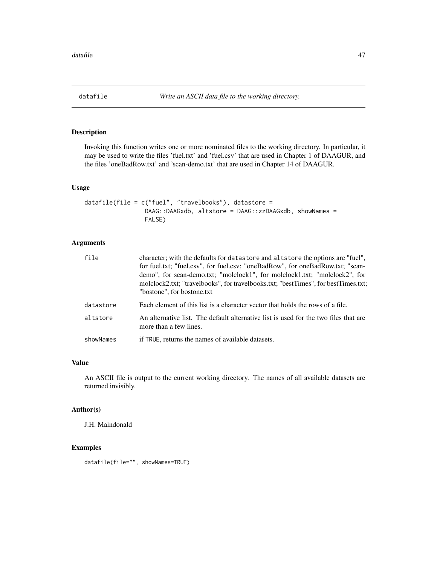Invoking this function writes one or more nominated files to the working directory. In particular, it may be used to write the files 'fuel.txt' and 'fuel.csv' that are used in Chapter 1 of DAAGUR, and the files 'oneBadRow.txt' and 'scan-demo.txt' that are used in Chapter 14 of DAAGUR.

# Usage

```
datafile(file = c("fuel", "travelbooks"), datastore =
                 DAAG::DAAGxdb, altstore = DAAG::zzDAAGxdb, showNames =
                 FALSE)
```
# Arguments

| file      | character; with the defaults for datastore and altstore the options are "fuel",<br>for fuel.txt; "fuel.csv", for fuel.csv; "oneBadRow", for oneBadRow.txt; "scan-<br>demo", for scan-demo.txt; "molclock1", for molclock1.txt; "molclock2", for<br>molclock2.txt; "travelbooks", for travelbooks.txt; "bestTimes", for bestTimes.txt;<br>"bostone", for bostone.txt |
|-----------|---------------------------------------------------------------------------------------------------------------------------------------------------------------------------------------------------------------------------------------------------------------------------------------------------------------------------------------------------------------------|
| datastore | Each element of this list is a character vector that holds the rows of a file.                                                                                                                                                                                                                                                                                      |
| altstore  | An alternative list. The default alternative list is used for the two files that are<br>more than a few lines.                                                                                                                                                                                                                                                      |
| showNames | if TRUE, returns the names of available datasets.                                                                                                                                                                                                                                                                                                                   |

# Value

An ASCII file is output to the current working directory. The names of all available datasets are returned invisibly.

# Author(s)

J.H. Maindonald

# Examples

datafile(file="", showNames=TRUE)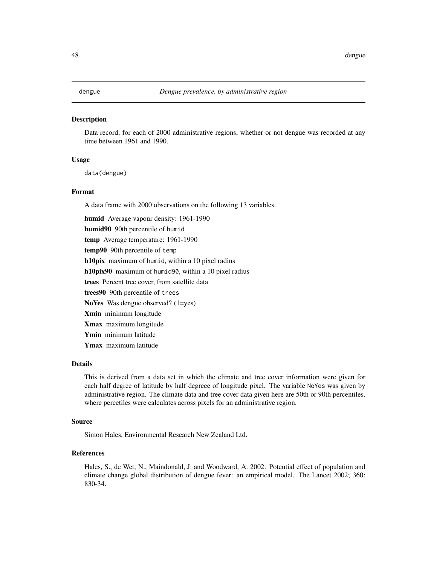Data record, for each of 2000 administrative regions, whether or not dengue was recorded at any time between 1961 and 1990.

## Usage

data(dengue)

#### Format

A data frame with 2000 observations on the following 13 variables.

humid Average vapour density: 1961-1990 humid90 90th percentile of humid temp Average temperature: 1961-1990 temp90 90th percentile of temp h10pix maximum of humid, within a 10 pixel radius h10pix90 maximum of humid90, within a 10 pixel radius trees Percent tree cover, from satellite data trees90 90th percentile of trees NoYes Was dengue observed? (1=yes) Xmin minimum longitude Xmax maximum longitude Ymin minimum latitude Ymax maximum latitude

## Details

This is derived from a data set in which the climate and tree cover information were given for each half degree of latitude by half degreee of longitude pixel. The variable NoYes was given by administrative region. The climate data and tree cover data given here are 50th or 90th percentiles, where percetiles were calculates across pixels for an administrative region.

## Source

Simon Hales, Environmental Research New Zealand Ltd.

# References

Hales, S., de Wet, N., Maindonald, J. and Woodward, A. 2002. Potential effect of population and climate change global distribution of dengue fever: an empirical model. The Lancet 2002; 360: 830-34.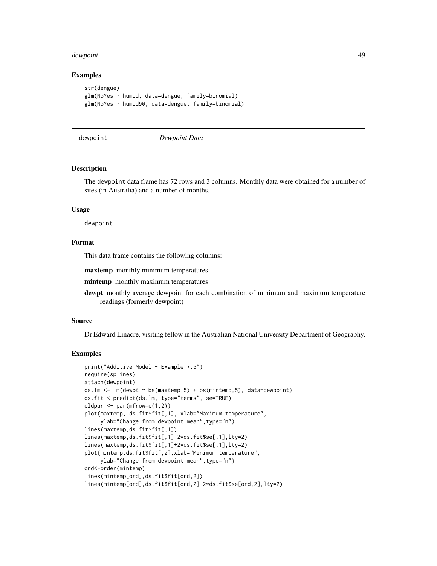#### dewpoint **49**

## Examples

```
str(dengue)
glm(NoYes ~ humid, data=dengue, family=binomial)
glm(NoYes ~ humid90, data=dengue, family=binomial)
```

```
dewpoint Dewpoint Data
```
# **Description**

The dewpoint data frame has 72 rows and 3 columns. Monthly data were obtained for a number of sites (in Australia) and a number of months.

## Usage

dewpoint

## Format

This data frame contains the following columns:

maxtemp monthly minimum temperatures

mintemp monthly maximum temperatures

dewpt monthly average dewpoint for each combination of minimum and maximum temperature readings (formerly dewpoint)

#### Source

Dr Edward Linacre, visiting fellow in the Australian National University Department of Geography.

```
print("Additive Model - Example 7.5")
require(splines)
attach(dewpoint)
ds.lm \leftarrow lm(dewpt \sim bs(maxtemp,5) + bs(mintemp,5), data=dewpoint)
ds.fit <-predict(ds.lm, type="terms", se=TRUE)
oldpar \leq par(mfrow=c(1,2))
plot(maxtemp, ds.fit$fit[,1], xlab="Maximum temperature",
     ylab="Change from dewpoint mean", type="n")
lines(maxtemp,ds.fit$fit[,1])
lines(maxtemp,ds.fit$fit[,1]-2*ds.fit$se[,1],lty=2)
lines(maxtemp,ds.fit$fit[,1]+2*ds.fit$se[,1],lty=2)
plot(mintemp,ds.fit$fit[,2],xlab="Minimum temperature",
     ylab="Change from dewpoint mean", type="n")
ord<-order(mintemp)
lines(mintemp[ord],ds.fit$fit[ord,2])
lines(mintemp[ord],ds.fit$fit[ord,2]-2*ds.fit$se[ord,2],lty=2)
```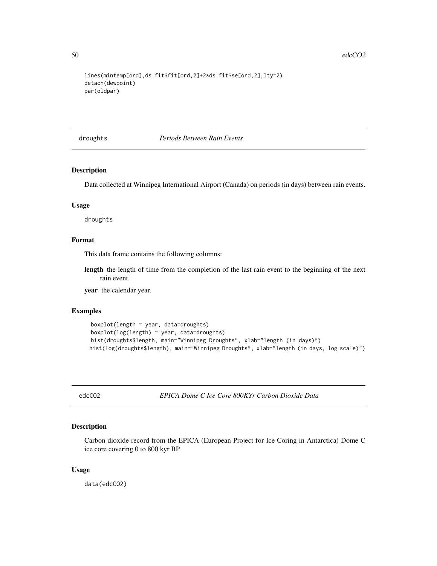```
lines(mintemp[ord],ds.fit$fit[ord,2]+2*ds.fit$se[ord,2],lty=2)
detach(dewpoint)
par(oldpar)
```
droughts *Periods Between Rain Events*

# Description

Data collected at Winnipeg International Airport (Canada) on periods (in days) between rain events.

## Usage

droughts

# Format

This data frame contains the following columns:

length the length of time from the completion of the last rain event to the beginning of the next rain event.

year the calendar year.

# Examples

```
boxplot(length ~ year, data=droughts)
boxplot(log(length) ~ year, data=droughts)
hist(droughts$length, main="Winnipeg Droughts", xlab="length (in days)")
hist(log(droughts$length), main="Winnipeg Droughts", xlab="length (in days, log scale)")
```
edcCO2 *EPICA Dome C Ice Core 800KYr Carbon Dioxide Data*

#### Description

Carbon dioxide record from the EPICA (European Project for Ice Coring in Antarctica) Dome C ice core covering 0 to 800 kyr BP.

## Usage

data(edcCO2)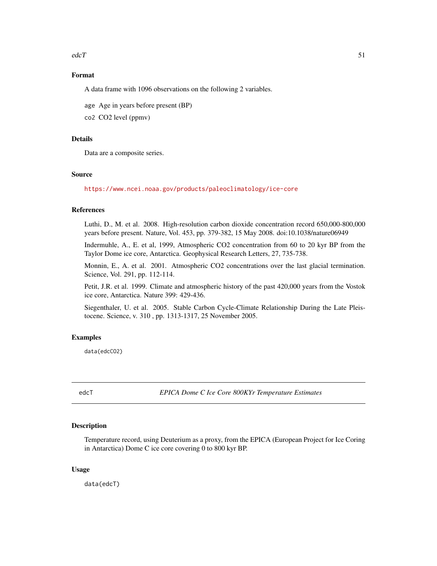$\text{edc}T$  51

# Format

A data frame with 1096 observations on the following 2 variables.

age Age in years before present (BP)

co2 CO2 level (ppmv)

# Details

Data are a composite series.

# Source

<https://www.ncei.noaa.gov/products/paleoclimatology/ice-core>

## References

Luthi, D., M. et al. 2008. High-resolution carbon dioxide concentration record 650,000-800,000 years before present. Nature, Vol. 453, pp. 379-382, 15 May 2008. doi:10.1038/nature06949

Indermuhle, A., E. et al, 1999, Atmospheric CO2 concentration from 60 to 20 kyr BP from the Taylor Dome ice core, Antarctica. Geophysical Research Letters, 27, 735-738.

Monnin, E., A. et al. 2001. Atmospheric CO2 concentrations over the last glacial termination. Science, Vol. 291, pp. 112-114.

Petit, J.R. et al. 1999. Climate and atmospheric history of the past 420,000 years from the Vostok ice core, Antarctica. Nature 399: 429-436.

Siegenthaler, U. et al. 2005. Stable Carbon Cycle-Climate Relationship During the Late Pleistocene. Science, v. 310 , pp. 1313-1317, 25 November 2005.

## Examples

data(edcCO2)

edcT *EPICA Dome C Ice Core 800KYr Temperature Estimates*

# Description

Temperature record, using Deuterium as a proxy, from the EPICA (European Project for Ice Coring in Antarctica) Dome C ice core covering 0 to 800 kyr BP.

## Usage

data(edcT)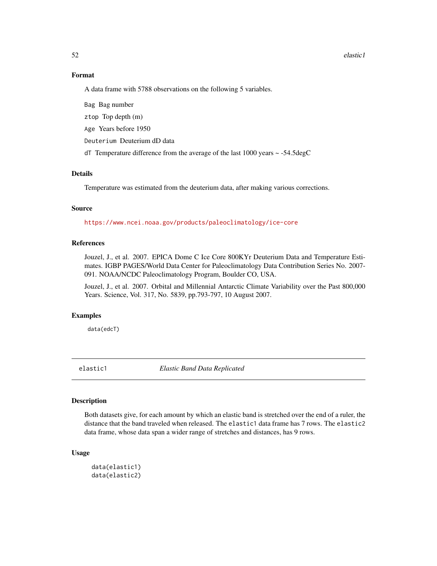#### 52 elastic1

# Format

A data frame with 5788 observations on the following 5 variables.

Bag Bag number

ztop Top depth (m)

Age Years before 1950

Deuterium Deuterium dD data

dT Temperature difference from the average of the last 1000 years ~ -54.5degC

# Details

Temperature was estimated from the deuterium data, after making various corrections.

# Source

<https://www.ncei.noaa.gov/products/paleoclimatology/ice-core>

## References

Jouzel, J., et al. 2007. EPICA Dome C Ice Core 800KYr Deuterium Data and Temperature Estimates. IGBP PAGES/World Data Center for Paleoclimatology Data Contribution Series No. 2007- 091. NOAA/NCDC Paleoclimatology Program, Boulder CO, USA.

Jouzel, J., et al. 2007. Orbital and Millennial Antarctic Climate Variability over the Past 800,000 Years. Science, Vol. 317, No. 5839, pp.793-797, 10 August 2007.

## Examples

data(edcT)

elastic1 *Elastic Band Data Replicated*

# Description

Both datasets give, for each amount by which an elastic band is stretched over the end of a ruler, the distance that the band traveled when released. The elastic1 data frame has 7 rows. The elastic2 data frame, whose data span a wider range of stretches and distances, has 9 rows.

## Usage

```
data(elastic1)
data(elastic2)
```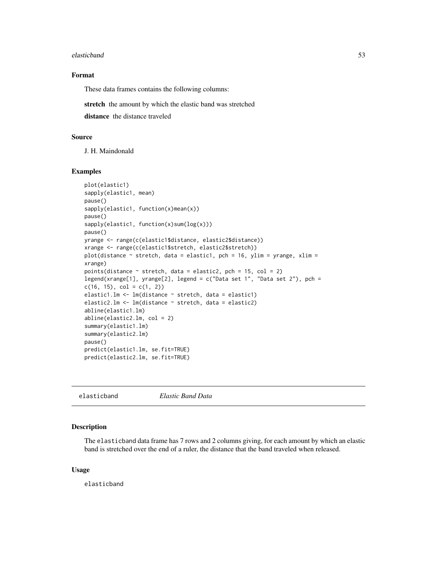#### elasticband 53

# Format

These data frames contains the following columns:

stretch the amount by which the elastic band was stretched

distance the distance traveled

# Source

J. H. Maindonald

## Examples

```
plot(elastic1)
sapply(elastic1, mean)
pause()
sapply(elastic1, function(x)mean(x))
pause()
sapply(elastic1, function(x)sum(log(x)))
pause()
yrange <- range(c(elastic1$distance, elastic2$distance))
xrange <- range(c(elastic1$stretch, elastic2$stretch))
plot(distance \sim stretch, data = elastic1, pch = 16, ylim = yrange, xlim =
xrange)
points(distance \sim stretch, data = elastic2, pch = 15, col = 2)
legend(xrange[1], yrange[2], legend = c("Data set 1", "Data set 2"), pch =
c(16, 15), col = c(1, 2)elastic1.lm <- lm(distance ~ stretch, data = elastic1)
elastic2.lm <- lm(distance ~ stretch, data = elastic2)
abline(elastic1.lm)
abline(elastic2.lm, col = 2)
summary(elastic1.lm)
summary(elastic2.lm)
pause()
predict(elastic1.lm, se.fit=TRUE)
predict(elastic2.lm, se.fit=TRUE)
```
elasticband *Elastic Band Data*

#### Description

The elasticband data frame has 7 rows and 2 columns giving, for each amount by which an elastic band is stretched over the end of a ruler, the distance that the band traveled when released.

#### Usage

elasticband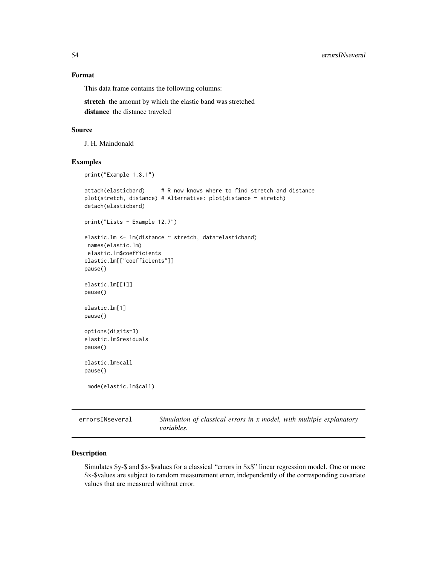# Format

This data frame contains the following columns:

stretch the amount by which the elastic band was stretched distance the distance traveled

## Source

J. H. Maindonald

## Examples

```
print("Example 1.8.1")
attach(elasticband) # R now knows where to find stretch and distance
plot(stretch, distance) # Alternative: plot(distance ~ stretch)
detach(elasticband)
print("Lists - Example 12.7")
elastic.lm <- lm(distance ~ stretch, data=elasticband)
names(elastic.lm)
elastic.lm$coefficients
elastic.lm[["coefficients"]]
pause()
elastic.lm[[1]]
pause()
elastic.lm[1]
pause()
options(digits=3)
elastic.lm$residuals
pause()
elastic.lm$call
pause()
mode(elastic.lm$call)
```
errorsINseveral *Simulation of classical errors in x model, with multiple explanatory variables.*

# Description

Simulates \$y-\$ and \$x-\$values for a classical "errors in \$x\$" linear regression model. One or more \$x-\$values are subject to random measurement error, independently of the corresponding covariate values that are measured without error.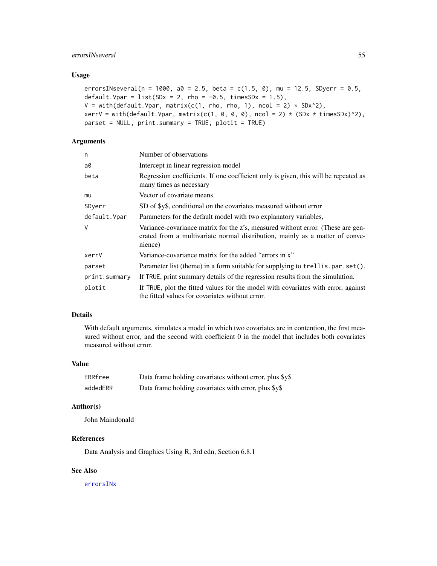# errorsINseveral 55

# Usage

```
errorsINseveral(n = 1000, a0 = 2.5, beta = c(1.5, 0), mu = 12.5, SDyerr = 0.5,
default. Vpar = list(SDx = 2, rho = -0.5, timesSDx = 1.5),
V = with(default.Vpar, matrix(c(1, rho, rho, 1), ncol = 2) * SDx^2),xerrV = with(default.Vpar, matrix(c(1, 0, 0, 0), ncol = 2) * (SDx * timesSDx)^2),parset = NULL, print.summary = TRUE, plotit = TRUE)
```
# Arguments

| n             | Number of observations                                                                                                                                                     |
|---------------|----------------------------------------------------------------------------------------------------------------------------------------------------------------------------|
| a0            | Intercept in linear regression model                                                                                                                                       |
| beta          | Regression coefficients. If one coefficient only is given, this will be repeated as<br>many times as necessary                                                             |
| mu            | Vector of covariate means.                                                                                                                                                 |
| SDyerr        | SD of \$y\$, conditional on the covariates measured without error                                                                                                          |
| default.Vpar  | Parameters for the default model with two explanatory variables,                                                                                                           |
| $\vee$        | Variance-covariance matrix for the z's, measured without error. (These are gen-<br>erated from a multivariate normal distribution, mainly as a matter of conve-<br>nience) |
| xerrV         | Variance-covariance matrix for the added "errors in x"                                                                                                                     |
| parset        | Parameter list (theme) in a form suitable for supplying to trellis.par.set().                                                                                              |
| print.summary | If TRUE, print summary details of the regression results from the simulation.                                                                                              |
| plotit        | If TRUE, plot the fitted values for the model with covariates with error, against<br>the fitted values for covariates without error.                                       |

# Details

With default arguments, simulates a model in which two covariates are in contention, the first measured without error, and the second with coefficient 0 in the model that includes both covariates measured without error.

#### Value

| ERRfree  | Data frame holding covariates without error, plus \$y\$ |
|----------|---------------------------------------------------------|
| addedERR | Data frame holding covariates with error, plus \$y\$    |

# Author(s)

John Maindonald

# References

Data Analysis and Graphics Using R, 3rd edn, Section 6.8.1

# See Also

[errorsINx](#page-56-0)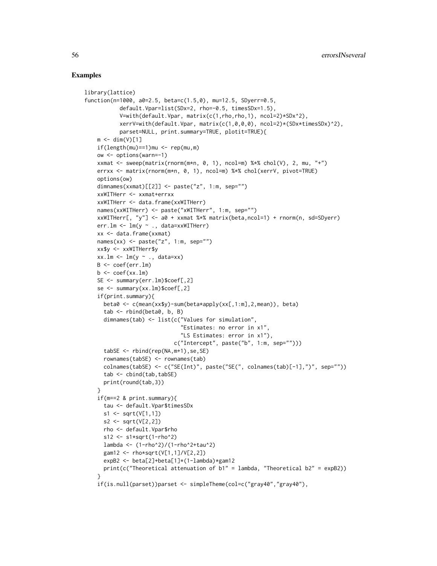```
library(lattice)
function(n=1000, a0=2.5, beta=c(1.5,0), mu=12.5, SDyerr=0.5,
           default.Vpar=list(SDx=2, rho=-0.5, timesSDx=1.5),
           V=with(default.Vpar, matrix(c(1,rho,rho,1), ncol=2)*SDx^2),
           xerrV=with(default.Vpar, matrix(c(1,0,0,0), ncol=2)*(SDx*timesSDx)^2),
           parset=NULL, print.summary=TRUE, plotit=TRUE){
    m \leftarrow \text{dim}(V)[1]if(length(mu) == 1)mu \leftarrow rep(mu, m)ow <- options(warn=-1)
    xxmat <- sweep(matrix(rnorm(m*n, 0, 1), ncol=m) %*% chol(V), 2, mu, "+")
    errxx <- matrix(rnorm(m*n, 0, 1), ncol=m) %*% chol(xerrV, pivot=TRUE)
    options(ow)
    dimnames(xxmat)[[2]] <- paste("z", 1:m, sep="")
    xxWITHerr <- xxmat+errxx
    xxWITHerr <- data.frame(xxWITHerr)
   names(xxWITHerr) <- paste("xWITHerr", 1:m, sep="")
   xxWITHerr[, "y"] <- a0 + xxmat %*% matrix(beta,ncol=1) + rnorm(n, sd=SDyerr)
    err.lm <- lm(y ~ ., data=xxWITHerr)
    xx <- data.frame(xxmat)
    names(xx) \leq paste("z", 1:m, sep="")
    xx$y <- xxWITHerr$y
    xx.lm < -lm(y \sim ., data=xx)B <- coef(err.lm)
    b \leftarrow \text{coef}(xx.lm)SE <- summary(err.lm)$coef[,2]
    se <- summary(xx.lm)$coef[,2]
    if(print.summary){
      beta0 <- c(mean(xx$y)-sum(beta*apply(xx[,1:m],2,mean)), beta)
      tab < -</math>rbind(beta0, b, B)dimnames(tab) <- list(c("Values for simulation",
                               "Estimates: no error in x1",
                               "LS Estimates: error in x1"),
                             c("Intercept", paste("b", 1:m, sep="")))
      tabSE <- rbind(rep(NA,m+1),se,SE)
      rownames(tabSE) <- rownames(tab)
      colnames(tabSE) <- c("SE(Int)", paste("SE(", colnames(tab)[-1],")", sep=""))
      tab < - \text{cbind}(\text{tab}, \text{tabSE})print(round(tab,3))
    }
    if(m==2 & print.summary){
      tau <- default.Vpar$timesSDx
      s1 <- sqrt(V[1,1])
      s2 <- sqrt(V[2,2])
      rho <- default.Vpar$rho
      s12 \leq s1*sqrt(1-rho^2)lambda <- (1-rho^2)/(1-rho^2+tau^2)
      gam12 <- rho*sqrt(V[1,1]/V[2,2])
      expB2 <- beta[2]+beta[1]*(1-lambda)*gam12
      print(c("Theoretical attenuation of b1" = lambda, "Theoretical b2" = expB2))
    }
    if(is.null(parset))parset <- simpleTheme(col=c("gray40","gray40"),
```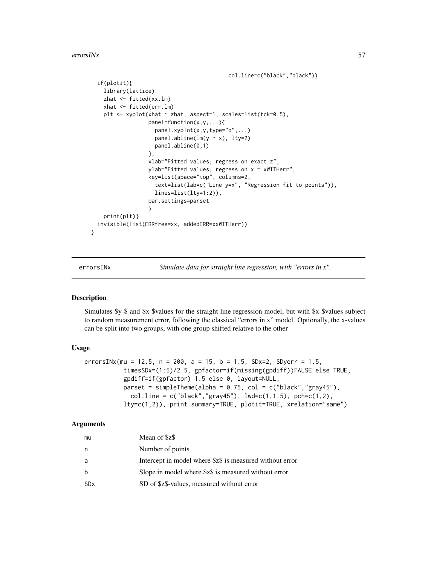errorsINx 57

```
col.line=c("black","black"))
  if(plotit){
    library(lattice)
    zhat <- fitted(xx.lm)
    xhat <- fitted(err.lm)
    plt <- xyplot(xhat ~ zhat, aspect=1, scales=list(tck=0.5),
                  panel=function(x,y,...){
                    panel.xyplot(x,y,type="p",...)
                    panel.abline(lm(y \sim x), lty=2)
                    panel.abline(0,1)
                  },
                  xlab="Fitted values; regress on exact z",
                  ylab="Fitted values; regress on x = xWITHerr",
                  key=list(space="top", columns=2,
                    text=list(lab=c("Line y=x", "Regression fit to points")),
                    lines=list(lty=1:2)),
                  par.settings=parset
                  )
    print(plt)}
  invisible(list(ERRfree=xx, addedERR=xxWITHerr))
}
```
<span id="page-56-0"></span>

errorsINx *Simulate data for straight line regression, with "errors in x".*

# Description

Simulates \$y-\$ and \$x-\$values for the straight line regression model, but with \$x-\$values subject to random measurement error, following the classical "errors in x" model. Optionally, the x-values can be split into two groups, with one group shifted relative to the other

## Usage

```
errorsINx(mu = 12.5, n = 200, a = 15, b = 1.5, SDx=2, SDyerr = 1.5,
           timesSDx=(1:5)/2.5, gpfactor=if(missing(gpdiff))FALSE else TRUE,
           gpdiff=if(gpfactor) 1.5 else 0, layout=NULL,
           parset = simpleTheme(alpha = 0.75, col = c("black","gray45"),
             col.line = c("black", "gray45"), lwd=c(1,1.5), pch=c(1,2),
           lty=c(1,2)), print.summary=TRUE, plotit=TRUE, xrelation="same")
```
#### Arguments

| mu                    | Mean of \$z\$                                            |
|-----------------------|----------------------------------------------------------|
| n                     | Number of points                                         |
| a                     | Intercept in model where \$z\$ is measured without error |
| b                     | Slope in model where \$z\$ is measured without error     |
| <b>SD<sub>x</sub></b> | SD of \$z\$-values, measured without error               |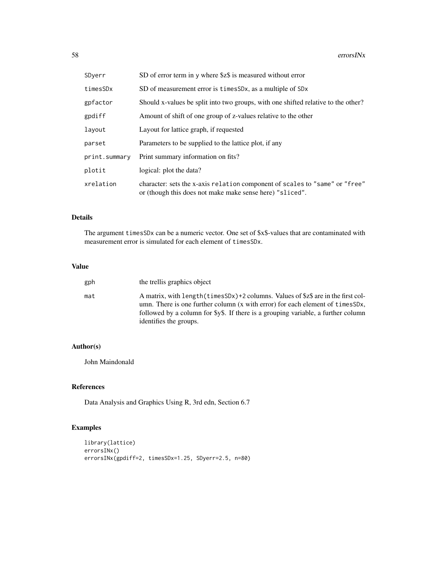| SDyerr        | SD of error term in y where \$z\$ is measured without error                                                                             |
|---------------|-----------------------------------------------------------------------------------------------------------------------------------------|
| timesSDx      | SD of measurement error is times SDx, as a multiple of SDx                                                                              |
| gpfactor      | Should x-values be split into two groups, with one shifted relative to the other?                                                       |
| gpdiff        | Amount of shift of one group of z-values relative to the other                                                                          |
| layout        | Layout for lattice graph, if requested                                                                                                  |
| parset        | Parameters to be supplied to the lattice plot, if any                                                                                   |
| print.summary | Print summary information on fits?                                                                                                      |
| plotit        | logical: plot the data?                                                                                                                 |
| xrelation     | character: sets the x-axis relation component of scales to "same" or "free"<br>or (though this does not make make sense here) "sliced". |

# Details

The argument timesSDx can be a numeric vector. One set of \$x\$-values that are contaminated with measurement error is simulated for each element of timesSDx.

## Value

| gph | the trellis graphics object                                                                                                                                                                                                                                                         |
|-----|-------------------------------------------------------------------------------------------------------------------------------------------------------------------------------------------------------------------------------------------------------------------------------------|
| mat | A matrix, with length (times SDx) +2 columns. Values of \$z\$ are in the first col-<br>umn. There is one further column (x with error) for each element of timesSDx,<br>followed by a column for \$y\$. If there is a grouping variable, a further column<br>identifies the groups. |

# Author(s)

John Maindonald

# References

Data Analysis and Graphics Using R, 3rd edn, Section 6.7

```
library(lattice)
errorsINx()
errorsINx(gpdiff=2, timesSDx=1.25, SDyerr=2.5, n=80)
```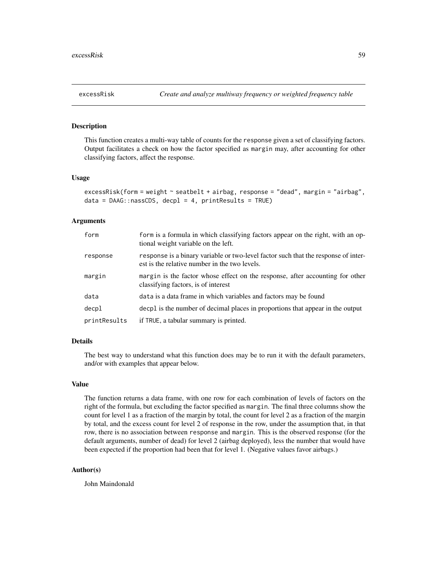This function creates a multi-way table of counts for the response given a set of classifying factors. Output facilitates a check on how the factor specified as margin may, after accounting for other classifying factors, affect the response.

## Usage

```
excessRisk(form = weight ~ seatbelt + airbag, response = "dead", margin = "airbag",
data = DAG::nassCDS, deep1 = 4, printResults = TRUE)
```
## Arguments

| form         | form is a formula in which classifying factors appear on the right, with an op-<br>tional weight variable on the left.              |
|--------------|-------------------------------------------------------------------------------------------------------------------------------------|
| response     | response is a binary variable or two-level factor such that the response of inter-<br>est is the relative number in the two levels. |
| margin       | margin is the factor whose effect on the response, after accounting for other<br>classifying factors, is of interest                |
| data         | data is a data frame in which variables and factors may be found                                                                    |
| decpl        | decpl is the number of decimal places in proportions that appear in the output                                                      |
| printResults | if TRUE, a tabular summary is printed.                                                                                              |

## Details

The best way to understand what this function does may be to run it with the default parameters, and/or with examples that appear below.

#### Value

The function returns a data frame, with one row for each combination of levels of factors on the right of the formula, but excluding the factor specified as margin. The final three columns show the count for level 1 as a fraction of the margin by total, the count for level 2 as a fraction of the margin by total, and the excess count for level 2 of response in the row, under the assumption that, in that row, there is no association between response and margin. This is the observed response (for the default arguments, number of dead) for level 2 (airbag deployed), less the number that would have been expected if the proportion had been that for level 1. (Negative values favor airbags.)

## Author(s)

John Maindonald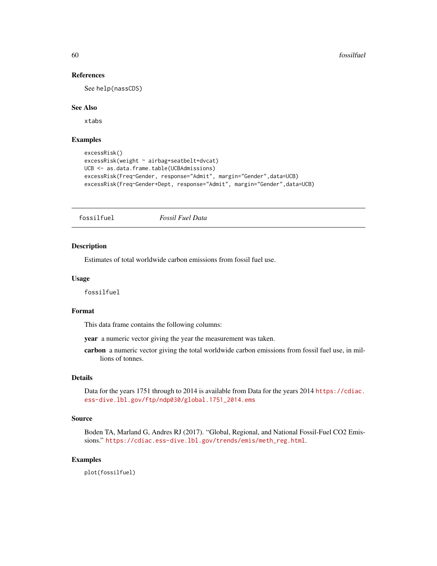# References

See help(nassCDS)

## See Also

xtabs

# Examples

```
excessRisk()
excessRisk(weight ~ airbag+seatbelt+dvcat)
UCB <- as.data.frame.table(UCBAdmissions)
excessRisk(Freq~Gender, response="Admit", margin="Gender",data=UCB)
excessRisk(Freq~Gender+Dept, response="Admit", margin="Gender",data=UCB)
```
fossilfuel *Fossil Fuel Data*

#### Description

Estimates of total worldwide carbon emissions from fossil fuel use.

# Usage

fossilfuel

#### Format

This data frame contains the following columns:

year a numeric vector giving the year the measurement was taken.

carbon a numeric vector giving the total worldwide carbon emissions from fossil fuel use, in millions of tonnes.

# Details

Data for the years 1751 through to 2014 is available from Data for the years 2014 [https://cdiac.](https://cdiac.ess-dive.lbl.gov/ftp/ndp030/global.1751_2014.ems) [ess-dive.lbl.gov/ftp/ndp030/global.1751\\_2014.ems](https://cdiac.ess-dive.lbl.gov/ftp/ndp030/global.1751_2014.ems)

#### Source

Boden TA, Marland G, Andres RJ (2017). "Global, Regional, and National Fossil-Fuel CO2 Emissions." [https://cdiac.ess-dive.lbl.gov/trends/emis/meth\\_reg.html](https://cdiac.ess-dive.lbl.gov/trends/emis/meth_reg.html).

# Examples

plot(fossilfuel)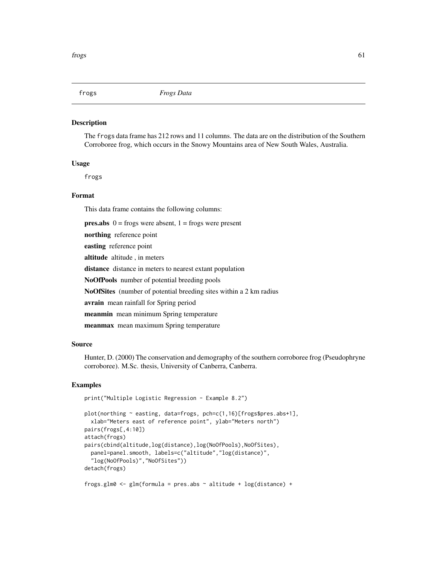The frogs data frame has 212 rows and 11 columns. The data are on the distribution of the Southern Corroboree frog, which occurs in the Snowy Mountains area of New South Wales, Australia.

#### Usage

frogs

# Format

This data frame contains the following columns:

**pres.abs**  $0 = \text{frogs were absent}$ ,  $1 = \text{frogs were present}$ 

northing reference point

easting reference point

altitude altitude , in meters

distance distance in meters to nearest extant population

NoOfPools number of potential breeding pools

NoOfSites (number of potential breeding sites within a 2 km radius

avrain mean rainfall for Spring period

meanmin mean minimum Spring temperature

meanmax mean maximum Spring temperature

## Source

Hunter, D. (2000) The conservation and demography of the southern corroboree frog (Pseudophryne corroboree). M.Sc. thesis, University of Canberra, Canberra.

# Examples

```
print("Multiple Logistic Regression - Example 8.2")
```

```
plot(northing ~ easting, data=frogs, pch=c(1,16)[frogs$pres.abs+1],
 xlab="Meters east of reference point", ylab="Meters north")
pairs(frogs[,4:10])
attach(frogs)
pairs(cbind(altitude,log(distance),log(NoOfPools),NoOfSites),
 panel=panel.smooth, labels=c("altitude","log(distance)",
  "log(NoOfPools)","NoOfSites"))
detach(frogs)
```
frogs.glm0 <- glm(formula = pres.abs  $\sim$  altitude + log(distance) +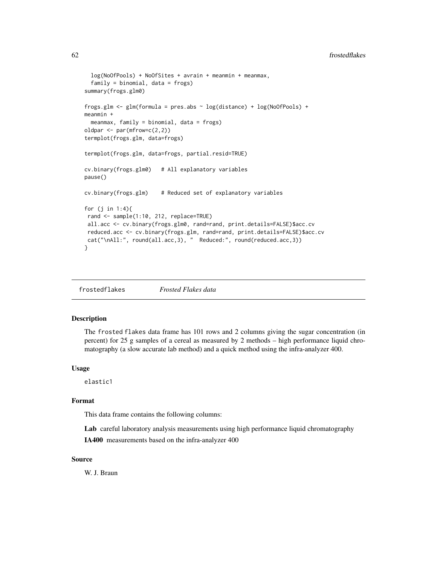```
log(NoOfPools) + NoOfSites + avrain + meanmin + meanmax,
 family = binomial, data = frogs)
summary(frogs.glm0)
frogs.glm <- glm(formula = pres.abs ~ log(distance) + log(NoOfPools) +
meanmin +
 meanmax, family = binomial, data = frogs)
oldpar <- par(mfrow=c(2,2))
termplot(frogs.glm, data=frogs)
termplot(frogs.glm, data=frogs, partial.resid=TRUE)
cv.binary(frogs.glm0) # All explanatory variables
pause()
cv.binary(frogs.glm) # Reduced set of explanatory variables
for (j in 1:4){
rand <- sample(1:10, 212, replace=TRUE)
all.acc <- cv.binary(frogs.glm0, rand=rand, print.details=FALSE)$acc.cv
reduced.acc <- cv.binary(frogs.glm, rand=rand, print.details=FALSE)$acc.cv
cat("\nAll:", round(all.acc,3), " Reduced:", round(reduced.acc,3))
}
```
frostedflakes *Frosted Flakes data*

# Description

The frosted flakes data frame has 101 rows and 2 columns giving the sugar concentration (in percent) for 25 g samples of a cereal as measured by 2 methods – high performance liquid chromatography (a slow accurate lab method) and a quick method using the infra-analyzer 400.

## Usage

elastic1

# Format

This data frame contains the following columns:

Lab careful laboratory analysis measurements using high performance liquid chromatography IA400 measurements based on the infra-analyzer 400

#### Source

W. J. Braun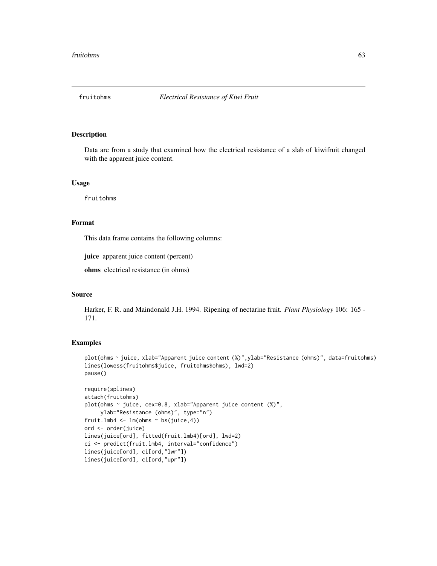Data are from a study that examined how the electrical resistance of a slab of kiwifruit changed with the apparent juice content.

#### Usage

fruitohms

## Format

This data frame contains the following columns:

juice apparent juice content (percent)

ohms electrical resistance (in ohms)

## Source

Harker, F. R. and Maindonald J.H. 1994. Ripening of nectarine fruit. *Plant Physiology* 106: 165 - 171.

```
plot(ohms ~ juice, xlab="Apparent juice content (%)",ylab="Resistance (ohms)", data=fruitohms)
lines(lowess(fruitohms$juice, fruitohms$ohms), lwd=2)
pause()
```

```
require(splines)
attach(fruitohms)
plot(ohms ~ juice, cex=0.8, xlab="Apparent juice content (%)",
     ylab="Resistance (ohms)", type="n")
fruit.lmb4 \leq lm(ohms \sim bs(juice, 4))
ord <- order(juice)
lines(juice[ord], fitted(fruit.lmb4)[ord], lwd=2)
ci <- predict(fruit.lmb4, interval="confidence")
lines(juice[ord], ci[ord,"lwr"])
lines(juice[ord], ci[ord,"upr"])
```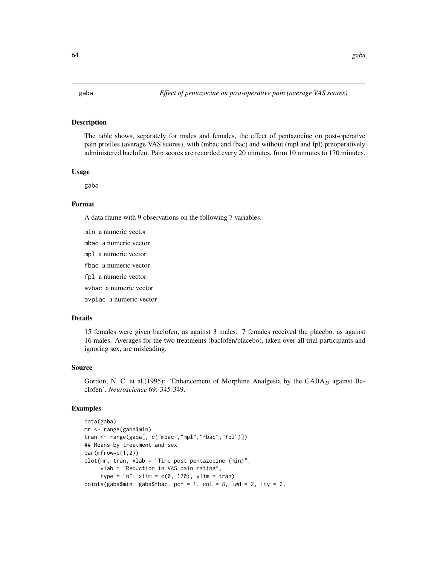The table shows, separately for males and females, the effect of pentazocine on post-operative pain profiles (average VAS scores), with (mbac and fbac) and without (mpl and fpl) preoperatively administered baclofen. Pain scores are recorded every 20 minutes, from 10 minutes to 170 minutes.

#### Usage

gaba

# Format

A data frame with 9 observations on the following 7 variables.

min a numeric vector mbac a numeric vector mpl a numeric vector fbac a numeric vector fpl a numeric vector avbac a numeric vector avplac a numeric vector

# Details

15 females were given baclofen, as against 3 males. 7 females received the placebo, as against 16 males. Averages for the two treatments (baclofen/placebo), taken over all trial participants and ignoring sex, are misleading.

#### Source

Gordon, N. C. et al.(1995): 'Enhancement of Morphine Analgesia by the  $GABA_B$  against Baclofen'. *Neuroscience* 69: 345-349.

```
data(gaba)
mr <- range(gaba$min)
tran <- range(gaba[, c("mbac","mpl","fbac","fpl")])
## Means by treatment and sex
par(mfrow=c(1,2))
plot(mr, tran, xlab = "Time post pentazocine (min)",
     ylab = "Reduction in VAS pain rating",
     type = "n", xlim = c(0, 170), ylim = tran)
points(gaba$min, gaba$fbac, pch = 1, col = 8, lwd = 2, lty = 2,
```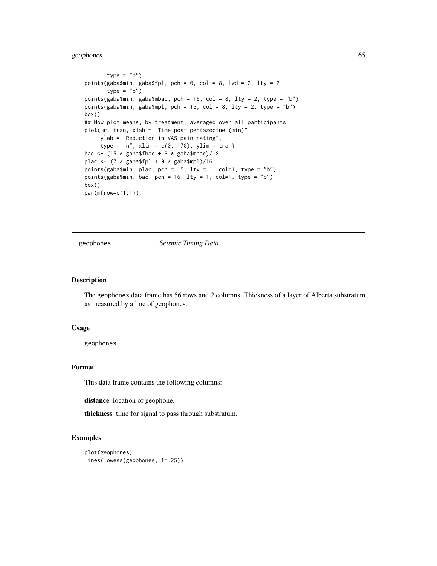# geophones 65

```
type = "b")
points(gaba$min, gaba$fpl, pch = 0, col = 8, lwd = 2, lty = 2,
       type = "b")
points(gaba$min, gaba$mbac, pch = 16, col = 8, lty = 2, type = "b")
points(gaba$min, gaba$mpl, pch = 15, col = 8, lty = 2, type = "b")
box()
## Now plot means, by treatment, averaged over all participants
plot(mr, tran, xlab = "Time post pentazocine (min)",
    ylab = "Reduction in VAS pain rating",
     type = "n", xlim = c(0, 170), ylim = tran)
bac <- (15 * \text{ gaba\$fbac} + 3 * \text{gaba\$mbac})/18plac <- (7 * gaba$fpl + 9 * gaba$mpl)/16
points(gaba$min, plac, pch = 15, lty = 1, col=1, type = "b")
points(gaba$min, bac, pch = 16, lty = 1, col=1, type = "b")
box()
par(mfrow=c(1,1))
```
geophones *Seismic Timing Data*

## Description

The geophones data frame has 56 rows and 2 columns. Thickness of a layer of Alberta substratum as measured by a line of geophones.

#### Usage

geophones

## Format

This data frame contains the following columns:

distance location of geophone.

thickness time for signal to pass through substratum.

```
plot(geophones)
lines(lowess(geophones, f=.25))
```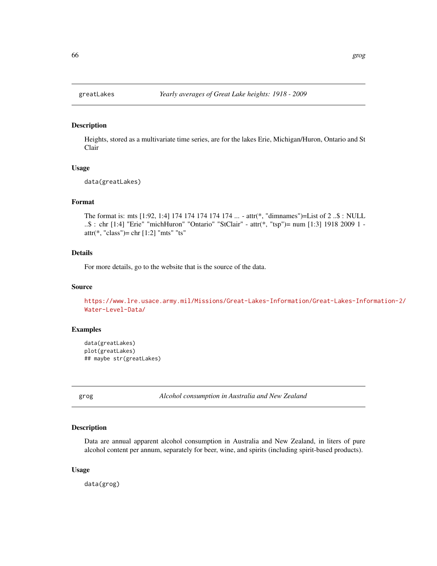Heights, stored as a multivariate time series, are for the lakes Erie, Michigan/Huron, Ontario and St Clair

# Usage

data(greatLakes)

#### Format

The format is: mts [1:92, 1:4] 174 174 174 174 174 ... - attr(\*, "dimnames")=List of 2 ..\$ : NULL ..\$ : chr [1:4] "Erie" "michHuron" "Ontario" "StClair" - attr(\*, "tsp")= num [1:3] 1918 2009 1 attr(\*, "class")= chr [1:2] "mts" "ts"

# Details

For more details, go to the website that is the source of the data.

# Source

[https://www.lre.usace.army.mil/Missions/Great-Lakes-Information/Great-Lakes-Inf](https://www.lre.usace.army.mil/Missions/Great-Lakes-Information/Great-Lakes-Information-2/Water-Level-Data/)ormation-2/ [Water-Level-Data/](https://www.lre.usace.army.mil/Missions/Great-Lakes-Information/Great-Lakes-Information-2/Water-Level-Data/)

# Examples

```
data(greatLakes)
plot(greatLakes)
## maybe str(greatLakes)
```
grog *Alcohol consumption in Australia and New Zealand*

#### Description

Data are annual apparent alcohol consumption in Australia and New Zealand, in liters of pure alcohol content per annum, separately for beer, wine, and spirits (including spirit-based products).

## Usage

data(grog)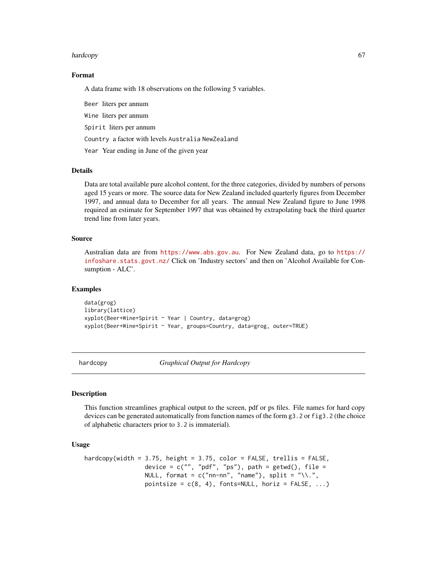#### hardcopy 67

# Format

A data frame with 18 observations on the following 5 variables.

Beer liters per annum Wine liters per annum Spirit liters per annum Country a factor with levels Australia NewZealand Year Year ending in June of the given year

# **Details**

Data are total available pure alcohol content, for the three categories, divided by numbers of persons aged 15 years or more. The source data for New Zealand included quarterly figures from December 1997, and annual data to December for all years. The annual New Zealand figure to June 1998 required an estimate for September 1997 that was obtained by extrapolating back the third quarter trend line from later years.

# Source

Australian data are from <https://www.abs.gov.au>. For New Zealand data, go to [https://](https://infoshare.stats.govt.nz/) [infoshare.stats.govt.nz/](https://infoshare.stats.govt.nz/) Click on 'Industry sectors' and then on 'Alcohol Available for Consumption - ALC'.

## Examples

data(grog) library(lattice) xyplot(Beer+Wine+Spirit ~ Year | Country, data=grog) xyplot(Beer+Wine+Spirit ~ Year, groups=Country, data=grog, outer=TRUE)

hardcopy *Graphical Output for Hardcopy*

## **Description**

This function streamlines graphical output to the screen, pdf or ps files. File names for hard copy devices can be generated automatically from function names of the form g3.2 or fig3.2 (the choice of alphabetic characters prior to 3.2 is immaterial).

# Usage

```
hardcopy(width = 3.75, height = 3.75, color = FALSE, trellis = FALSE,
                 device = c("", "pdf", "ps"), path = getwd(), file =
                 NULL, format = c("nn-nn", "name"), split = "\\\.",pointsize = c(8, 4), fonts=NULL, horiz = FALSE, ...)
```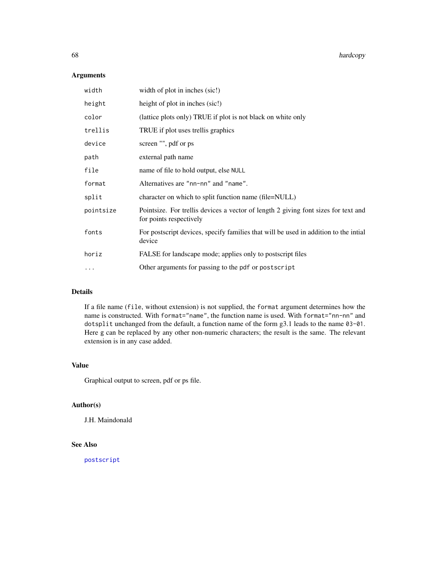# Arguments

| width     | width of plot in inches (sic!)                                                                                |
|-----------|---------------------------------------------------------------------------------------------------------------|
| height    | height of plot in inches (sic!)                                                                               |
| color     | (lattice plots only) TRUE if plot is not black on white only                                                  |
| trellis   | TRUE if plot uses trellis graphics                                                                            |
| device    | screen "", pdf or ps                                                                                          |
| path      | external path name                                                                                            |
| file      | name of file to hold output, else NULL                                                                        |
| format    | Alternatives are "nn-nn" and "name".                                                                          |
| split     | character on which to split function name (file=NULL)                                                         |
| pointsize | Pointsize. For trellis devices a vector of length 2 giving font sizes for text and<br>for points respectively |
| fonts     | For postscript devices, specify families that will be used in addition to the intial<br>device                |
| horiz     | FALSE for landscape mode; applies only to postscript files                                                    |
| $\cdots$  | Other arguments for passing to the pdf or postscript                                                          |

# Details

If a file name (file, without extension) is not supplied, the format argument determines how the name is constructed. With format="name", the function name is used. With format="nn-nn" and dotsplit unchanged from the default, a function name of the form g3.1 leads to the name 03-01. Here g can be replaced by any other non-numeric characters; the result is the same. The relevant extension is in any case added.

# Value

Graphical output to screen, pdf or ps file.

# Author(s)

J.H. Maindonald

# See Also

[postscript](#page-0-0)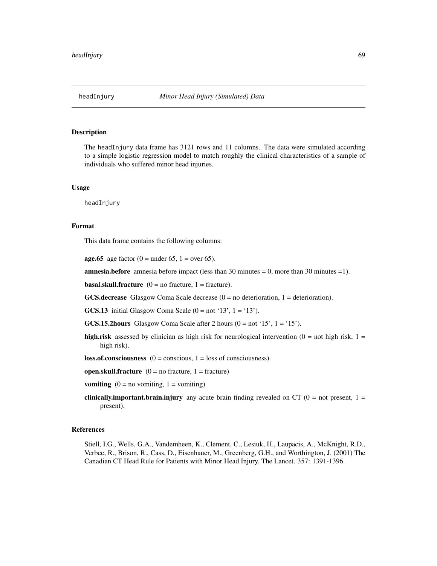The headInjury data frame has 3121 rows and 11 columns. The data were simulated according to a simple logistic regression model to match roughly the clinical characteristics of a sample of individuals who suffered minor head injuries.

## Usage

headInjury

## Format

This data frame contains the following columns:

**age.65** age factor (0 = under 65, 1 = over 65).

**amnesia.before** amnesia before impact (less than 30 minutes  $= 0$ , more than 30 minutes  $= 1$ ).

**basal.skull.fracture**  $(0 = no$  fracture,  $1 =$  fracture).

**GCS.decrease** Glasgow Coma Scale decrease  $(0 = no$  deterioration,  $1 =$  deterioration).

**GCS.13** initial Glasgow Coma Scale  $(0 = not '13', 1 = '13')$ .

**GCS.15.2hours** Glasgow Coma Scale after 2 hours  $(0 = not '15', 1 = '15')$ .

high.risk assessed by clinician as high risk for neurological intervention  $(0 = \text{not high risk}, 1 =$ high risk).

 $loss. of. consciousness (0 = conscious, 1 = loss of consciousness).$ 

open.skull.fracture  $(0 = no$  fracture,  $1 =$  fracture)

**vomiting**  $(0 = no$  vomiting,  $1 =$  vomiting)

**clinically.important.brain.injury** any acute brain finding revealed on CT  $(0 = not present, 1 =$ present).

# References

Stiell, I.G., Wells, G.A., Vandemheen, K., Clement, C., Lesiuk, H., Laupacis, A., McKnight, R.D., Verbee, R., Brison, R., Cass, D., Eisenhauer, M., Greenberg, G.H., and Worthington, J. (2001) The Canadian CT Head Rule for Patients with Minor Head Injury, The Lancet. 357: 1391-1396.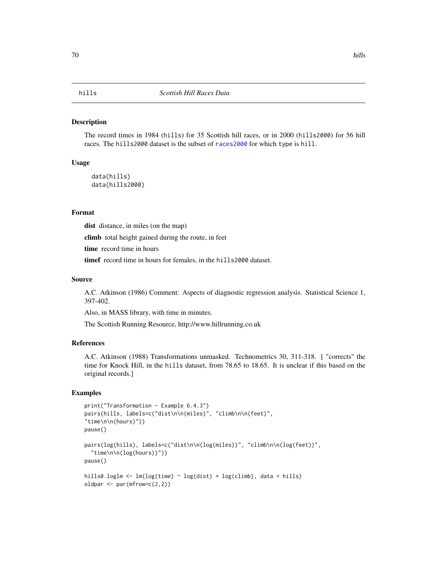The record times in 1984 (hills) for 35 Scottish hill races, or in 2000 (hills2000) for 56 hill races. The hills2000 dataset is the subset of [races2000](#page-129-0) for which type is hill.

## Usage

data(hills) data(hills2000)

#### Format

dist distance, in miles (on the map)

climb total height gained during the route, in feet

time record time in hours

timef record time in hours for females, in the hills2000 dataset.

## Source

A.C. Atkinson (1986) Comment: Aspects of diagnostic regression analysis. Statistical Science 1, 397-402.

Also, in MASS library, with time in minutes.

The Scottish Running Resource, http://www.hillrunning.co.uk

## References

A.C. Atkinson (1988) Transformations unmasked. Technometrics 30, 311-318. [ "corrects" the time for Knock Hill, in the hills dataset, from 78.65 to 18.65. It is unclear if this based on the original records.]

```
print("Transformation - Example 6.4.3")
pairs(hills, labels=c("dist\n\n(miles)", "climb\n\n(feet)",
"time\n\n(hours)"))
pause()
pairs(log(hills), labels=c("dist\n\n(log(miles))", "climb\n\n(log(feet))",
  "time\n\n(log(hours))"))
pause()
hills0.loglm <- lm(log(time) \sim log(dist) + log(climb), data = hills)
oldpar <- par(mfrow=c(2,2))
```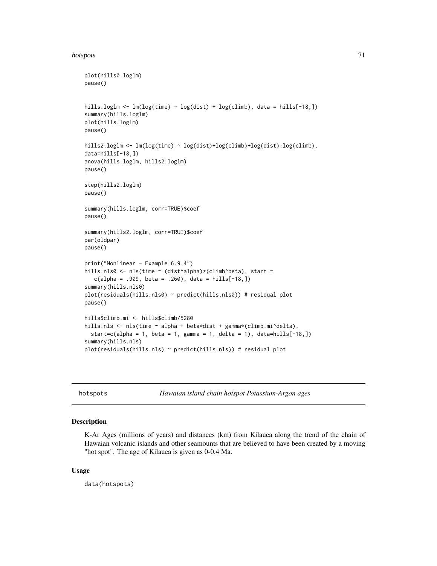#### hotspots **71**

```
plot(hills0.loglm)
pause()
hills.loglm <- lm(log(time) ~ log(dist) + log(climb), data = hills[-18,])
summary(hills.loglm)
plot(hills.loglm)
pause()
hills2.loglm <- lm(log(time) ~ log(dist)+log(climb)+log(dist):log(climb),
data=hills[-18,])
anova(hills.loglm, hills2.loglm)
pause()
step(hills2.loglm)
pause()
summary(hills.loglm, corr=TRUE)$coef
pause()
summary(hills2.loglm, corr=TRUE)$coef
par(oldpar)
pause()
print("Nonlinear - Example 6.9.4")
hills.nls0 <- nls(time ~ (dist^alpha)*(climb^beta), start =
   c(alpha = .909, beta = .260), data = hills[-18,])summary(hills.nls0)
plot(residuals(hills.nls0) ~ predict(hills.nls0)) # residual plot
pause()
hills$climb.mi <- hills$climb/5280
hills.nls <- nls(time ~ alpha + beta*dist + gamma*(climb.mi^delta),
  start=c(alpha = 1, beta = 1, gamma = 1, delta = 1), data=hills[-18,])
summary(hills.nls)
plot(residuals(hills.nls) ~ predict(hills.nls)) # residual plot
```
hotspots *Hawaian island chain hotspot Potassium-Argon ages*

#### Description

K-Ar Ages (millions of years) and distances (km) from Kilauea along the trend of the chain of Hawaian volcanic islands and other seamounts that are believed to have been created by a moving "hot spot". The age of Kilauea is given as 0-0.4 Ma.

# Usage

data(hotspots)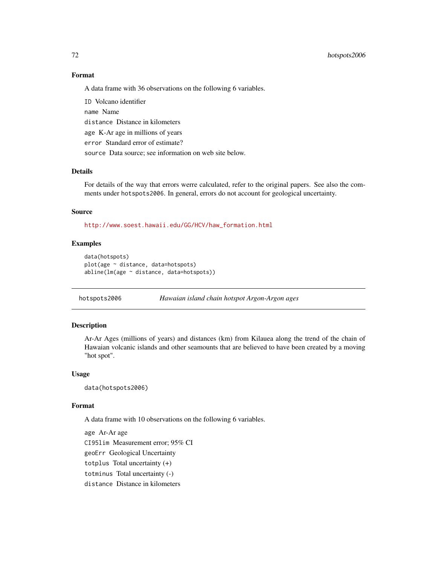# Format

A data frame with 36 observations on the following 6 variables.

ID Volcano identifier name Name distance Distance in kilometers age K-Ar age in millions of years error Standard error of estimate? source Data source; see information on web site below.

# Details

For details of the way that errors werre calculated, refer to the original papers. See also the comments under hotspots2006. In general, errors do not account for geological uncertainty.

# Source

[http://www.soest.hawaii.edu/GG/HCV/haw\\_formation.html](http://www.soest.hawaii.edu/GG/HCV/haw_formation.html)

# Examples

```
data(hotspots)
plot(age ~ distance, data=hotspots)
abline(lm(age ~ distance, data=hotspots))
```
hotspots2006 *Hawaian island chain hotspot Argon-Argon ages*

# Description

Ar-Ar Ages (millions of years) and distances (km) from Kilauea along the trend of the chain of Hawaian volcanic islands and other seamounts that are believed to have been created by a moving "hot spot".

## Usage

data(hotspots2006)

## Format

A data frame with 10 observations on the following 6 variables.

age Ar-Ar age CI95lim Measurement error; 95% CI geoErr Geological Uncertainty totplus Total uncertainty (+) totminus Total uncertainty (-) distance Distance in kilometers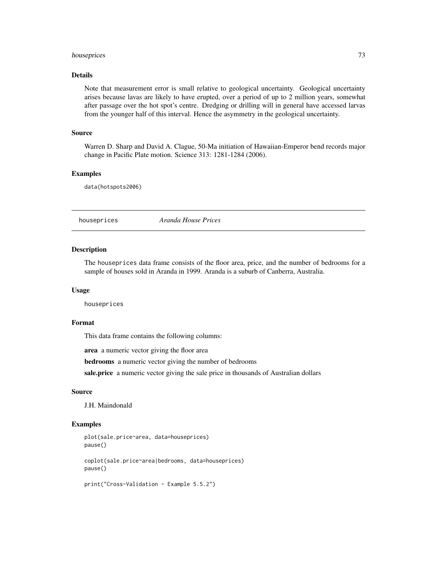# houseprices 73

# Details

Note that measurement error is small relative to geological uncertainty. Geological uncertainty arises because lavas are likely to have erupted, over a period of up to 2 million years, somewhat after passage over the hot spot's centre. Dredging or drilling will in general have accessed larvas from the younger half of this interval. Hence the asymmetry in the geological uncertainty.

## Source

Warren D. Sharp and David A. Clague, 50-Ma initiation of Hawaiian-Emperor bend records major change in Pacific Plate motion. Science 313: 1281-1284 (2006).

## Examples

data(hotspots2006)

# houseprices *Aranda House Prices*

## Description

The houseprices data frame consists of the floor area, price, and the number of bedrooms for a sample of houses sold in Aranda in 1999. Aranda is a suburb of Canberra, Australia.

## Usage

houseprices

# Format

This data frame contains the following columns:

area a numeric vector giving the floor area

bedrooms a numeric vector giving the number of bedrooms

sale.price a numeric vector giving the sale price in thousands of Australian dollars

## Source

J.H. Maindonald

```
plot(sale.price~area, data=houseprices)
pause()
coplot(sale.price~area|bedrooms, data=houseprices)
pause()
print("Cross-Validation - Example 5.5.2")
```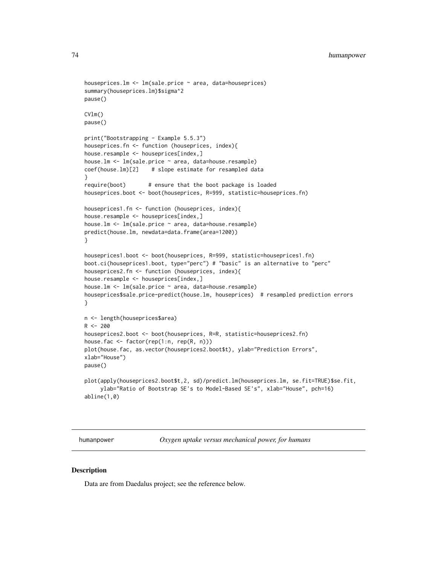```
houseprices.lm <- lm(sale.price ~ area, data=houseprices)
summary(houseprices.lm)$sigma^2
pause()
CVlm()
pause()
print("Bootstrapping - Example 5.5.3")
houseprices.fn <- function (houseprices, index){
house.resample <- houseprices[index,]
house.lm <- lm(sale.price ~ area, data=house.resample)
coef(house.lm)[2] # slope estimate for resampled data
}
require(boot) # ensure that the boot package is loaded
houseprices.boot <- boot(houseprices, R=999, statistic=houseprices.fn)
houseprices1.fn <- function (houseprices, index){
house.resample <- houseprices[index,]
house.lm <- lm(sale.price ~ area, data=house.resample)
predict(house.lm, newdata=data.frame(area=1200))
}
houseprices1.boot <- boot(houseprices, R=999, statistic=houseprices1.fn)
boot.ci(houseprices1.boot, type="perc") # "basic" is an alternative to "perc"
houseprices2.fn <- function (houseprices, index){
house.resample <- houseprices[index,]
house.lm <- lm(sale.price ~ area, data=house.resample)
houseprices$sale.price-predict(house.lm, houseprices) # resampled prediction errors
}
n <- length(houseprices$area)
R < -200houseprices2.boot <- boot(houseprices, R=R, statistic=houseprices2.fn)
house.fac <- factor(rep(1:n, rep(R, n)))
plot(house.fac, as.vector(houseprices2.boot$t), ylab="Prediction Errors",
xlab="House")
pause()
plot(apply(houseprices2.boot$t,2, sd)/predict.lm(houseprices.lm, se.fit=TRUE)$se.fit,
     ylab="Ratio of Bootstrap SE's to Model-Based SE's", xlab="House", pch=16)
abline(1,0)
```
humanpower *Oxygen uptake versus mechanical power, for humans*

# Description

Data are from Daedalus project; see the reference below.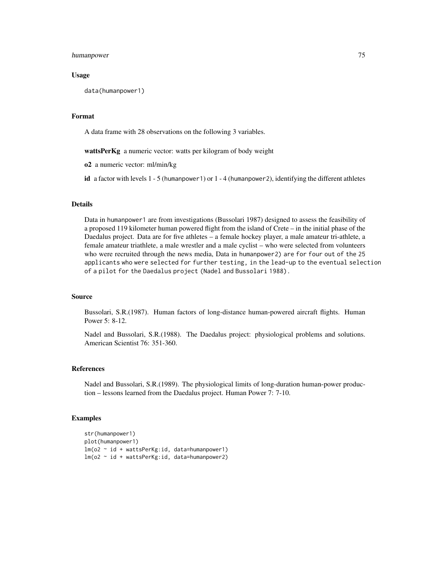## humanpower 75

## Usage

data(humanpower1)

## Format

A data frame with 28 observations on the following 3 variables.

wattsPerKg a numeric vector: watts per kilogram of body weight

o2 a numeric vector: ml/min/kg

id a factor with levels  $1 - 5$  (humanpower1) or  $1 - 4$  (humanpower2), identifying the different athletes

# Details

Data in humanpower1 are from investigations (Bussolari 1987) designed to assess the feasibility of a proposed 119 kilometer human powered flight from the island of Crete – in the initial phase of the Daedalus project. Data are for five athletes – a female hockey player, a male amateur tri-athlete, a female amateur triathlete, a male wrestler and a male cyclist – who were selected from volunteers who were recruited through the news media, Data in humanpower2) are for four out of the 25 applicants who were selected for further testing, in the lead-up to the eventual selection of a pilot for the Daedalus project (Nadel and Bussolari 1988).

## Source

Bussolari, S.R.(1987). Human factors of long-distance human-powered aircraft flights. Human Power 5: 8-12.

Nadel and Bussolari, S.R.(1988). The Daedalus project: physiological problems and solutions. American Scientist 76: 351-360.

#### References

Nadel and Bussolari, S.R.(1989). The physiological limits of long-duration human-power production – lessons learned from the Daedalus project. Human Power 7: 7-10.

```
str(humanpower1)
plot(humanpower1)
lm(o2 ~ id + wattsPerKg:id, data=humanpower1)
lm(o2 ~ id + wattsPerKg:id, data=humanpower2)
```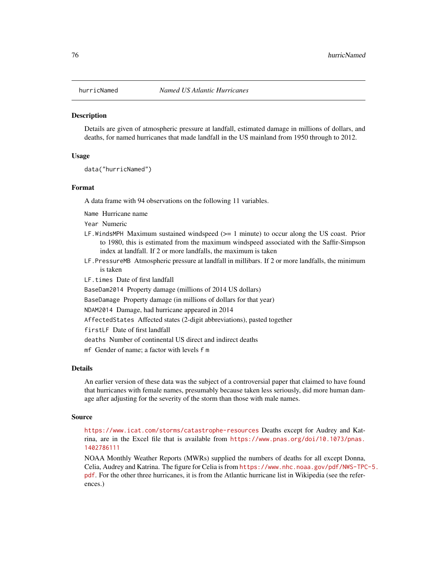Details are given of atmospheric pressure at landfall, estimated damage in millions of dollars, and deaths, for named hurricanes that made landfall in the US mainland from 1950 through to 2012.

## Usage

data("hurricNamed")

## Format

A data frame with 94 observations on the following 11 variables.

Name Hurricane name

Year Numeric

- LF. WindsMPH Maximum sustained windspeed  $(>= 1 \text{ minute})$  to occur along the US coast. Prior to 1980, this is estimated from the maximum windspeed associated with the Saffir-Simpson index at landfall. If 2 or more landfalls, the maximum is taken
- LF.PressureMB Atmospheric pressure at landfall in millibars. If 2 or more landfalls, the minimum is taken

LF.times Date of first landfall

BaseDam2014 Property damage (millions of 2014 US dollars)

BaseDamage Property damage (in millions of dollars for that year)

NDAM2014 Damage, had hurricane appeared in 2014

AffectedStates Affected states (2-digit abbreviations), pasted together

firstLF Date of first landfall

deaths Number of continental US direct and indirect deaths

mf Gender of name; a factor with levels f m

## Details

An earlier version of these data was the subject of a controversial paper that claimed to have found that hurricanes with female names, presumably because taken less seriously, did more human damage after adjusting for the severity of the storm than those with male names.

#### Source

<https://www.icat.com/storms/catastrophe-resources> Deaths except for Audrey and Katrina, are in the Excel file that is available from [https://www.pnas.org/doi/10.1073/pnas.](https://www.pnas.org/doi/10.1073/pnas.1402786111) [1402786111](https://www.pnas.org/doi/10.1073/pnas.1402786111)

NOAA Monthly Weather Reports (MWRs) supplied the numbers of deaths for all except Donna, Celia, Audrey and Katrina. The figure for Celia is from [https://www.nhc.noaa.gov/pdf/NWS-TPC](https://www.nhc.noaa.gov/pdf/NWS-TPC-5.pdf)-5. [pdf](https://www.nhc.noaa.gov/pdf/NWS-TPC-5.pdf). For the other three hurricanes, it is from the Atlantic hurricane list in Wikipedia (see the references.)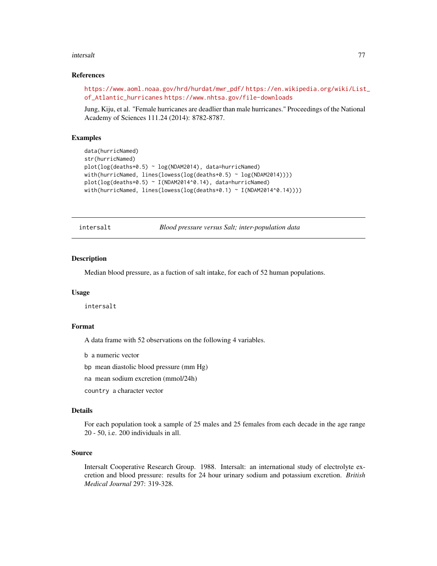#### intersalt 77

## References

```
https://www.aoml.noaa.gov/hrd/hurdat/mwr_pdf/ https://en.wikipedia.org/wiki/List_
of_Atlantic_hurricanes https://www.nhtsa.gov/file-downloads
```
Jung, Kiju, et al. "Female hurricanes are deadlier than male hurricanes." Proceedings of the National Academy of Sciences 111.24 (2014): 8782-8787.

# Examples

```
data(hurricNamed)
str(hurricNamed)
plot(log(deaths+0.5) ~ log(NDAM2014), data=hurricNamed)
with(hurricNamed, lines(lowess(log(deaths+0.5) ~ log(NDAM2014))))
plot(log(deaths+0.5) ~ ~ I(NDAM2014^0.14), data=hurrichamed)with(hurricNamed, lines(lowess(log(deaths+0.1) ~ I(NDAM2014^0.14))))
```
intersalt *Blood pressure versus Salt; inter-population data*

# Description

Median blood pressure, as a fuction of salt intake, for each of 52 human populations.

#### Usage

intersalt

## Format

A data frame with 52 observations on the following 4 variables.

b a numeric vector

bp mean diastolic blood pressure (mm Hg)

na mean sodium excretion (mmol/24h)

country a character vector

#### Details

For each population took a sample of 25 males and 25 females from each decade in the age range 20 - 50, i.e. 200 individuals in all.

# Source

Intersalt Cooperative Research Group. 1988. Intersalt: an international study of electrolyte excretion and blood pressure: results for 24 hour urinary sodium and potassium excretion. *British Medical Journal* 297: 319-328.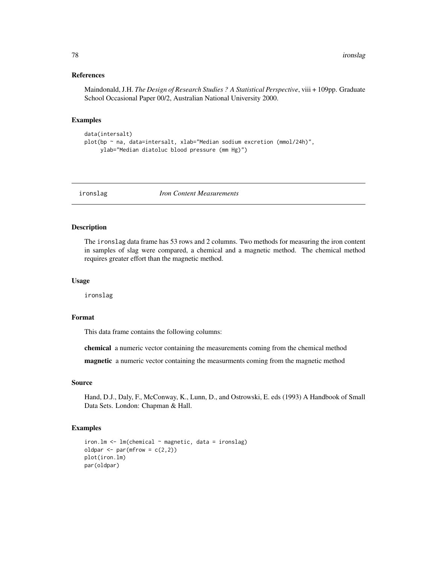## References

Maindonald, J.H. *The Design of Research Studies ? A Statistical Perspective*, viii + 109pp. Graduate School Occasional Paper 00/2, Australian National University 2000.

## Examples

```
data(intersalt)
plot(bp ~ na, data=intersalt, xlab="Median sodium excretion (mmol/24h)",
    ylab="Median diatoluc blood pressure (mm Hg)")
```
ironslag *Iron Content Measurements*

## Description

The ironslag data frame has 53 rows and 2 columns. Two methods for measuring the iron content in samples of slag were compared, a chemical and a magnetic method. The chemical method requires greater effort than the magnetic method.

## Usage

ironslag

## Format

This data frame contains the following columns:

chemical a numeric vector containing the measurements coming from the chemical method

magnetic a numeric vector containing the measurments coming from the magnetic method

# Source

Hand, D.J., Daly, F., McConway, K., Lunn, D., and Ostrowski, E. eds (1993) A Handbook of Small Data Sets. London: Chapman & Hall.

```
iron.lm < -lm(chemical ~ magnetic, data = iron slag)oldpar \leq par(mfrow = c(2,2))
plot(iron.lm)
par(oldpar)
```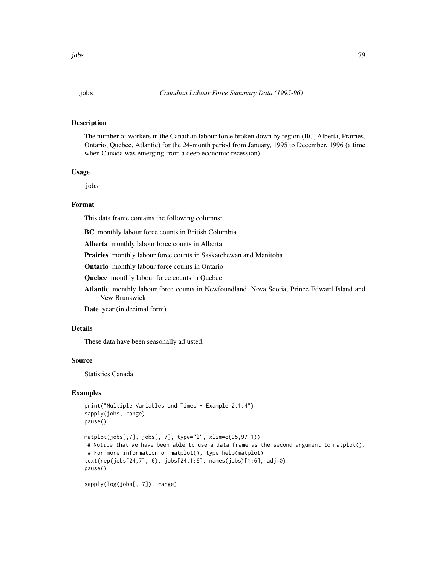The number of workers in the Canadian labour force broken down by region (BC, Alberta, Prairies, Ontario, Quebec, Atlantic) for the 24-month period from January, 1995 to December, 1996 (a time when Canada was emerging from a deep economic recession).

# Usage

jobs

# Format

This data frame contains the following columns:

BC monthly labour force counts in British Columbia

Alberta monthly labour force counts in Alberta

Prairies monthly labour force counts in Saskatchewan and Manitoba

Ontario monthly labour force counts in Ontario

Quebec monthly labour force counts in Quebec

Atlantic monthly labour force counts in Newfoundland, Nova Scotia, Prince Edward Island and New Brunswick

Date year (in decimal form)

# Details

These data have been seasonally adjusted.

## Source

Statistics Canada

# Examples

```
print("Multiple Variables and Times - Example 2.1.4")
sapply(jobs, range)
pause()
matplot(jobs[,7], jobs[,-7], type="l", xlim=c(95,97.1))
# Notice that we have been able to use a data frame as the second argument to matplot().
# For more information on matplot(), type help(matplot)
text(rep(jobs[24,7], 6), jobs[24,1:6], names(jobs)[1:6], adj=0)
pause()
```
sapply(log(jobs[,-7]), range)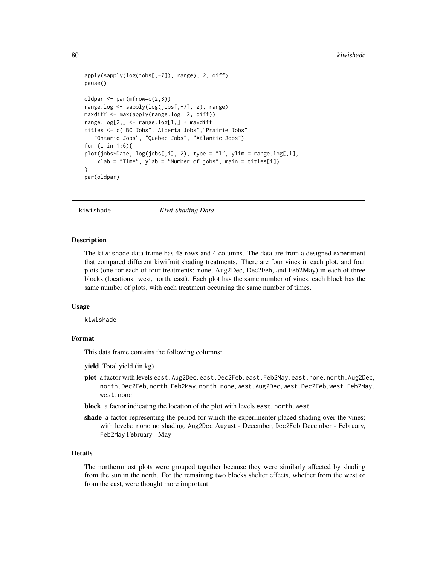```
apply(sapply(log(jobs[,-7]), range), 2, diff)
pause()
oldpar <- par(mfrow=c(2,3))
range.log <- sapply(log(jobs[,-7], 2), range)
maxdiff <- max(apply(range.log, 2, diff))
range.log[2, ] \leq range.log[1, ] + maxdifftitles <- c("BC Jobs","Alberta Jobs","Prairie Jobs",
   "Ontario Jobs", "Quebec Jobs", "Atlantic Jobs")
for (i in 1:6){
plot(jobs$Date, log(jobs[,i], 2), type = "l", ylim = range.log[,i],
    xlab = "Time", ylab = "Number of jobs", main = titles[i])
}
par(oldpar)
```
kiwishade *Kiwi Shading Data*

## Description

The kiwishade data frame has 48 rows and 4 columns. The data are from a designed experiment that compared different kiwifruit shading treatments. There are four vines in each plot, and four plots (one for each of four treatments: none, Aug2Dec, Dec2Feb, and Feb2May) in each of three blocks (locations: west, north, east). Each plot has the same number of vines, each block has the same number of plots, with each treatment occurring the same number of times.

## Usage

kiwishade

# Format

This data frame contains the following columns:

yield Total yield (in kg)

- plot a factor with levels east.Aug2Dec, east.Dec2Feb, east.Feb2May, east.none, north.Aug2Dec, north.Dec2Feb, north.Feb2May, north.none, west.Aug2Dec, west.Dec2Feb, west.Feb2May, west.none
- block a factor indicating the location of the plot with levels east, north, west
- shade a factor representing the period for which the experimenter placed shading over the vines; with levels: none no shading, Aug2Dec August - December, Dec2Feb December - February, Feb2May February - May

# Details

The northernmost plots were grouped together because they were similarly affected by shading from the sun in the north. For the remaining two blocks shelter effects, whether from the west or from the east, were thought more important.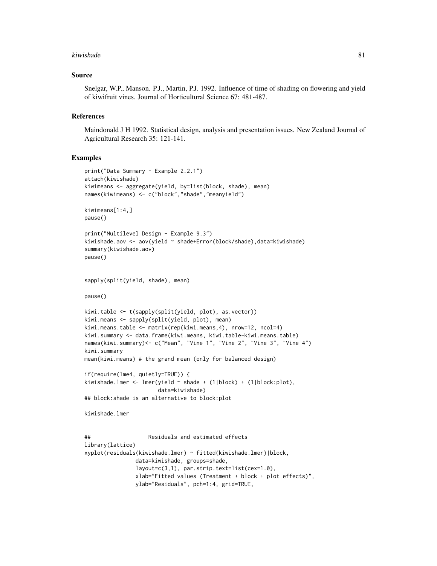#### kiwishade 81 and 2008 and 2008 and 2008 and 2008 and 2008 and 2008 and 2008 and 2008 and 2008 and 2008 and 200

## Source

Snelgar, W.P., Manson. P.J., Martin, P.J. 1992. Influence of time of shading on flowering and yield of kiwifruit vines. Journal of Horticultural Science 67: 481-487.

## References

Maindonald J H 1992. Statistical design, analysis and presentation issues. New Zealand Journal of Agricultural Research 35: 121-141.

## Examples

```
print("Data Summary - Example 2.2.1")
attach(kiwishade)
kiwimeans <- aggregate(yield, by=list(block, shade), mean)
names(kiwimeans) <- c("block","shade","meanyield")
kiwimeans[1:4,]
pause()
print("Multilevel Design - Example 9.3")
kiwishade.aov <- aov(yield ~ shade+Error(block/shade),data=kiwishade)
summary(kiwishade.aov)
pause()
sapply(split(yield, shade), mean)
pause()
kiwi.table <- t(sapply(split(yield, plot), as.vector))
kiwi.means <- sapply(split(yield, plot), mean)
kiwi.means.table <- matrix(rep(kiwi.means,4), nrow=12, ncol=4)
kiwi.summary <- data.frame(kiwi.means, kiwi.table-kiwi.means.table)
names(kiwi.summary)<- c("Mean", "Vine 1", "Vine 2", "Vine 3", "Vine 4")
kiwi.summary
mean(kiwi.means) # the grand mean (only for balanced design)
if(require(lme4, quietly=TRUE)) {
kiwishade.lmer <- lmer(yield ~ shade + (1|block) + (1|block:plot),
                       data=kiwishade)
## block:shade is an alternative to block:plot
kiwishade.lmer
## Residuals and estimated effects
library(lattice)
xyplot(residuals(kiwishade.lmer) ~ fitted(kiwishade.lmer)|block,
               data=kiwishade, groups=shade,
               layout=c(3,1), par.strip.text=list(cex=1.0),
               xlab="Fitted values (Treatment + block + plot effects)",
```
ylab="Residuals", pch=1:4, grid=TRUE,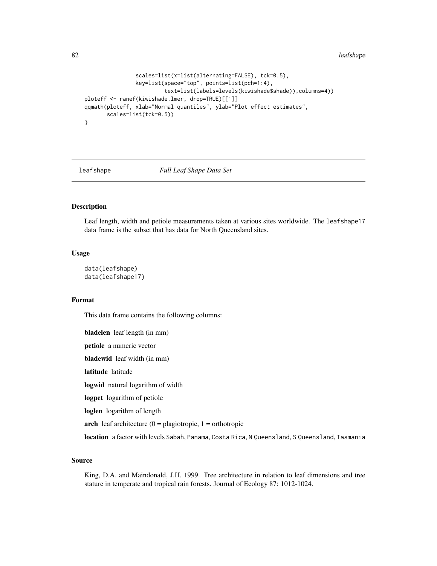82 leafshape and the state of the state of the state of the state of the state of the state of the state of the state of the state of the state of the state of the state of the state of the state of the state of the state

```
scales=list(x=list(alternating=FALSE), tck=0.5),
                key=list(space="top", points=list(pch=1:4),
                         text=list(labels=levels(kiwishade$shade)),columns=4))
ploteff <- ranef(kiwishade.lmer, drop=TRUE)[[1]]
qqmath(ploteff, xlab="Normal quantiles", ylab="Plot effect estimates",
      scales=list(tck=0.5))
}
```
leafshape *Full Leaf Shape Data Set*

# Description

Leaf length, width and petiole measurements taken at various sites worldwide. The leafshape17 data frame is the subset that has data for North Queensland sites.

## Usage

```
data(leafshape)
data(leafshape17)
```
# Format

This data frame contains the following columns:

bladelen leaf length (in mm) petiole a numeric vector bladewid leaf width (in mm) latitude latitude logwid natural logarithm of width logpet logarithm of petiole loglen logarithm of length arch leaf architecture  $(0 =$  plagiotropic,  $1 =$  orthotropic location a factor with levels Sabah, Panama, Costa Rica, N Queensland, S Queensland, Tasmania

#### Source

King, D.A. and Maindonald, J.H. 1999. Tree architecture in relation to leaf dimensions and tree stature in temperate and tropical rain forests. Journal of Ecology 87: 1012-1024.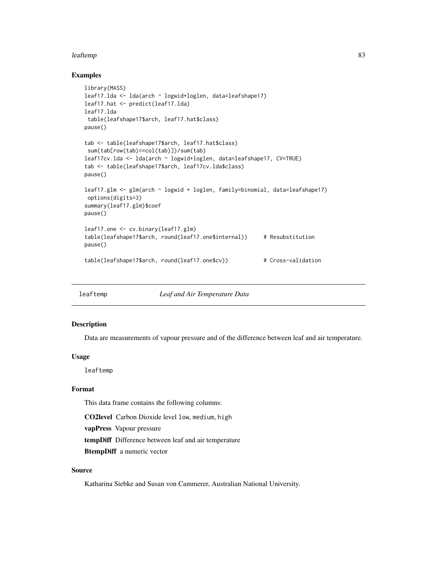## leaftemp 83

## Examples

```
library(MASS)
leaf17.lda <- lda(arch ~ logwid+loglen, data=leafshape17)
leaf17.hat <- predict(leaf17.lda)
leaf17.lda
table(leafshape17$arch, leaf17.hat$class)
pause()
tab <- table(leafshape17$arch, leaf17.hat$class)
sum(tab[row(tab)==col(tab)])/sum(tab)
leaf17cv.lda <- lda(arch ~ logwid+loglen, data=leafshape17, CV=TRUE)
tab <- table(leafshape17$arch, leaf17cv.lda$class)
pause()
leaf17.glm <- glm(arch ~ logwid + loglen, family=binomial, data=leafshape17)
options(digits=3)
summary(leaf17.glm)$coef
pause()
leaf17.one <- cv.binary(leaf17.glm)
table(leafshape17$arch, round(leaf17.one$internal)) # Resubstitution
pause()
table(leafshape17$arch, round(leaf17.one$cv)) # Cross-validation
```
leaftemp *Leaf and Air Temperature Data*

## **Description**

Data are measurements of vapour pressure and of the difference between leaf and air temperature.

# Usage

leaftemp

# Format

This data frame contains the following columns:

CO2level Carbon Dioxide level low, medium, high

vapPress Vapour pressure

tempDiff Difference between leaf and air temperature

BtempDiff a numeric vector

# Source

Katharina Siebke and Susan von Cammerer, Australian National University.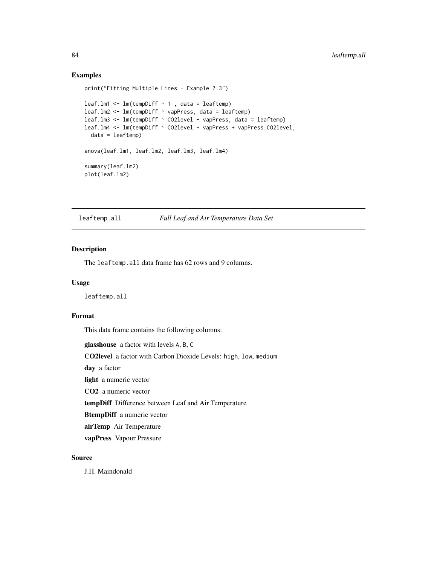# Examples

```
print("Fitting Multiple Lines - Example 7.3")
leaf.lm1 <- lm(tempDiff ~ 1 , data = leaftemp)
leaf.lm2 <- lm(tempDiff ~ vapPress, data = leaftemp)
leaf.lm3 <- lm(tempDiff ~ CO2level + vapPress, data = leaftemp)
leaf.lm4 <- lm(tempDiff ~ CO2level + vapPress + vapPress:CO2level,
  data = leaftemp)
anova(leaf.lm1, leaf.lm2, leaf.lm3, leaf.lm4)
summary(leaf.lm2)
plot(leaf.lm2)
```
leaftemp.all *Full Leaf and Air Temperature Data Set*

# Description

The leaftemp.all data frame has 62 rows and 9 columns.

# Usage

leaftemp.all

## Format

This data frame contains the following columns:

glasshouse a factor with levels A, B, C

CO2level a factor with Carbon Dioxide Levels: high, low, medium

day a factor

light a numeric vector

CO2 a numeric vector

tempDiff Difference between Leaf and Air Temperature

BtempDiff a numeric vector

airTemp Air Temperature

vapPress Vapour Pressure

## Source

J.H. Maindonald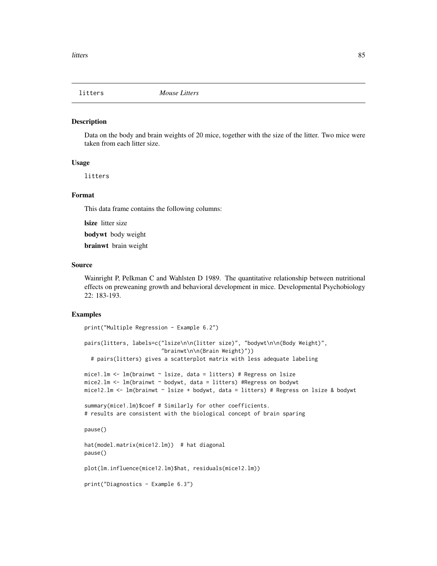Data on the body and brain weights of 20 mice, together with the size of the litter. Two mice were taken from each litter size.

## Usage

litters

## Format

This data frame contains the following columns:

lsize litter size

bodywt body weight

brainwt brain weight

#### Source

Wainright P, Pelkman C and Wahlsten D 1989. The quantitative relationship between nutritional effects on preweaning growth and behavioral development in mice. Developmental Psychobiology 22: 183-193.

```
print("Multiple Regression - Example 6.2")
pairs(litters, labels=c("lsize\n\n(litter size)", "bodywt\n\n(Body Weight)",
                        "brainwt\n\n(Brain Weight)"))
 # pairs(litters) gives a scatterplot matrix with less adequate labeling
mice1.1m \leq 1m(brainwt \sim 1size, data = litters) # Regress on 1size
mice2.1m <- lm(brainwt ~ bodywt, data = litters) #Regress on bodywt
mice12.1m \leq 1m(brainwt \sim 1size + bodywt, data = litters) # Regress on 1size & bodywt
summary(mice1.lm)$coef # Similarly for other coefficients.
# results are consistent with the biological concept of brain sparing
pause()
hat(model.matrix(mice12.lm)) # hat diagonal
pause()
plot(lm.influence(mice12.lm)$hat, residuals(mice12.lm))
print("Diagnostics - Example 6.3")
```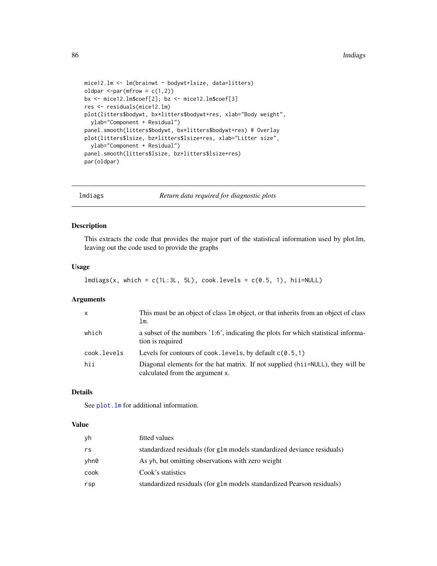```
mice12.lm <- lm(brainwt ~ bodywt+lsize, data=litters)
oldpar \leq-par(mfrow = c(1,2))
bx <- mice12.lm$coef[2]; bz <- mice12.lm$coef[3]
res <- residuals(mice12.lm)
plot(litters$bodywt, bx*litters$bodywt+res, xlab="Body weight",
  ylab="Component + Residual")
panel.smooth(litters$bodywt, bx*litters$bodywt+res) # Overlay
plot(litters$lsize, bz*litters$lsize+res, xlab="Litter size",
  ylab="Component + Residual")
panel.smooth(litters$lsize, bz*litters$lsize+res)
par(oldpar)
```
lmdiags *Return data required for diagnostic plots*

## Description

This extracts the code that provides the major part of the statistical information used by plot.lm, leaving out the code used to provide the graphs

# Usage

```
lmdiags(x, which = c(1L:3L, 5L), cook. levels = c(0.5, 1), hil=NULL)
```
## Arguments

| $\mathsf{x}$ | This must be an object of class 1m object, or that inherits from an object of class<br>lm.                         |
|--------------|--------------------------------------------------------------------------------------------------------------------|
| which        | a subset of the numbers '1:6', indicating the plots for which statistical informa-<br>tion is required             |
| cook.levels  | Levels for contours of cook. levels, by default $c(0.5, 1)$                                                        |
| hii          | Diagonal elements for the hat matrix. If not supplied (hi i=NULL), they will be<br>calculated from the argument x. |

# Details

See plot. In for additional information.

# Value

| νh   | fitted values                                                           |
|------|-------------------------------------------------------------------------|
| rs   | standardized residuals (for g1m models standardized deviance residuals) |
| vhn0 | As yh, but omitting observations with zero weight                       |
| cook | Cook's statistics                                                       |
| rsp  | standardized residuals (for glm models standardized Pearson residuals)  |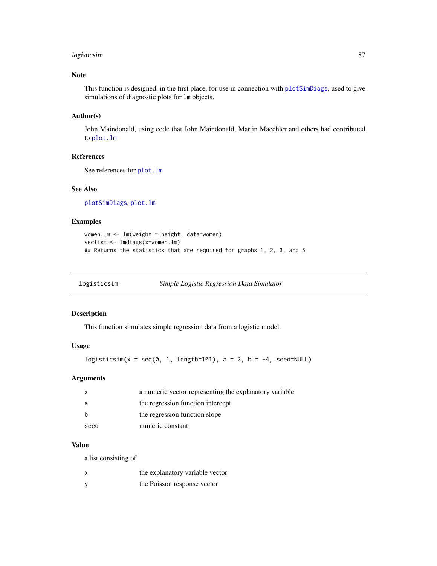# logisticsim 87

# Note

This function is designed, in the first place, for use in connection with [plotSimDiags](#page-117-0), used to give simulations of diagnostic plots for lm objects.

## Author(s)

John Maindonald, using code that John Maindonald, Martin Maechler and others had contributed to [plot.lm](#page-0-0)

# References

See references for [plot.lm](#page-0-0)

## See Also

[plotSimDiags](#page-117-0), [plot.lm](#page-0-0)

# Examples

```
women.lm <- lm(weight ~ height, data=women)
veclist <- lmdiags(x=women.lm)
## Returns the statistics that are required for graphs 1, 2, 3, and 5
```

| logisticsim | Simple Logistic Regression Data Simulator |  |
|-------------|-------------------------------------------|--|
|             |                                           |  |

## Description

This function simulates simple regression data from a logistic model.

# Usage

```
logisticsim(x = seq(0, 1, length=101), a = 2, b = -4, seed=NULL)
```
# Arguments

|      | a numeric vector representing the explanatory variable |
|------|--------------------------------------------------------|
|      | the regression function intercept                      |
|      | the regression function slope                          |
| seed | numeric constant                                       |

# Value

a list consisting of

| x | the explanatory variable vector |
|---|---------------------------------|
| У | the Poisson response vector     |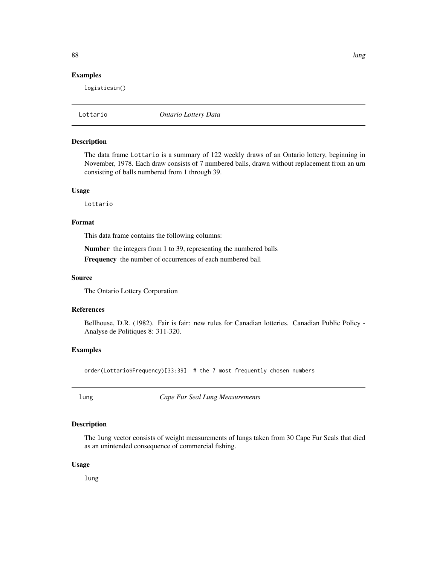## Examples

logisticsim()

Lottario *Ontario Lottery Data*

# Description

The data frame Lottario is a summary of 122 weekly draws of an Ontario lottery, beginning in November, 1978. Each draw consists of 7 numbered balls, drawn without replacement from an urn consisting of balls numbered from 1 through 39.

#### Usage

Lottario

## Format

This data frame contains the following columns:

Number the integers from 1 to 39, representing the numbered balls Frequency the number of occurrences of each numbered ball

## Source

The Ontario Lottery Corporation

#### References

Bellhouse, D.R. (1982). Fair is fair: new rules for Canadian lotteries. Canadian Public Policy - Analyse de Politiques 8: 311-320.

## Examples

order(Lottario\$Frequency)[33:39] # the 7 most frequently chosen numbers

lung *Cape Fur Seal Lung Measurements*

## Description

The lung vector consists of weight measurements of lungs taken from 30 Cape Fur Seals that died as an unintended consequence of commercial fishing.

## Usage

lung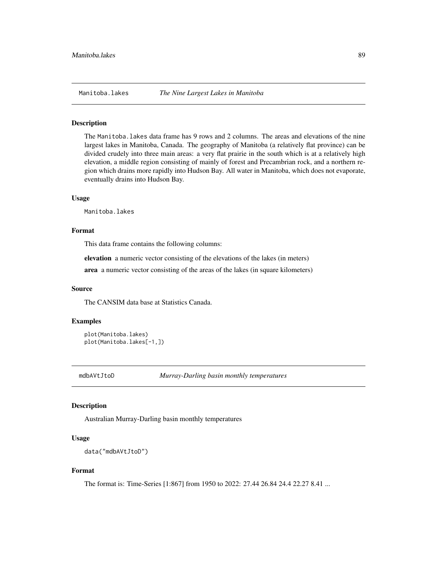The Manitoba.lakes data frame has 9 rows and 2 columns. The areas and elevations of the nine largest lakes in Manitoba, Canada. The geography of Manitoba (a relatively flat province) can be divided crudely into three main areas: a very flat prairie in the south which is at a relatively high elevation, a middle region consisting of mainly of forest and Precambrian rock, and a northern region which drains more rapidly into Hudson Bay. All water in Manitoba, which does not evaporate, eventually drains into Hudson Bay.

## Usage

Manitoba.lakes

#### Format

This data frame contains the following columns:

elevation a numeric vector consisting of the elevations of the lakes (in meters)

area a numeric vector consisting of the areas of the lakes (in square kilometers)

## Source

The CANSIM data base at Statistics Canada.

## Examples

```
plot(Manitoba.lakes)
plot(Manitoba.lakes[-1,])
```
mdbAVtJtoD *Murray-Darling basin monthly temperatures*

## **Description**

Australian Murray-Darling basin monthly temperatures

## Usage

data("mdbAVtJtoD")

## Format

The format is: Time-Series [1:867] from 1950 to 2022: 27.44 26.84 24.4 22.27 8.41 ...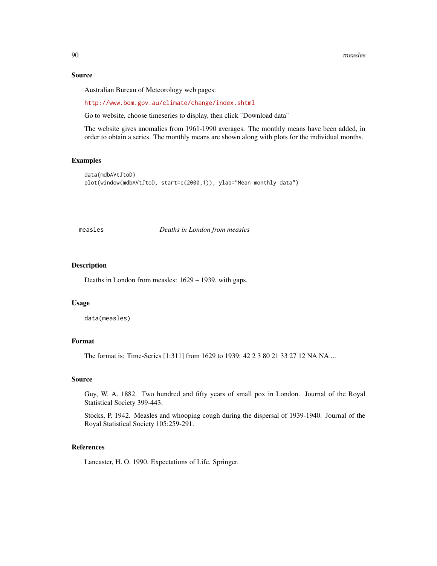## Source

Australian Bureau of Meteorology web pages:

<http://www.bom.gov.au/climate/change/index.shtml>

Go to website, choose timeseries to display, then click "Download data"

The website gives anomalies from 1961-1990 averages. The monthly means have been added, in order to obtain a series. The monthly means are shown along with plots for the individual months.

# Examples

```
data(mdbAVtJtoD)
plot(window(mdbAVtJtoD, start=c(2000,1)), ylab="Mean monthly data")
```
measles *Deaths in London from measles*

#### Description

Deaths in London from measles: 1629 – 1939, with gaps.

## Usage

data(measles)

## Format

The format is: Time-Series [1:311] from 1629 to 1939: 42 2 3 80 21 33 27 12 NA NA ...

#### Source

Guy, W. A. 1882. Two hundred and fifty years of small pox in London. Journal of the Royal Statistical Society 399-443.

Stocks, P. 1942. Measles and whooping cough during the dispersal of 1939-1940. Journal of the Royal Statistical Society 105:259-291.

# References

Lancaster, H. O. 1990. Expectations of Life. Springer.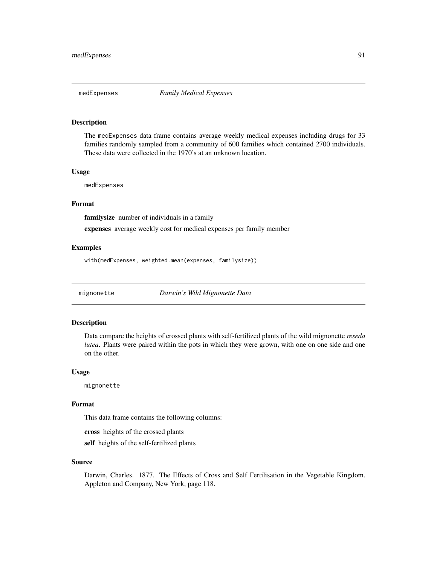The medExpenses data frame contains average weekly medical expenses including drugs for 33 families randomly sampled from a community of 600 families which contained 2700 individuals. These data were collected in the 1970's at an unknown location.

## Usage

medExpenses

# Format

familysize number of individuals in a family

expenses average weekly cost for medical expenses per family member

# Examples

with(medExpenses, weighted.mean(expenses, familysize))

mignonette *Darwin's Wild Mignonette Data*

# Description

Data compare the heights of crossed plants with self-fertilized plants of the wild mignonette *reseda lutea*. Plants were paired within the pots in which they were grown, with one on one side and one on the other.

#### Usage

mignonette

# Format

This data frame contains the following columns:

cross heights of the crossed plants

self heights of the self-fertilized plants

#### Source

Darwin, Charles. 1877. The Effects of Cross and Self Fertilisation in the Vegetable Kingdom. Appleton and Company, New York, page 118.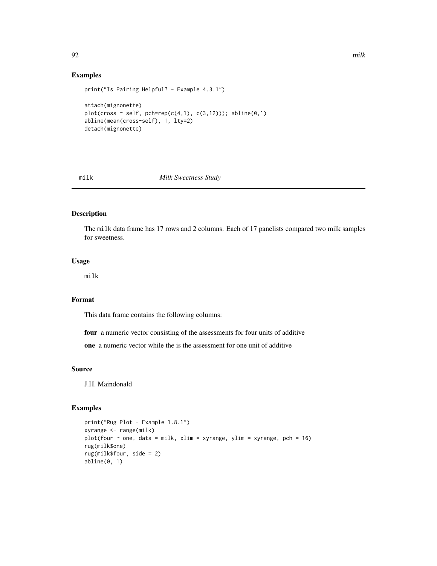# Examples

```
print("Is Pairing Helpful? - Example 4.3.1")
attach(mignonette)
plot(cross ~ self, pch=rep(c(4,1), c(3,12))); abline(0,1)abline(mean(cross-self), 1, lty=2)
detach(mignonette)
```
## milk *Milk Sweetness Study*

# Description

The milk data frame has 17 rows and 2 columns. Each of 17 panelists compared two milk samples for sweetness.

# Usage

milk

# Format

This data frame contains the following columns:

four a numeric vector consisting of the assessments for four units of additive

one a numeric vector while the is the assessment for one unit of additive

## Source

J.H. Maindonald

# Examples

```
print("Rug Plot - Example 1.8.1")
xyrange <- range(milk)
plot(four \sim one, data = milk, xlim = xyrange, ylim = xyrange, pch = 16)
rug(milk$one)
rug(milk$four, side = 2)
abline(0, 1)
```
92 milk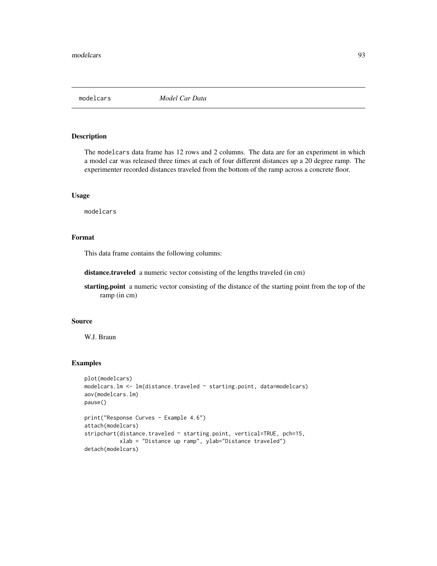The modelcars data frame has 12 rows and 2 columns. The data are for an experiment in which a model car was released three times at each of four different distances up a 20 degree ramp. The experimenter recorded distances traveled from the bottom of the ramp across a concrete floor.

## Usage

modelcars

## Format

This data frame contains the following columns:

distance.traveled a numeric vector consisting of the lengths traveled (in cm)

starting.point a numeric vector consisting of the distance of the starting point from the top of the ramp (in cm)

# Source

W.J. Braun

```
plot(modelcars)
modelcars.lm <- lm(distance.traveled ~ starting.point, data=modelcars)
aov(modelcars.lm)
pause()
print("Response Curves - Example 4.6")
attach(modelcars)
stripchart(distance.traveled ~ starting.point, vertical=TRUE, pch=15,
           xlab = "Distance up ramp", ylab="Distance traveled")
detach(modelcars)
```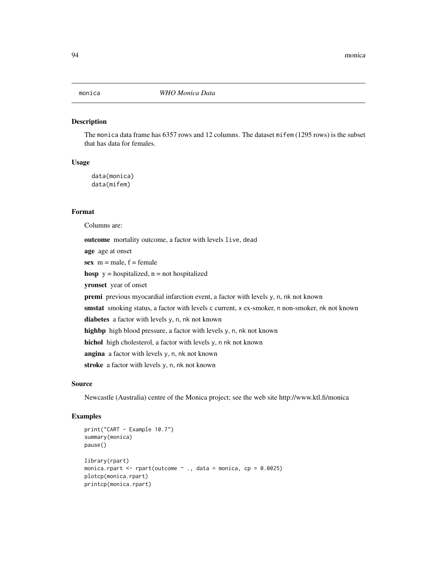The monica data frame has 6357 rows and 12 columns. The dataset mifem (1295 rows) is the subset that has data for females.

## Usage

data(monica) data(mifem)

# Format

Columns are:

outcome mortality outcome, a factor with levels live, dead age age at onset sex  $m = male$ ,  $f = female$ hosp  $y =$  hospitalized,  $n =$  not hospitalized yronset year of onset premi previous myocardial infarction event, a factor with levels y, n, nk not known smstat smoking status, a factor with levels c current, x ex-smoker, n non-smoker, nk not known diabetes a factor with levels y, n, nk not known highbp high blood pressure, a factor with levels y, n, nk not known hichol high cholesterol, a factor with levels y, n nk not known angina a factor with levels y, n, nk not known stroke a factor with levels y, n, nk not known

## Source

Newcastle (Australia) centre of the Monica project; see the web site http://www.ktl.fi/monica

```
print("CART - Example 10.7")
summary(monica)
pause()
library(rpart)
monica.rpart \leq rpart(outcome \leq ., data = monica, cp = 0.0025)
plotcp(monica.rpart)
printcp(monica.rpart)
```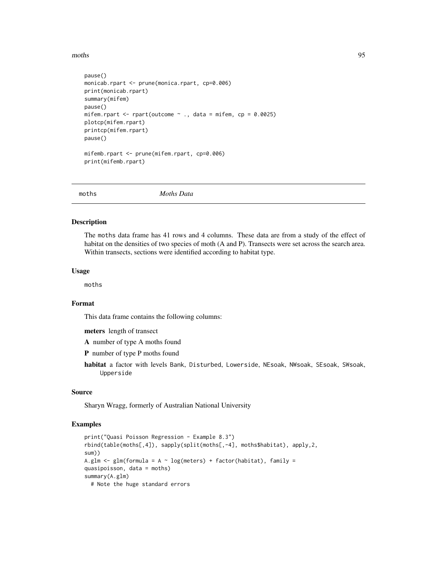moths 95

```
pause()
monicab.rpart <- prune(monica.rpart, cp=0.006)
print(monicab.rpart)
summary(mifem)
pause()
mifem.rpart \leq rpart(outcome \sim ., data = mifem, cp = 0.0025)
plotcp(mifem.rpart)
printcp(mifem.rpart)
pause()
mifemb.rpart <- prune(mifem.rpart, cp=0.006)
print(mifemb.rpart)
```
moths *Moths Data*

#### Description

The moths data frame has 41 rows and 4 columns. These data are from a study of the effect of habitat on the densities of two species of moth (A and P). Transects were set across the search area. Within transects, sections were identified according to habitat type.

## Usage

moths

# Format

This data frame contains the following columns:

meters length of transect

A number of type A moths found

P number of type P moths found

habitat a factor with levels Bank, Disturbed, Lowerside, NEsoak, NWsoak, SEsoak, SWsoak, Upperside

## Source

Sharyn Wragg, formerly of Australian National University

```
print("Quasi Poisson Regression - Example 8.3")
rbind(table(moths[,4]), sapply(split(moths[,-4], moths$habitat), apply,2,
sum))
A.glm \leq glm(formula = A \sim log(meters) + factor(habitat), family =
quasipoisson, data = moths)
summary(A.glm)
 # Note the huge standard errors
```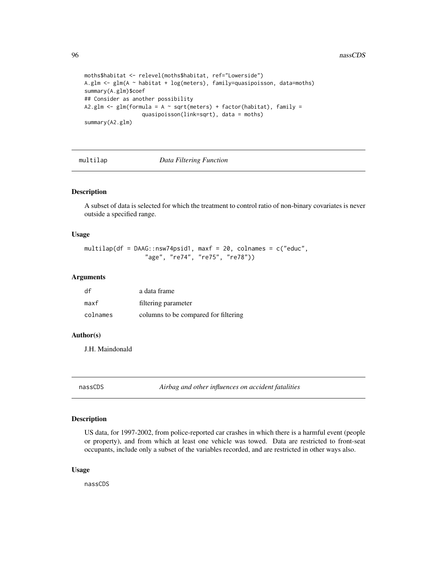```
moths$habitat <- relevel(moths$habitat, ref="Lowerside")
A.glm <- glm(A ~ habitat + log(meters), family=quasipoisson, data=moths)
summary(A.glm)$coef
## Consider as another possibility
A2.glm \leq glm(formula = A \sim sqrt(meters) + factor(habitat), family =
                  quasipoisson(link=sqrt), data = moths)
summary(A2.glm)
```
#### multilap *Data Filtering Function*

#### Description

A subset of data is selected for which the treatment to control ratio of non-binary covariates is never outside a specified range.

## Usage

```
multilap(df = DAAG::nsw74psid1, maxf = 20, colnames = c("educ",
                 "age", "re74", "re75", "re78"))
```
## Arguments

| df       | a data frame                         |
|----------|--------------------------------------|
| maxf     | filtering parameter                  |
| colnames | columns to be compared for filtering |

#### Author(s)

J.H. Maindonald

nassCDS *Airbag and other influences on accident fatalities*

# Description

US data, for 1997-2002, from police-reported car crashes in which there is a harmful event (people or property), and from which at least one vehicle was towed. Data are restricted to front-seat occupants, include only a subset of the variables recorded, and are restricted in other ways also.

#### Usage

nassCDS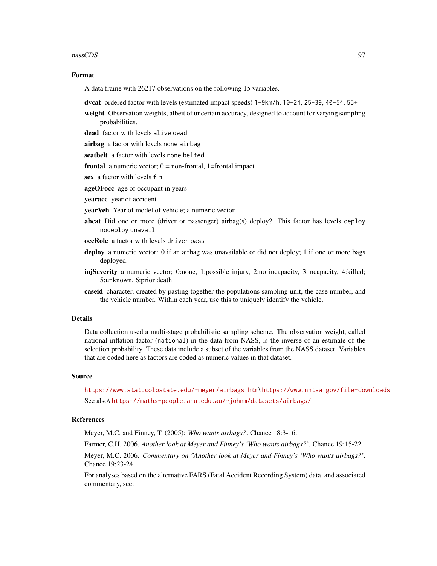#### nassCDS 97

#### Format

A data frame with 26217 observations on the following 15 variables.

dvcat ordered factor with levels (estimated impact speeds) 1-9km/h, 10-24, 25-39, 40-54, 55+

weight Observation weights, albeit of uncertain accuracy, designed to account for varying sampling probabilities.

dead factor with levels alive dead

airbag a factor with levels none airbag

seatbelt a factor with levels none belted

**frontal** a numeric vector;  $0 =$  non-frontal, 1=frontal impact

sex a factor with levels f m

ageOFocc age of occupant in years

yearacc year of accident

yearVeh Year of model of vehicle; a numeric vector

- abcat Did one or more (driver or passenger) airbag(s) deploy? This factor has levels deploy nodeploy unavail
- occRole a factor with levels driver pass
- deploy a numeric vector: 0 if an airbag was unavailable or did not deploy; 1 if one or more bags deployed.
- injSeverity a numeric vector; 0:none, 1:possible injury, 2:no incapacity, 3:incapacity, 4:killed; 5:unknown, 6:prior death
- caseid character, created by pasting together the populations sampling unit, the case number, and the vehicle number. Within each year, use this to uniquely identify the vehicle.

#### Details

Data collection used a multi-stage probabilistic sampling scheme. The observation weight, called national inflation factor (national) in the data from NASS, is the inverse of an estimate of the selection probability. These data include a subset of the variables from the NASS dataset. Variables that are coded here as factors are coded as numeric values in that dataset.

## Source

<https://www.stat.colostate.edu/~meyer/airbags.htm>\ <https://www.nhtsa.gov/file-downloads> See also\ <https://maths-people.anu.edu.au/~johnm/datasets/airbags/>

## **References**

Meyer, M.C. and Finney, T. (2005): *Who wants airbags?*. Chance 18:3-16.

Farmer, C.H. 2006. *Another look at Meyer and Finney's 'Who wants airbags?'*. Chance 19:15-22.

Meyer, M.C. 2006. *Commentary on "Another look at Meyer and Finney's 'Who wants airbags?'*. Chance 19:23-24.

For analyses based on the alternative FARS (Fatal Accident Recording System) data, and associated commentary, see: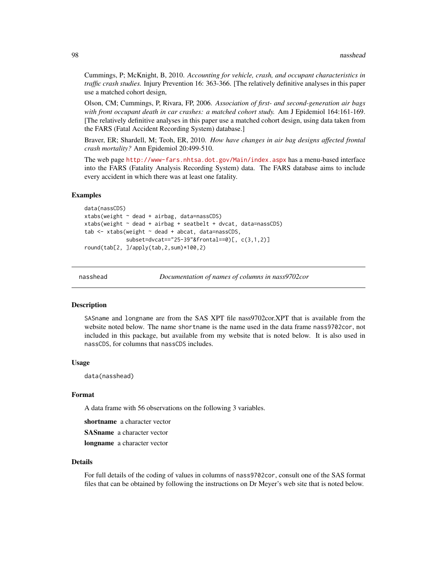Cummings, P; McKnight, B, 2010. *Accounting for vehicle, crash, and occupant characteristics in traffic crash studies.* Injury Prevention 16: 363-366. [The relatively definitive analyses in this paper use a matched cohort design,

Olson, CM; Cummings, P, Rivara, FP, 2006. *Association of first- and second-generation air bags with front occupant death in car crashes: a matched cohort study.* Am J Epidemiol 164:161-169. [The relatively definitive analyses in this paper use a matched cohort design, using data taken from the FARS (Fatal Accident Recording System) database.]

Braver, ER; Shardell, M; Teoh, ER, 2010. *How have changes in air bag designs affected frontal crash mortality?* Ann Epidemiol 20:499-510.

The web page <http://www-fars.nhtsa.dot.gov/Main/index.aspx> has a menu-based interface into the FARS (Fatality Analysis Recording System) data. The FARS database aims to include every accident in which there was at least one fatality.

## Examples

```
data(nassCDS)
xtabs(weight \sim dead + airbag, data = nassCDS)xtabs(weight ~ dead + airbag + seatbelt + dvcat, data=nassCDS)
tab < - xtabs(weight \sim dead + abcat, data = nassCDS,subset=dvcat=="25-39"&frontal==0)[, c(3,1,2)]
round(tab[2, ]/apply(tab,2,sum)*100,2)
```
nasshead *Documentation of names of columns in nass9702cor*

#### Description

SASname and longname are from the SAS XPT file nass9702cor.XPT that is available from the website noted below. The name shortname is the name used in the data frame nass9702cor, not included in this package, but available from my website that is noted below. It is also used in nassCDS, for columns that nassCDS includes.

## Usage

data(nasshead)

#### Format

A data frame with 56 observations on the following 3 variables.

shortname a character vector

SASname a character vector

longname a character vector

#### Details

For full details of the coding of values in columns of nass9702cor, consult one of the SAS format files that can be obtained by following the instructions on Dr Meyer's web site that is noted below.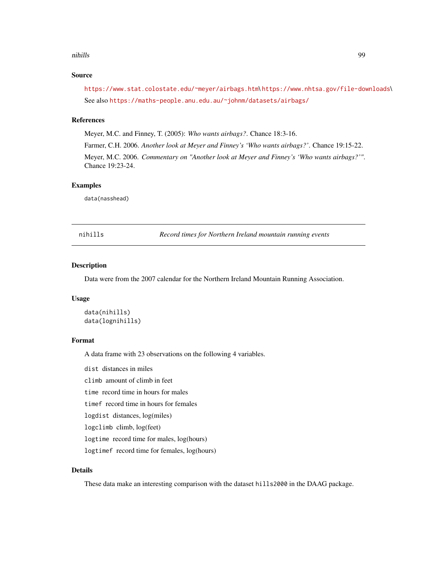#### nihills **99**

# Source

<https://www.stat.colostate.edu/~meyer/airbags.htm>\ <https://www.nhtsa.gov/file-downloads>\ See also <https://maths-people.anu.edu.au/~johnm/datasets/airbags/>

## References

Meyer, M.C. and Finney, T. (2005): *Who wants airbags?*. Chance 18:3-16.

Farmer, C.H. 2006. *Another look at Meyer and Finney's 'Who wants airbags?'*. Chance 19:15-22. Meyer, M.C. 2006. *Commentary on "Another look at Meyer and Finney's 'Who wants airbags?'"*. Chance 19:23-24.

# Examples

data(nasshead)

nihills *Record times for Northern Ireland mountain running events*

## Description

Data were from the 2007 calendar for the Northern Ireland Mountain Running Association.

# Usage

```
data(nihills)
data(lognihills)
```
# Format

A data frame with 23 observations on the following 4 variables.

dist distances in miles

climb amount of climb in feet

time record time in hours for males

timef record time in hours for females

logdist distances, log(miles)

logclimb climb, log(feet)

logtime record time for males, log(hours)

logtimef record time for females, log(hours)

# Details

These data make an interesting comparison with the dataset hills2000 in the DAAG package.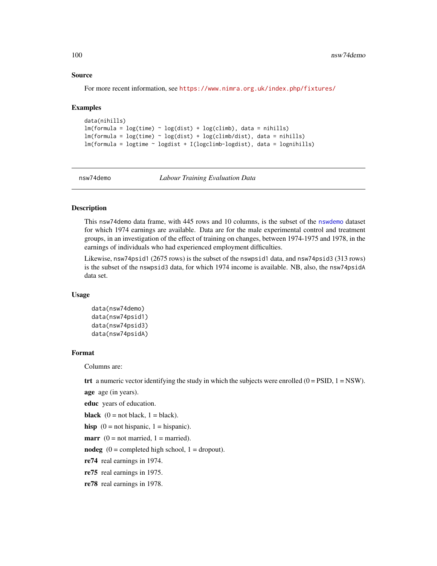#### Source

For more recent information, see <https://www.nimra.org.uk/index.php/fixtures/>

#### Examples

```
data(nihills)
lm(formula = log(time) ~ log(dist) + log(climb), data = nihills)lm(formula = log(time) ~ log(dist) + log(climb/dist), data = nihills)
lm(formula = logtime ~ logdist + I(logclimb-logdist), data = lognihills)
```
nsw74demo *Labour Training Evaluation Data*

# Description

This nsw74demo data frame, with 445 rows and 10 columns, is the subset of the [nswdemo](#page-100-0) dataset for which 1974 earnings are available. Data are for the male experimental control and treatment groups, in an investigation of the effect of training on changes, between 1974-1975 and 1978, in the earnings of individuals who had experienced employment difficulties.

Likewise, nsw74psid1 (2675 rows) is the subset of the nswpsid1 data, and nsw74psid3 (313 rows) is the subset of the nswpsid3 data, for which 1974 income is available. NB, also, the nsw74psidA data set.

# Usage

```
data(nsw74demo)
data(nsw74psid1)
data(nsw74psid3)
data(nsw74psidA)
```
## Format

Columns are:

trt a numeric vector identifying the study in which the subjects were enrolled  $(0 = PSID, 1 = NSW)$ .

age age (in years).

educ years of education.

```
black (0 = not black, 1 = black).
```
hisp  $(0 = not hispanic, 1 = hispanic).$ 

**marr** ( $0 = not married$ ,  $1 = married$ ).

nodeg  $(0 = \text{completed high school}, 1 = \text{dropout})$ .

re74 real earnings in 1974.

re75 real earnings in 1975.

re78 real earnings in 1978.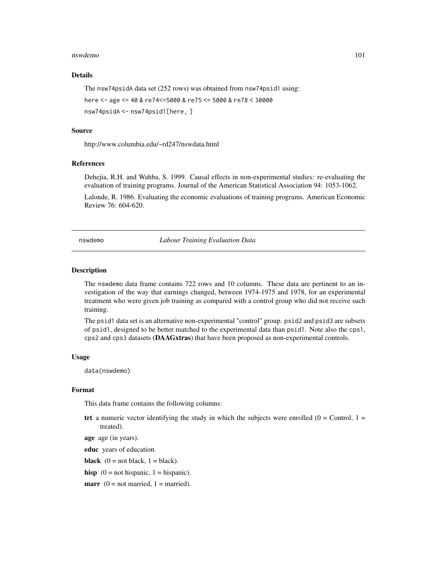#### nswdemo 101

# Details

The nsw74psidA data set (252 rows) was obtained from nsw74psid1 using:

```
here <- age <= 40 & re74<=5000 & re75 <= 5000 & re78 < 30000
```
nsw74psidA <- nsw74psid1[here, ]

## Source

http://www.columbia.edu/~rd247/nswdata.html

## References

Dehejia, R.H. and Wahba, S. 1999. Causal effects in non-experimental studies: re-evaluating the evaluation of training programs. Journal of the American Statistical Association 94: 1053-1062.

Lalonde, R. 1986. Evaluating the economic evaluations of training programs. American Economic Review 76: 604-620.

<span id="page-100-0"></span>nswdemo *Labour Training Evaluation Data*

# Description

The nswdemo data frame contains 722 rows and 10 columns. These data are pertinent to an investigation of the way that earnings changed, between 1974-1975 and 1978, for an experimental treatment who were given job training as compared with a control group who did not receive such training.

The psid1 data set is an alternative non-experimental "control" group. psid2 and psid3 are subsets of psid1, designed to be better matched to the experimental data than psid1. Note also the cps1, cps2 and cps3 datasets (DAAGxtras) that have been proposed as non-experimental controls.

## Usage

data(nswdemo)

#### Format

This data frame contains the following columns:

trt a numeric vector identifying the study in which the subjects were enrolled ( $0 =$ Control,  $1 =$ treated).

age age (in years).

educ years of education.

**black**  $(0 = not black, 1 = black).$ 

hisp  $(0 = not hispanic, 1 = hispanic).$ 

**marr** ( $0 = not married$ ,  $1 = married$ ).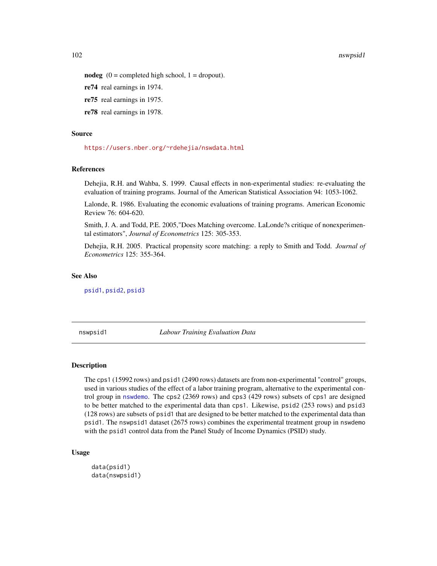#### 102 nswpsid1

nodeg  $(0 =$  completed high school,  $1 =$  dropout).

re74 real earnings in 1974.

re75 real earnings in 1975.

re78 real earnings in 1978.

## Source

<https://users.nber.org/~rdehejia/nswdata.html>

## References

Dehejia, R.H. and Wahba, S. 1999. Causal effects in non-experimental studies: re-evaluating the evaluation of training programs. Journal of the American Statistical Association 94: 1053-1062.

Lalonde, R. 1986. Evaluating the economic evaluations of training programs. American Economic Review 76: 604-620.

Smith, J. A. and Todd, P.E. 2005,"Does Matching overcome. LaLonde?s critique of nonexperimental estimators", *Journal of Econometrics* 125: 305-353.

Dehejia, R.H. 2005. Practical propensity score matching: a reply to Smith and Todd. *Journal of Econometrics* 125: 355-364.

# See Also

[psid1](#page-101-0), [psid2](#page-101-0), [psid3](#page-101-0)

nswpsid1 *Labour Training Evaluation Data*

# <span id="page-101-0"></span>Description

The cps1 (15992 rows) and psid1 (2490 rows) datasets are from non-experimental "control" groups, used in various studies of the effect of a labor training program, alternative to the experimental control group in [nswdemo](#page-100-0). The cps2 (2369 rows) and cps3 (429 rows) subsets of cps1 are designed to be better matched to the experimental data than cps1. Likewise, psid2 (253 rows) and psid3 (128 rows) are subsets of psid1 that are designed to be better matched to the experimental data than psid1. The nswpsid1 dataset (2675 rows) combines the experimental treatment group in nswdemo with the psid1 control data from the Panel Study of Income Dynamics (PSID) study.

## Usage

```
data(psid1)
data(nswpsid1)
```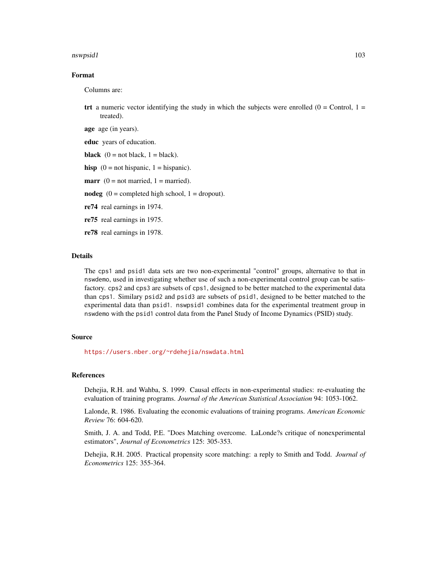#### nswpsid1 103

# Format

Columns are:

trt a numeric vector identifying the study in which the subjects were enrolled  $(0 =$ Control,  $1 =$ treated).

age age (in years).

educ years of education.

**black**  $(0 = not black, 1 = black).$ 

hisp  $(0 = not hispanic, 1 = hispanic).$ 

**marr** ( $0 = not married$ ,  $1 = married$ ).

nodeg  $(0 = \text{completed high school}, 1 = \text{dropout})$ .

re74 real earnings in 1974.

re75 real earnings in 1975.

re78 real earnings in 1978.

# Details

The cps1 and psid1 data sets are two non-experimental "control" groups, alternative to that in nswdemo, used in investigating whether use of such a non-experimental control group can be satisfactory. cps2 and cps3 are subsets of cps1, designed to be better matched to the experimental data than cps1. Similary psid2 and psid3 are subsets of psid1, designed to be better matched to the experimental data than psid1. nswpsid1 combines data for the experimental treatment group in nswdemo with the psid1 control data from the Panel Study of Income Dynamics (PSID) study.

#### Source

<https://users.nber.org/~rdehejia/nswdata.html>

## References

Dehejia, R.H. and Wahba, S. 1999. Causal effects in non-experimental studies: re-evaluating the evaluation of training programs. *Journal of the American Statistical Association* 94: 1053-1062.

Lalonde, R. 1986. Evaluating the economic evaluations of training programs. *American Economic Review* 76: 604-620.

Smith, J. A. and Todd, P.E. "Does Matching overcome. LaLonde?s critique of nonexperimental estimators", *Journal of Econometrics* 125: 305-353.

Dehejia, R.H. 2005. Practical propensity score matching: a reply to Smith and Todd. *Journal of Econometrics* 125: 355-364.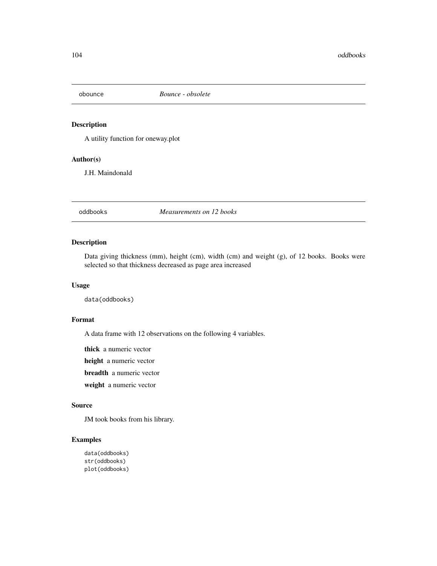A utility function for oneway.plot

# Author(s)

J.H. Maindonald

oddbooks *Measurements on 12 books*

# Description

Data giving thickness (mm), height (cm), width (cm) and weight (g), of 12 books. Books were selected so that thickness decreased as page area increased

# Usage

data(oddbooks)

# Format

A data frame with 12 observations on the following 4 variables.

thick a numeric vector

height a numeric vector

breadth a numeric vector

weight a numeric vector

# Source

JM took books from his library.

# Examples

data(oddbooks) str(oddbooks) plot(oddbooks)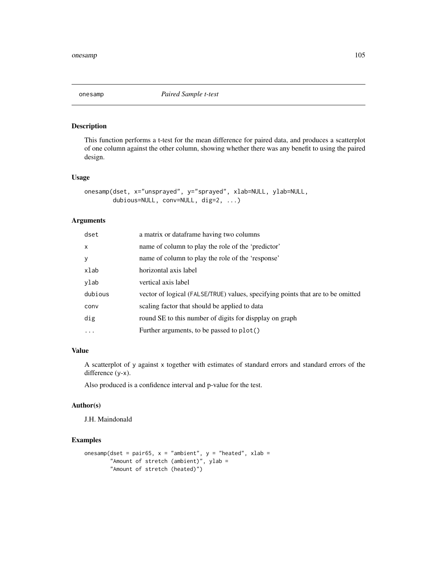This function performs a t-test for the mean difference for paired data, and produces a scatterplot of one column against the other column, showing whether there was any benefit to using the paired design.

# Usage

```
onesamp(dset, x="unsprayed", y="sprayed", xlab=NULL, ylab=NULL,
       dubious=NULL, conv=NULL, dig=2, ...)
```
# Arguments

| dset       | a matrix or dataframe having two columns                                        |
|------------|---------------------------------------------------------------------------------|
| X          | name of column to play the role of the 'predictor'                              |
| У          | name of column to play the role of the 'response'                               |
| xlab       | horizontal axis label                                                           |
| ylab       | vertical axis label                                                             |
| dubious    | vector of logical (FALSE/TRUE) values, specifying points that are to be omitted |
| conv       | scaling factor that should be applied to data                                   |
| dig        | round SE to this number of digits for dispplay on graph                         |
| $\ddots$ . | Further arguments, to be passed to plot()                                       |

# Value

A scatterplot of y against x together with estimates of standard errors and standard errors of the difference (y-x).

Also produced is a confidence interval and p-value for the test.

## Author(s)

J.H. Maindonald

```
onesamp(dset = pair65, x = "ambient", y = "heated", xlab =
        "Amount of stretch (ambient)", ylab =
        "Amount of stretch (heated)")
```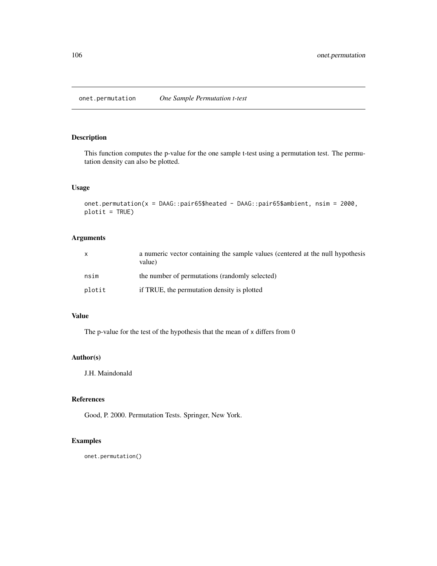onet.permutation *One Sample Permutation t-test*

# Description

This function computes the p-value for the one sample t-test using a permutation test. The permutation density can also be plotted.

# Usage

```
onet.permutation(x = DAAG::pair65$heated - DAAG::pair65$ambient, nsim = 2000,
plotit = TRUE)
```
# Arguments

| $\mathsf{x}$ | a numeric vector containing the sample values (centered at the null hypothesis<br>value) |
|--------------|------------------------------------------------------------------------------------------|
| nsim         | the number of permutations (randomly selected)                                           |
| plotit       | if TRUE, the permutation density is plotted                                              |

# Value

The p-value for the test of the hypothesis that the mean of x differs from 0

# Author(s)

J.H. Maindonald

# References

Good, P. 2000. Permutation Tests. Springer, New York.

# Examples

onet.permutation()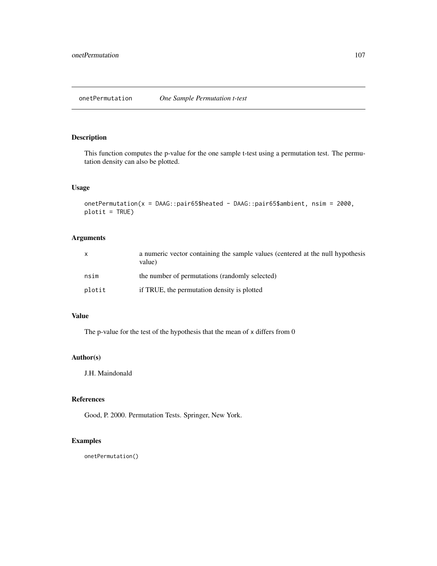This function computes the p-value for the one sample t-test using a permutation test. The permutation density can also be plotted.

# Usage

```
onetPermutation(x = DAAG::pair65$heated - DAAG::pair65$ambient, nsim = 2000,
plotit = TRUE)
```
# Arguments

| $\mathsf{x}$ | a numeric vector containing the sample values (centered at the null hypothesis<br>value) |
|--------------|------------------------------------------------------------------------------------------|
| nsim         | the number of permutations (randomly selected)                                           |
| plotit       | if TRUE, the permutation density is plotted                                              |

# Value

The p-value for the test of the hypothesis that the mean of x differs from 0

# Author(s)

J.H. Maindonald

# References

Good, P. 2000. Permutation Tests. Springer, New York.

# Examples

onetPermutation()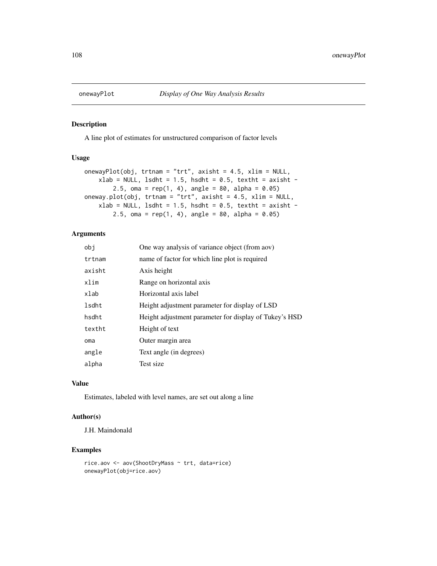A line plot of estimates for unstructured comparison of factor levels

# Usage

```
onewayPlot(obj, trtnam = "trt", axisht = 4.5, xlim = NULL,
    xlab = NULL, lsdht = 1.5, hsdht = 0.5, textht = axisht -
       2.5, oma = rep(1, 4), angle = 80, alpha = 0.05)
oneway.plot(obj, trtnam = "trt", axisht = 4.5, xlim = NULL,
    xlab = NULL, lsdht = 1.5, hsdht = 0.5, textht = axisht -
        2.5, oma = rep(1, 4), angle = 80, alpha = 0.05)
```
# Arguments

| obi    | One way analysis of variance object (from aov)         |
|--------|--------------------------------------------------------|
| trtnam | name of factor for which line plot is required         |
| axisht | Axis height                                            |
| xlim   | Range on horizontal axis                               |
| xlab   | Horizontal axis label                                  |
| lsdht  | Height adjustment parameter for display of LSD         |
| hsdht  | Height adjustment parameter for display of Tukey's HSD |
| textht | Height of text                                         |
| oma    | Outer margin area                                      |
| angle  | Text angle (in degrees)                                |
| alpha  | Test size                                              |

## Value

Estimates, labeled with level names, are set out along a line

## Author(s)

J.H. Maindonald

```
rice.aov <- aov(ShootDryMass ~ trt, data=rice)
onewayPlot(obj=rice.aov)
```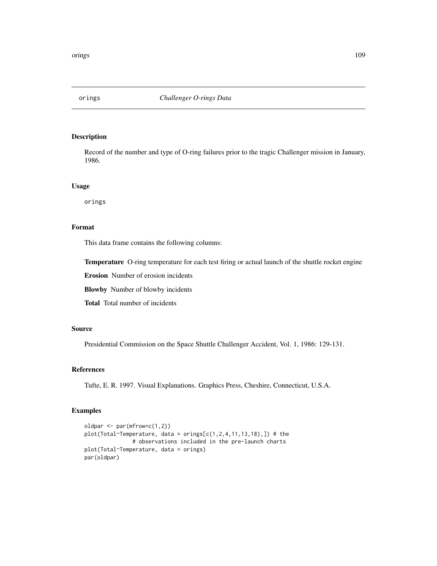### Description

Record of the number and type of O-ring failures prior to the tragic Challenger mission in January, 1986.

### Usage

orings

# Format

This data frame contains the following columns:

Temperature O-ring temperature for each test firing or actual launch of the shuttle rocket engine

Erosion Number of erosion incidents

Blowby Number of blowby incidents

Total Total number of incidents

# Source

Presidential Commission on the Space Shuttle Challenger Accident, Vol. 1, 1986: 129-131.

## References

Tufte, E. R. 1997. Visual Explanations. Graphics Press, Cheshire, Connecticut, U.S.A.

### Examples

```
oldpar <- par(mfrow=c(1,2))
plot(Total~Temperature, data = origins[C(1, 2, 4, 11, 13, 18),])# the
               # observations included in the pre-launch charts
plot(Total~Temperature, data = orings)
par(oldpar)
```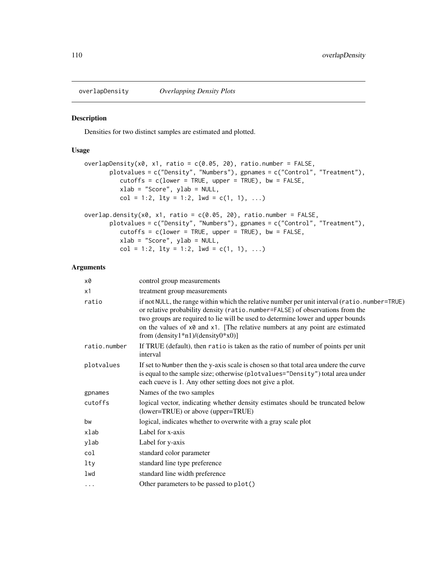# Description

Densities for two distinct samples are estimated and plotted.

# Usage

```
overlapDensity(x0, x1, ratio = c(0.05, 20), ratio.number = FALSE,
       plotvalues = c("Density", "Numbers"), gpnames = c("Control", "Treatment"),
          cutoffs = c(lower = TRUE, upper = TRUE), bw = FALSE,xlab = "Score", ylab = NULL,
          col = 1:2, lty = 1:2, lwd = c(1, 1), ...overlap.density(x0, x1, ratio = c(0.05, 20), ratio.number = FALSE,
       plotvalues = c("Density", "Numbers"), gpnames = c("Control", "Treatment"),
          cutoffs = c(lower = TRUE, upper = TRUE), bw = FALSE,xlab = "Score", ylab = NULL,
          col = 1:2, lty = 1:2, lwd = c(1, 1), ...
```
#### Arguments

| control group measurements                                                                                                                                                                                                                                                                                                                                                               |
|------------------------------------------------------------------------------------------------------------------------------------------------------------------------------------------------------------------------------------------------------------------------------------------------------------------------------------------------------------------------------------------|
| treatment group measurements                                                                                                                                                                                                                                                                                                                                                             |
| if not NULL, the range within which the relative number per unit interval (ratio.number=TRUE)<br>or relative probability density (ratio.number=FALSE) of observations from the<br>two groups are required to lie will be used to determine lower and upper bounds<br>on the values of x0 and x1. [The relative numbers at any point are estimated<br>from $(density1*n1)/(density0*x0)]$ |
| If TRUE (default), then ratio is taken as the ratio of number of points per unit<br>interval                                                                                                                                                                                                                                                                                             |
| If set to Number then the y-axis scale is chosen so that total area undere the curve<br>is equal to the sample size; otherwise (plotvalues="Density") total area under<br>each cueve is 1. Any other setting does not give a plot.                                                                                                                                                       |
| Names of the two samples                                                                                                                                                                                                                                                                                                                                                                 |
| logical vector, indicating whether density estimates should be truncated below<br>(lower=TRUE) or above (upper=TRUE)                                                                                                                                                                                                                                                                     |
| logical, indicates whether to overwrite with a gray scale plot                                                                                                                                                                                                                                                                                                                           |
| Label for x-axis                                                                                                                                                                                                                                                                                                                                                                         |
| Label for y-axis                                                                                                                                                                                                                                                                                                                                                                         |
| standard color parameter                                                                                                                                                                                                                                                                                                                                                                 |
| standard line type preference                                                                                                                                                                                                                                                                                                                                                            |
| standard line width preference                                                                                                                                                                                                                                                                                                                                                           |
| Other parameters to be passed to plot()                                                                                                                                                                                                                                                                                                                                                  |
|                                                                                                                                                                                                                                                                                                                                                                                          |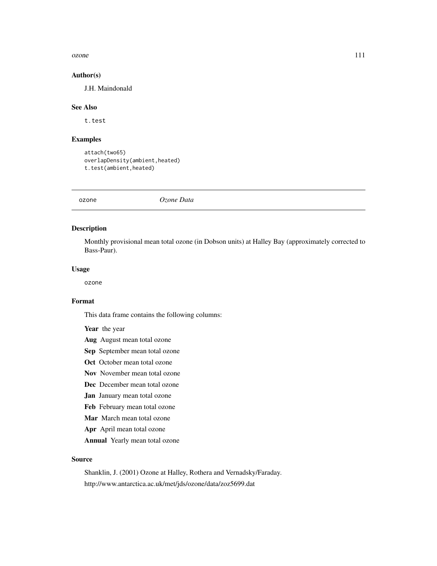#### ozone 111

### Author(s)

J.H. Maindonald

### See Also

t.test

## Examples

attach(two65) overlapDensity(ambient,heated) t.test(ambient,heated)

ozone *Ozone Data*

# Description

Monthly provisional mean total ozone (in Dobson units) at Halley Bay (approximately corrected to Bass-Paur).

### Usage

ozone

#### Format

This data frame contains the following columns:

Year the year

- Aug August mean total ozone
- Sep September mean total ozone
- Oct October mean total ozone
- Nov November mean total ozone
- Dec December mean total ozone
- Jan January mean total ozone
- Feb February mean total ozone
- Mar March mean total ozone
- Apr April mean total ozone
- Annual Yearly mean total ozone

# Source

Shanklin, J. (2001) Ozone at Halley, Rothera and Vernadsky/Faraday. http://www.antarctica.ac.uk/met/jds/ozone/data/zoz5699.dat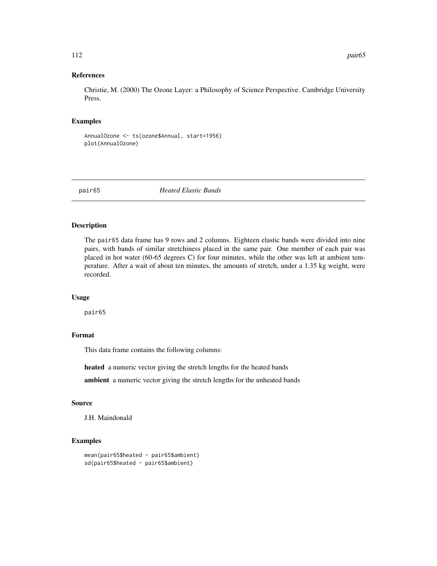### References

Christie, M. (2000) The Ozone Layer: a Philosophy of Science Perspective. Cambridge University Press.

## Examples

```
AnnualOzone <- ts(ozone$Annual, start=1956)
plot(AnnualOzone)
```
pair65 *Heated Elastic Bands*

### Description

The pair65 data frame has 9 rows and 2 columns. Eighteen elastic bands were divided into nine pairs, with bands of similar stretchiness placed in the same pair. One member of each pair was placed in hot water (60-65 degrees C) for four minutes, while the other was left at ambient temperature. After a wait of about ten minutes, the amounts of stretch, under a 1.35 kg weight, were recorded.

#### Usage

pair65

# Format

This data frame contains the following columns:

heated a numeric vector giving the stretch lengths for the heated bands

ambient a numeric vector giving the stretch lengths for the unheated bands

#### Source

J.H. Maindonald

# **Examples**

```
mean(pair65$heated - pair65$ambient)
sd(pair65$heated - pair65$ambient)
```
112 **pair65**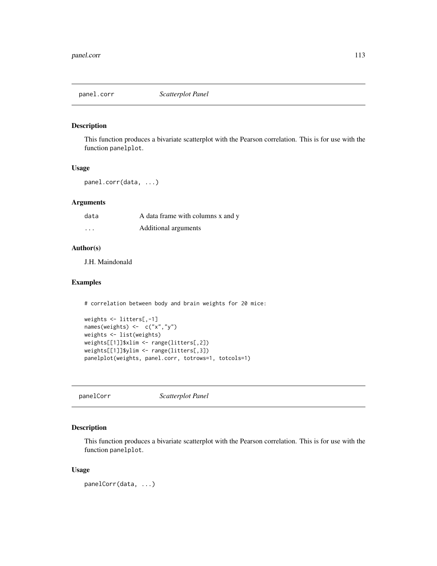# Description

This function produces a bivariate scatterplot with the Pearson correlation. This is for use with the function panelplot.

### Usage

panel.corr(data, ...)

# Arguments

| data     | A data frame with columns x and y |
|----------|-----------------------------------|
| $\cdots$ | Additional arguments              |

## Author(s)

J.H. Maindonald

## Examples

# correlation between body and brain weights for 20 mice:

```
weights <- litters[,-1]
names(weights) <- c("x","y")
weights <- list(weights)
weights[[1]]$xlim <- range(litters[,2])
weights[[1]]$ylim <- range(litters[,3])
panelplot(weights, panel.corr, totrows=1, totcols=1)
```
panelCorr *Scatterplot Panel*

# Description

This function produces a bivariate scatterplot with the Pearson correlation. This is for use with the function panelplot.

### Usage

panelCorr(data, ...)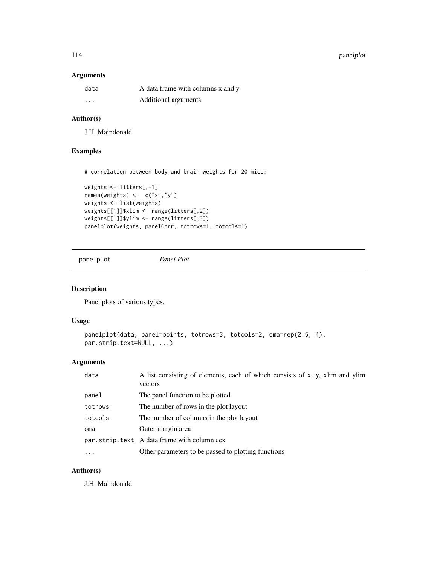#### 114 **panelplot**

## Arguments

| data     | A data frame with columns x and y |
|----------|-----------------------------------|
| $\cdots$ | Additional arguments              |

# Author(s)

J.H. Maindonald

# Examples

# correlation between body and brain weights for 20 mice:

```
weights <- litters[,-1]
names(weights) <- c("x","y")
weights <- list(weights)
weights[[1]]$xlim <- range(litters[,2])
weights[[1]]$ylim <- range(litters[,3])
panelplot(weights, panelCorr, totrows=1, totcols=1)
```
panelplot *Panel Plot*

# Description

Panel plots of various types.

### Usage

```
panelplot(data, panel=points, totrows=3, totcols=2, oma=rep(2.5, 4),
par.strip.text=NULL, ...)
```
# Arguments

| data      | A list consisting of elements, each of which consists of x, y, xlim and ylim<br>vectors |
|-----------|-----------------------------------------------------------------------------------------|
| panel     | The panel function to be plotted                                                        |
| totrows   | The number of rows in the plot layout                                                   |
| totcols   | The number of columns in the plot layout                                                |
| oma       | Outer margin area                                                                       |
|           | par strip text A data frame with column cex                                             |
| $\ddotsc$ | Other parameters to be passed to plotting functions                                     |

# Author(s)

J.H. Maindonald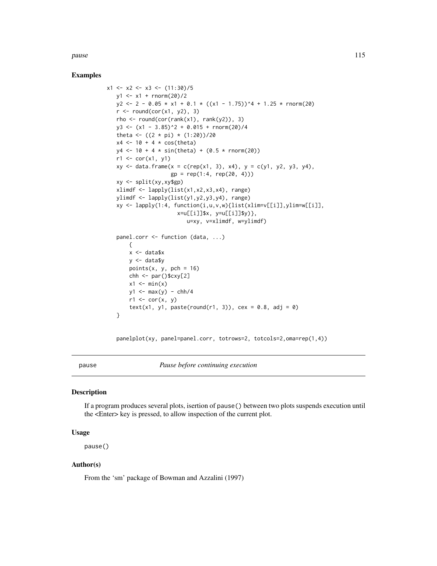pause the contract of the contract of the contract of the contract of the contract of the contract of the contract of the contract of the contract of the contract of the contract of the contract of the contract of the cont

## Examples

```
x1 \leftarrow x2 \leftarrow x3 \leftarrow (11:30)/5y1 \le -x1 + \text{rnorm}(20)/2y2 \le -2 - 0.05 \times x1 + 0.1 \times ((x1 - 1.75))^4 + 1.25 \times \text{rnorm}(20)r \le round(cor(x1, y2), 3)
   rho \le round(cor(rank(x1), rank(y2)), 3)
   y3 \leftarrow (x1 - 3.85)^2 + 0.015 + \text{rnorm}(20)/4theta <- ((2 * pi) * (1:20))/20x4 \leftarrow 10 + 4 * \cos(\text{theta})y4 \le -10 + 4 * \sin(\text{theta}) + (0.5 * \text{norm}(20))r1 \leftarrow cor(x1, y1)xy \leq data. frame(x = c(rep(x1, 3), x4), y = c(y1, y2, y3, y4),
                       gp = rep(1:4, rep(20, 4)))xy <- split(xy,xy$gp)
   xlimdf <- lapply(list(x1,x2,x3,x4), range)
   ylimdf <- lapply(list(y1,y2,y3,y4), range)
   xy <- lapply(1:4, function(i,u,v,w){list(xlim=v[[i]],ylim=w[[i]],
                         x=u[[i]]$x, y=u[[i]]$y)},
                             u=xy, v=xlimdf, w=ylimdf)
   panel.corr <- function (data, ...)
       {
       x <- data$x
       y <- data$y
       points(x, y, pch = 16)
       chh \leq par()$cxy[2]
       x1 \leftarrow min(x)y1 \leftarrow max(y) - chh/4r1 \leftarrow cor(x, y)text(x1, y1, paste(round(r1, 3)), cex = 0.8, adj = 0)
   }
```
panelplot(xy, panel=panel.corr, totrows=2, totcols=2,oma=rep(1,4))

pause *Pause before continuing execution*

#### Description

If a program produces several plots, isertion of pause() between two plots suspends execution until the <Enter> key is pressed, to allow inspection of the current plot.

### Usage

pause()

### Author(s)

From the 'sm' package of Bowman and Azzalini (1997)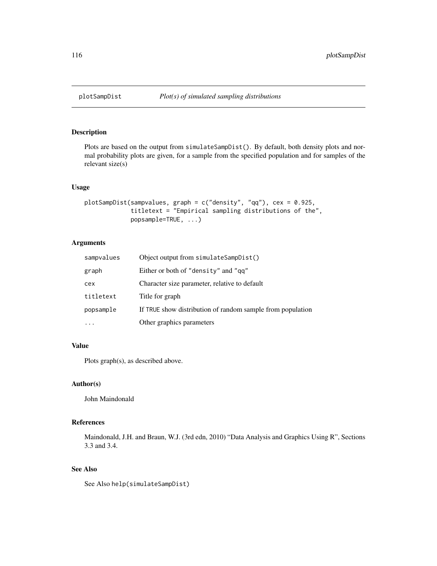# Description

Plots are based on the output from simulateSampDist(). By default, both density plots and normal probability plots are given, for a sample from the specified population and for samples of the relevant size(s)

## Usage

```
plotSampDist(sampvalues, graph = c("density", "qq"), cex = 0.925,
             titletext = "Empirical sampling distributions of the",
             popsample=TRUE, ...)
```
# Arguments

| sampvalues | Object output from simulateSampDist()                      |
|------------|------------------------------------------------------------|
| graph      | Either or both of "density" and "gq"                       |
| cex        | Character size parameter, relative to default              |
| titletext  | Title for graph                                            |
| popsample  | If TRUE show distribution of random sample from population |
|            | Other graphics parameters                                  |

# Value

Plots graph(s), as described above.

#### Author(s)

John Maindonald

### References

Maindonald, J.H. and Braun, W.J. (3rd edn, 2010) "Data Analysis and Graphics Using R", Sections 3.3 and 3.4.

# See Also

See Also help(simulateSampDist)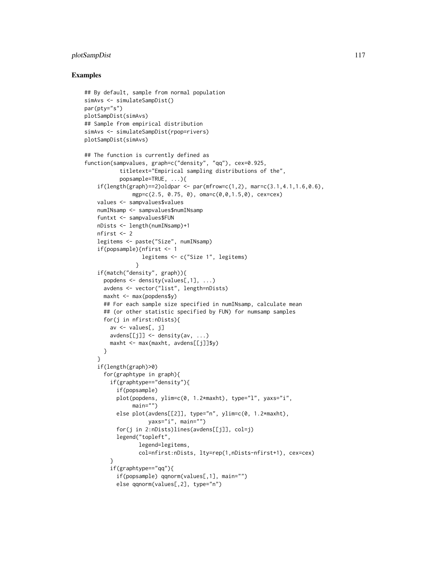# plotSampDist 117

### Examples

```
## By default, sample from normal population
simAvs <- simulateSampDist()
par(pty="s")
plotSampDist(simAvs)
## Sample from empirical distribution
simAvs <- simulateSampDist(rpop=rivers)
plotSampDist(simAvs)
## The function is currently defined as
function(sampvalues, graph=c("density", "qq"), cex=0.925,
           titletext="Empirical sampling distributions of the",
           popsample=TRUE, ...){
    if(length(graph)=2)oldpar <- par(mfrow=c(1,2)), mar=c(3.1,4.1,1.6,0.6),
               mgp=c(2.5, 0.75, 0), oma=c(0,0,1.5,0), cex=cex)
    values <- sampvalues$values
    numINsamp <- sampvalues$numINsamp
    funtxt <- sampvalues$FUN
    nDists <- length(numINsamp)+1
    nfirst <- 2
    legitems <- paste("Size", numINsamp)
    if(popsample){nfirst <- 1
                  legitems <- c("Size 1", legitems)
                }
    if(match("density", graph)){
      popdens \leq density(values[,1], ...)
      avdens <- vector("list", length=nDists)
      maxht <- max(popdens$y)
      ## For each sample size specified in numINsamp, calculate mean
      ## (or other statistic specified by FUN) for numsamp samples
      for(j in nfirst:nDists){
        av <- values[, j]
        avdens[[j]] <- density(av, ...)
        maxht <- max(maxht, avdens[[j]]$y)
      }
    }
    if(length(graph)>0)
      for(graphtype in graph){
        if(graphtype=="density"){
          if(popsample)
          plot(popdens, ylim=c(0, 1.2*maxht), type="l", yaxs="i",
               main="")
          else plot(avdens[[2]], type="n", ylim=c(0, 1.2*maxht),
                    yaxs="i", main="")
          for(j in 2:nDists)lines(avdens[[j]], col=j)
          legend("topleft",
                 legend=legitems,
                 col=nfirst:nDists, lty=rep(1,nDists-nfirst+1), cex=cex)
        }
        if(graphtype=="qq"){
          if(popsample) qqnorm(values[,1], main="")
          else qqnorm(values[,2], type="n")
```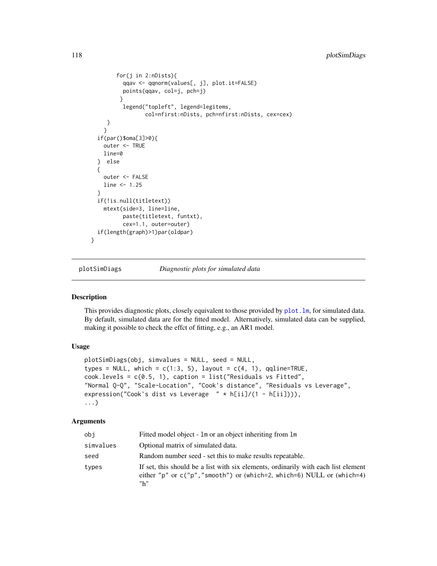```
for(j in 2:nDists){
          qqav <- qqnorm(values[, j], plot.it=FALSE)
          points(qqav, col=j, pch=j)
         }
          legend("topleft", legend=legitems,
                 col=nfirst:nDists, pch=nfirst:nDists, cex=cex)
    }
    }
  if(par()$oma[3]>0){
    outer <- TRUE
    line=0
  } else
  {
    outer <- FALSE
    line <- 1.25
  }
  if(!is.null(titletext))
    mtext(side=3, line=line,
          paste(titletext, funtxt),
          cex=1.1, outer=outer)
  if(length(graph)>1)par(oldpar)
}
```
<span id="page-117-0"></span>plotSimDiags *Diagnostic plots for simulated data*

### Description

This provides diagnostic plots, closely equivalent to those provided by  $plot \ldots lm$ , for simulated data. By default, simulated data are for the fitted model. Alternatively, simulated data can be supplied, making it possible to check the effct of fitting, e.g., an AR1 model.

## Usage

```
plotSimDiags(obj, simvalues = NULL, seed = NULL,
types = NULL, which = c(1:3, 5), layout = c(4, 1), qqline=TRUE,
cook.levels = c(0.5, 1), caption = list("Residuals vs Fitted",
"Normal Q-Q", "Scale-Location", "Cook's distance", "Residuals vs Leverage",
expression("Cook's dist vs Leverage " * h[i]/(1 - h[i])),
...)
```
## Arguments

| obi       | Fitted model object - 1 m or an object inheriting from 1 m                                                                                                            |
|-----------|-----------------------------------------------------------------------------------------------------------------------------------------------------------------------|
| simvalues | Optional matrix of simulated data.                                                                                                                                    |
| seed      | Random number seed - set this to make results repeatable.                                                                                                             |
| types     | If set, this should be a list with six elements, ordinarily with each list element<br>either "p" or $c("p", "smooth")$ or (which=2, which=6) NULL or (which=4)<br>"h" |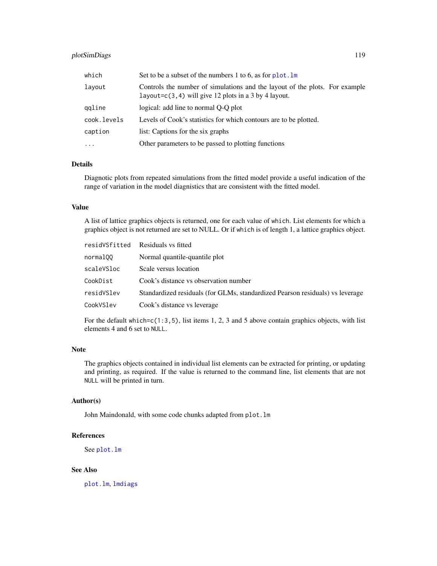# plotSimDiags 119

| which       | Set to be a subset of the numbers 1 to 6, as for $plot.lm$                                                                              |
|-------------|-----------------------------------------------------------------------------------------------------------------------------------------|
| layout      | Controls the number of simulations and the layout of the plots. For example<br>layout= $c(3, 4)$ will give 12 plots in a 3 by 4 layout. |
| ggline      | logical: add line to normal O-O plot                                                                                                    |
| cook.levels | Levels of Cook's statistics for which contours are to be plotted.                                                                       |
| caption     | list: Captions for the six graphs                                                                                                       |
| $\cdots$    | Other parameters to be passed to plotting functions                                                                                     |

# Details

Diagnotic plots from repeated simulations from the fitted model provide a useful indication of the range of variation in the model diagnistics that are consistent with the fitted model.

### Value

A list of lattice graphics objects is returned, one for each value of which. List elements for which a graphics object is not returned are set to NULL. Or if which is of length 1, a lattice graphics object.

| residVSfitted | Residuals vs fitted                                                           |
|---------------|-------------------------------------------------------------------------------|
| normal00      | Normal quantile-quantile plot                                                 |
| scaleVSloc    | Scale versus location                                                         |
| CookDist      | Cook's distance vs observation number                                         |
| residVSlev    | Standardized residuals (for GLMs, standardized Pearson residuals) vs leverage |
| CookVSlev     | Cook's distance vs leverage                                                   |
|               |                                                                               |

For the default which= $c(1:3,5)$ , list items 1, 2, 3 and 5 above contain graphics objects, with list elements 4 and 6 set to NULL.

## Note

The graphics objects contained in individual list elements can be extracted for printing, or updating and printing, as required. If the value is returned to the command line, list elements that are not NULL will be printed in turn.

## Author(s)

John Maindonald, with some code chunks adapted from plot.lm

# References

See [plot.lm](#page-0-0)

## See Also

[plot.lm](#page-0-0), [lmdiags](#page-85-0)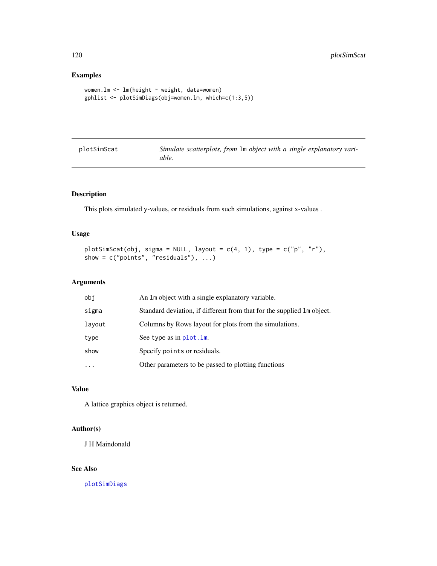# Examples

```
women.lm <- lm(height ~ weight, data=women)
gphlist <- plotSimDiags(obj=women.lm, which=c(1:3,5))
```

| plotSimScat | Simulate scatterplots, from 1m object with a single explanatory vari- |
|-------------|-----------------------------------------------------------------------|
|             | able.                                                                 |

# Description

This plots simulated y-values, or residuals from such simulations, against x-values .

## Usage

```
plotSimScat(obj, sigma = NULL, layout = c(4, 1), type = c("p", "r"),show = c("points", "residuals"), ...)
```
## Arguments

| obi    | An 1m object with a single explanatory variable.                        |
|--------|-------------------------------------------------------------------------|
| sigma  | Standard deviation, if different from that for the supplied 1 m object. |
| layout | Columns by Rows layout for plots from the simulations.                  |
| type   | See type as in plot. 1m.                                                |
| show   | Specify points or residuals.                                            |
| .      | Other parameters to be passed to plotting functions                     |

## Value

A lattice graphics object is returned.

## Author(s)

J H Maindonald

# See Also

[plotSimDiags](#page-117-0)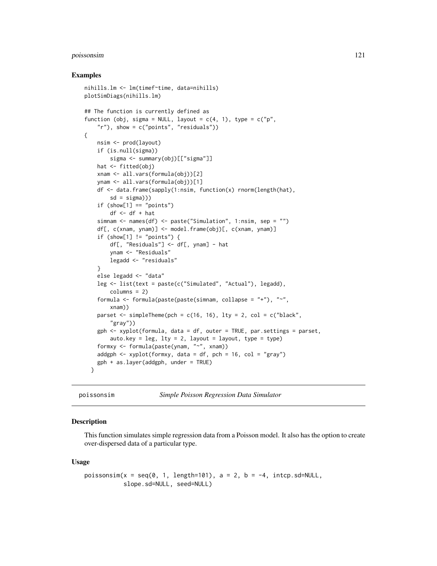#### poissonsim 121

### Examples

```
nihills.lm <- lm(timef~time, data=nihills)
plotSimDiags(nihills.lm)
## The function is currently defined as
function (obj, sigma = NULL, layout = c(4, 1), type = c("p","r"), show = c("points", "residuals"))
{
   nsim <- prod(layout)
   if (is.null(sigma))
       sigma <- summary(obj)[["sigma"]]
   hat <- fitted(obj)
   xnam <- all.vars(formula(obj))[2]
   ynam <- all.vars(formula(obj))[1]
   df <- data.frame(sapply(1:nsim, function(x) rnorm(length(hat),
        sd = sigma))if (show[1] == "points")df <- df + hatsimnam <- names(df) <- paste("Simulation", 1:nsim, sep = "")
   df[, c(xnam, ynam)] <- model.frame(obj)[, c(xnam, ynam)]
    if (show[1] != "points") {
       df[, "Residuals"] <- df[, ynam] - hat
       ynam <- "Residuals"
       legadd <- "residuals"
    }
   else legadd <- "data"
   leg <- list(text = paste(c("Simulated", "Actual"), legadd),
       columns = 2)
    formula <- formula(paste(paste(simnam, collapse = "+"), "~",
       xnam))
   parset \le simpleTheme(pch = c(16, 16), lty = 2, col = c("black",
        "gray"))
    gph <- xyplot(formula, data = df, outer = TRUE, par.settings = parset,
       auto.key = leg, lty = 2, layout = layout, type = type)
    formxy <- formula(paste(ynam, "~", xnam))
    addgph \leq xyplot(formxy, data = df, pch = 16, col = "gray")
    gph + as.layer(addgph, under = TRUE)}
```

```
poissonsim Simple Poisson Regression Data Simulator
```
### **Description**

This function simulates simple regression data from a Poisson model. It also has the option to create over-dispersed data of a particular type.

#### Usage

```
poissonsim(x = seq(0, 1, length=101), a = 2, b = -4, intcp.sd=NULL,
           slope.sd=NULL, seed=NULL)
```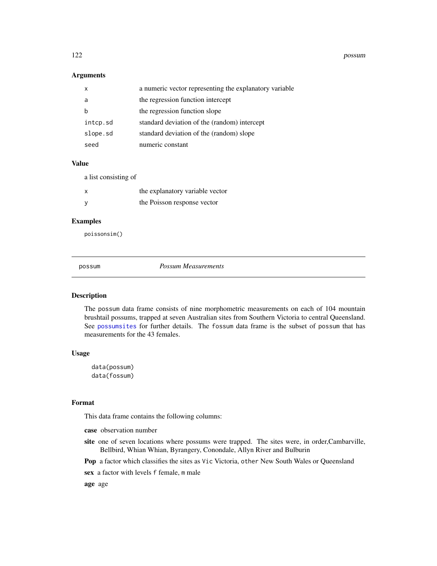122 possum

## Arguments

|          | a numeric vector representing the explanatory variable |
|----------|--------------------------------------------------------|
| a        | the regression function intercept                      |
|          | the regression function slope                          |
| intcp.sd | standard deviation of the (random) intercept           |
| slope.sd | standard deviation of the (random) slope               |
| seed     | numeric constant                                       |

### Value

a list consisting of

| x | the explanatory variable vector |
|---|---------------------------------|
|   | the Poisson response vector     |

# Examples

poissonsim()

<span id="page-121-0"></span>

possum *Possum Measurements*

## Description

The possum data frame consists of nine morphometric measurements on each of 104 mountain brushtail possums, trapped at seven Australian sites from Southern Victoria to central Queensland. See [possumsites](#page-123-0) for further details. The fossum data frame is the subset of possum that has measurements for the 43 females.

# Usage

data(possum) data(fossum)

## Format

This data frame contains the following columns:

case observation number

site one of seven locations where possums were trapped. The sites were, in order, Cambarville, Bellbird, Whian Whian, Byrangery, Conondale, Allyn River and Bulburin

Pop a factor which classifies the sites as Vic Victoria, other New South Wales or Queensland

sex a factor with levels f female, m male

age age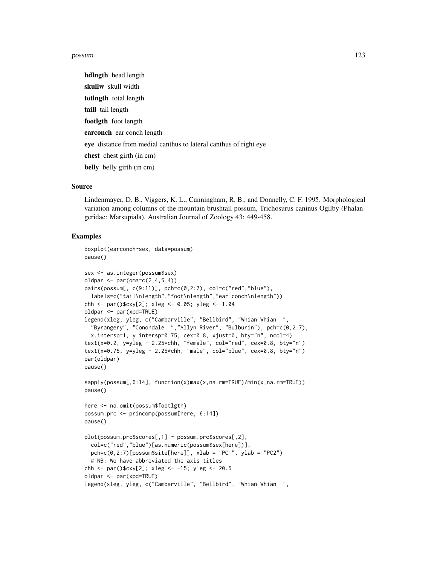#### possum 123

hdlngth head length skullw skull width totlngth total length taill tail length footlgth foot length earconch ear conch length eye distance from medial canthus to lateral canthus of right eye chest chest girth (in cm) belly belly girth (in cm)

## Source

Lindenmayer, D. B., Viggers, K. L., Cunningham, R. B., and Donnelly, C. F. 1995. Morphological variation among columns of the mountain brushtail possum, Trichosurus caninus Ogilby (Phalangeridae: Marsupiala). Australian Journal of Zoology 43: 449-458.

## Examples

```
boxplot(earconch~sex, data=possum)
pause()
sex <- as.integer(possum$sex)
oldpar <- par(\text{oma}=c(2,4,5,4))pairs(possum[,c(9:11)], pch=c(0,2:7), col=c("red", "blue"),
  labels=c("tail\nlength","foot\nlength","ear conch\nlength"))
chh <- par()$cxy[2]; xleg <- 0.05; yleg <- 1.04
oldpar <- par(xpd=TRUE)
legend(xleg, yleg, c("Cambarville", "Bellbird", "Whian Whian ",
  "Byrangery", "Conondale ","Allyn River", "Bulburin"), pch=c(0,2:7),
  x.intersp=1, y.intersp=0.75, cex=0.8, xjust=0, bty="n", ncol=4)
text(x=0.2, y=yleg - 2.25*chh, "female", col="red", cex=0.8, bty="n")
text(x=0.75, y=yleg - 2.25*chh, "male", col="blue", cex=0.8, bty="n")
par(oldpar)
pause()
sapply(possum[,6:14], function(x)max(x,na.rm=TRUE)/min(x,na.rm=TRUE))
pause()
here <- na.omit(possum$footlgth)
possum.prc <- princomp(possum[here, 6:14])
pause()
plot(possum.prc$scores[,1] ~ possum.prc$scores[,2],
  col=c("red","blue")[as.numeric(possum$sex[here])],
  pch=c(0,2:7)[possum$site[here]], xlab = "PC1", ylab = "PC2")
  # NB: We have abbreviated the axis titles
chh <- par()$cxy[2]; xleg <- -15; yleg <- 20.5
oldpar <- par(xpd=TRUE)
legend(xleg, yleg, c("Cambarville", "Bellbird", "Whian Whian ",
```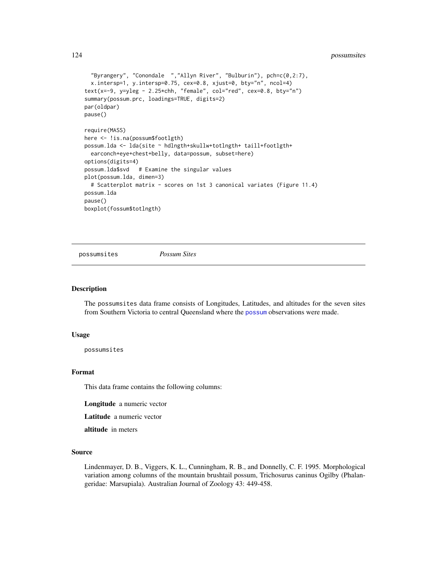## 124 possumsites proposed and the possumsites possums items of the possums items of the possums items of the possums items of the possums items of the possums items of the possums items of the possums items of the possums i

```
"Byrangery", "Conondale ","Allyn River", "Bulburin"), pch=c(0,2:7),
 x.intersp=1, y.intersp=0.75, cex=0.8, xjust=0, bty="n", ncol=4)
text(x=-9, y=yleg - 2.25*chh, "female", col="red", cex=0.8, bty="n")
summary(possum.prc, loadings=TRUE, digits=2)
par(oldpar)
pause()
require(MASS)
here <- !is.na(possum$footlgth)
possum.lda <- lda(site ~ hdlngth+skullw+totlngth+ taill+footlgth+
 earconch+eye+chest+belly, data=possum, subset=here)
options(digits=4)
possum.lda$svd # Examine the singular values
plot(possum.lda, dimen=3)
 # Scatterplot matrix - scores on 1st 3 canonical variates (Figure 11.4)
possum.lda
pause()
boxplot(fossum$totlngth)
```
<span id="page-123-0"></span>possumsites *Possum Sites*

### Description

The possumsites data frame consists of Longitudes, Latitudes, and altitudes for the seven sites from Southern Victoria to central Queensland where the [possum](#page-121-0) observations were made.

#### Usage

possumsites

#### Format

This data frame contains the following columns:

Longitude a numeric vector

Latitude a numeric vector

altitude in meters

### Source

Lindenmayer, D. B., Viggers, K. L., Cunningham, R. B., and Donnelly, C. F. 1995. Morphological variation among columns of the mountain brushtail possum, Trichosurus caninus Ogilby (Phalangeridae: Marsupiala). Australian Journal of Zoology 43: 449-458.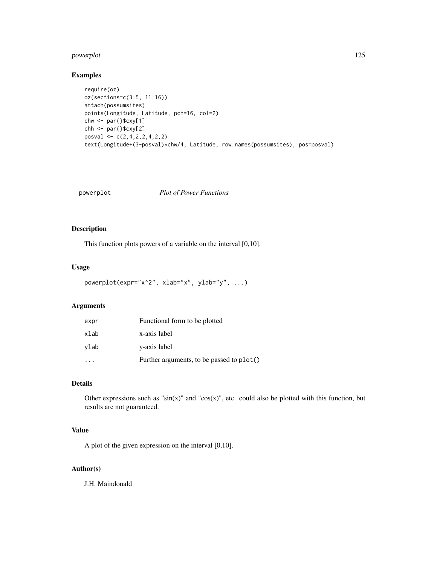#### powerplot that the contract of the contract of the contract of the contract of the contract of the contract of the contract of the contract of the contract of the contract of the contract of the contract of the contract of

## Examples

```
require(oz)
oz(sections=c(3:5, 11:16))
attach(possumsites)
points(Longitude, Latitude, pch=16, col=2)
chw <- par()$cxy[1]
chh <- par()$cxy[2]
posval <- c(2,4,2,2,4,2,2)
text(Longitude+(3-posval)*chw/4, Latitude, row.names(possumsites), pos=posval)
```
## powerplot *Plot of Power Functions*

# Description

This function plots powers of a variable on the interval [0,10].

# Usage

```
powerplot(expr="x^2", xlab="x", ylab="y", ...)
```
# Arguments

| expr | Functional form to be plotted             |
|------|-------------------------------------------|
| xlab | x-axis label                              |
| vlab | y-axis label                              |
|      | Further arguments, to be passed to plot() |

# Details

Other expressions such as " $sin(x)$ " and " $cos(x)$ ", etc. could also be plotted with this function, but results are not guaranteed.

# Value

A plot of the given expression on the interval [0,10].

# Author(s)

J.H. Maindonald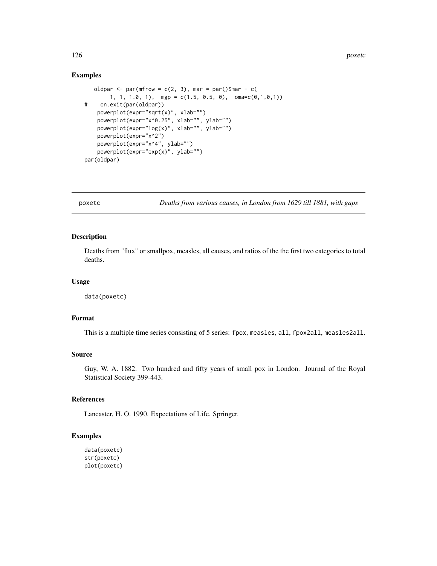### Examples

```
oldpar \leq par(mfrow = c(2, 3), mar = par()$mar - c(
       1, 1, 1.0, 1), mgp = c(1.5, 0.5, 0), oma=c(0,1,0,1))
# on.exit(par(oldpar))
   powerplot(expr="sqrt(x)", xlab="")
    powerplot(expr="x^0.25", xlab="", ylab="")
    powerplot(expr="log(x)", xlab="", ylab="")
   powerplot(expr="x^2")
   powerplot(expr="x^4", ylab="")
   powerplot(expr="exp(x)", ylab="")
par(oldpar)
```
poxetc *Deaths from various causes, in London from 1629 till 1881, with gaps*

# Description

Deaths from "flux" or smallpox, measles, all causes, and ratios of the the first two categories to total deaths.

## Usage

data(poxetc)

# Format

This is a multiple time series consisting of 5 series: fpox, measles, all, fpox2all, measles2all.

#### Source

Guy, W. A. 1882. Two hundred and fifty years of small pox in London. Journal of the Royal Statistical Society 399-443.

## References

Lancaster, H. O. 1990. Expectations of Life. Springer.

# Examples

```
data(poxetc)
str(poxetc)
plot(poxetc)
```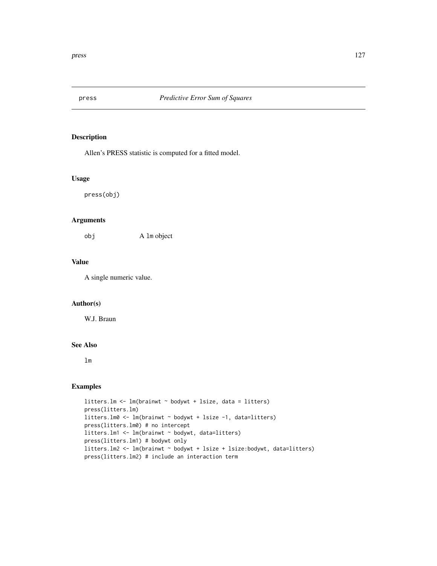# Description

Allen's PRESS statistic is computed for a fitted model.

#### Usage

press(obj)

# Arguments

obj A lm object

# Value

A single numeric value.

# Author(s)

W.J. Braun

## See Also

lm

# Examples

```
litters.lm <- lm(brainwt ~ bodywt + lsize, data = litters)
press(litters.lm)
litters.lm0 <- lm(brainwt ~ bodywt + lsize -1, data=litters)
press(litters.lm0) # no intercept
litters.lm1 <- lm(brainwt ~ bodywt, data=litters)
press(litters.lm1) # bodywt only
litters.lm2 <- lm(brainwt ~ bodywt + lsize + lsize:bodywt, data=litters)
press(litters.lm2) # include an interaction term
```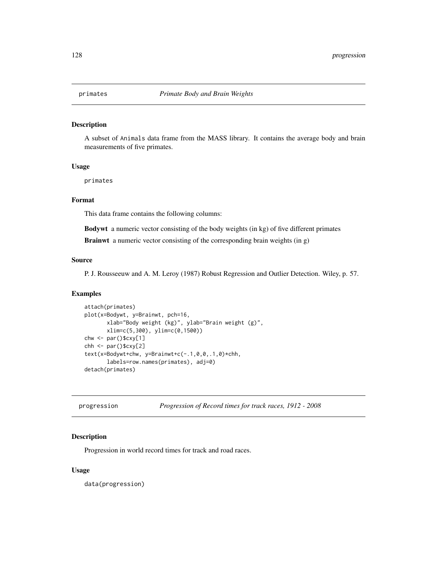### Description

A subset of Animals data frame from the MASS library. It contains the average body and brain measurements of five primates.

#### Usage

primates

# Format

This data frame contains the following columns:

Bodywt a numeric vector consisting of the body weights (in kg) of five different primates

Brainwt a numeric vector consisting of the corresponding brain weights (in g)

### Source

P. J. Rousseeuw and A. M. Leroy (1987) Robust Regression and Outlier Detection. Wiley, p. 57.

### Examples

```
attach(primates)
plot(x=Bodywt, y=Brainwt, pch=16,
      xlab="Body weight (kg)", ylab="Brain weight (g)",
      xlim=c(5,300), ylim=c(0,1500))
chw <- par()$cxy[1]
chh <- par()$cxy[2]
text(x=Bodywt+chw, y=Brainwt+c(-.1,0,0,.1,0)*chh,
      labels=row.names(primates), adj=0)
detach(primates)
```

| progression |  | Progression of Record times for track races, 1912 - 2008 |  |
|-------------|--|----------------------------------------------------------|--|
|             |  |                                                          |  |

# Description

Progression in world record times for track and road races.

### Usage

data(progression)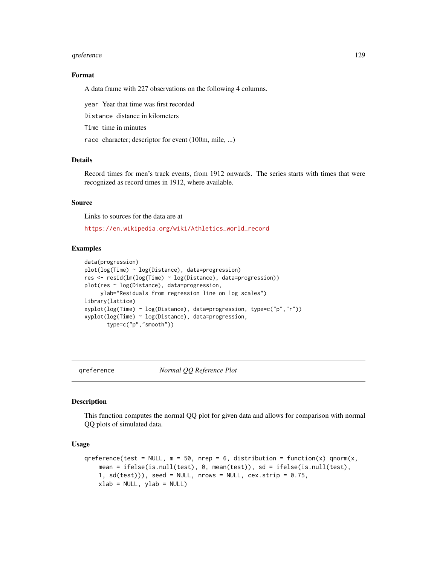#### qreference and the state of the state of the state of the state of the state of the state of the state of the state of the state of the state of the state of the state of the state of the state of the state of the state of

# Format

A data frame with 227 observations on the following 4 columns.

year Year that time was first recorded

Distance distance in kilometers

Time time in minutes

race character; descriptor for event (100m, mile, ...)

### Details

Record times for men's track events, from 1912 onwards. The series starts with times that were recognized as record times in 1912, where available.

### Source

Links to sources for the data are at

[https://en.wikipedia.org/wiki/Athletics\\_world\\_record](https://en.wikipedia.org/wiki/Athletics_world_record)

### Examples

```
data(progression)
plot(log(Time) ~ log(Distance), data=progression)
res <- resid(lm(log(Time) ~ log(Distance), data=progression))
plot(res ~ log(Distance), data=progression,
     ylab="Residuals from regression line on log scales")
library(lattice)
xyplot(log(Time) ~ log(Distance), data=progression, type=c("p","r"))
xyplot(log(Time) ~ log(Distance), data=progression,
       type=c("p","smooth"))
```
qreference *Normal QQ Reference Plot*

#### **Description**

This function computes the normal QQ plot for given data and allows for comparison with normal QQ plots of simulated data.

#### Usage

```
qreference(test = NULL, m = 50, nrep = 6, distribution = function(x) qnorm(x,
   mean = ifelse(is.null(test), 0, mean(test)), sd = ifelse(is.null(test),
    1, sd(test)), seed = NULL, nrows = NULL, cex.strip = 0.75,
   xlab = NULL, ylab = NULL)
```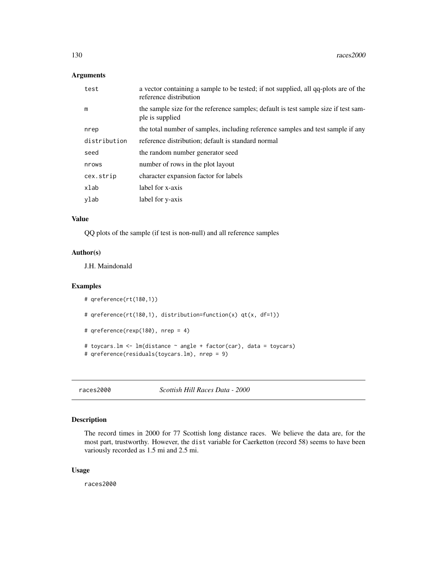## Arguments

| test         | a vector containing a sample to be tested; if not supplied, all qq-plots are of the<br>reference distribution |
|--------------|---------------------------------------------------------------------------------------------------------------|
| m            | the sample size for the reference samples; default is test sample size if test sam-<br>ple is supplied        |
| nrep         | the total number of samples, including reference samples and test sample if any                               |
| distribution | reference distribution; default is standard normal                                                            |
| seed         | the random number generator seed                                                                              |
| nrows        | number of rows in the plot layout                                                                             |
| cex.strip    | character expansion factor for labels                                                                         |
| xlab         | label for x-axis                                                                                              |
| ylab         | label for y-axis                                                                                              |

### Value

QQ plots of the sample (if test is non-null) and all reference samples

### Author(s)

J.H. Maindonald

### Examples

```
# qreference(rt(180,1))
# qreference(rt(180,1), distribution=function(x) qt(x, df=1))
# qreference(rexp(180), nrep = 4)
# toycars.lm <- lm(distance ~ angle + factor(car), data = toycars)
# qreference(residuals(toycars.lm), nrep = 9)
```
races2000 *Scottish Hill Races Data - 2000*

# Description

The record times in 2000 for 77 Scottish long distance races. We believe the data are, for the most part, trustworthy. However, the dist variable for Caerketton (record 58) seems to have been variously recorded as 1.5 mi and 2.5 mi.

### Usage

races2000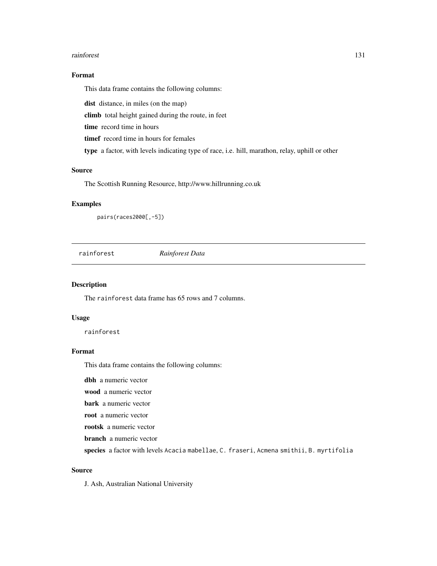#### rainforest 131

# Format

This data frame contains the following columns:

dist distance, in miles (on the map)

climb total height gained during the route, in feet

time record time in hours

timef record time in hours for females

type a factor, with levels indicating type of race, i.e. hill, marathon, relay, uphill or other

# Source

The Scottish Running Resource, http://www.hillrunning.co.uk

# Examples

pairs(races2000[,-5])

rainforest *Rainforest Data*

### Description

The rainforest data frame has 65 rows and 7 columns.

## Usage

rainforest

## Format

This data frame contains the following columns:

dbh a numeric vector

wood a numeric vector

bark a numeric vector

root a numeric vector

rootsk a numeric vector

branch a numeric vector

species a factor with levels Acacia mabellae, C. fraseri, Acmena smithii, B. myrtifolia

# Source

J. Ash, Australian National University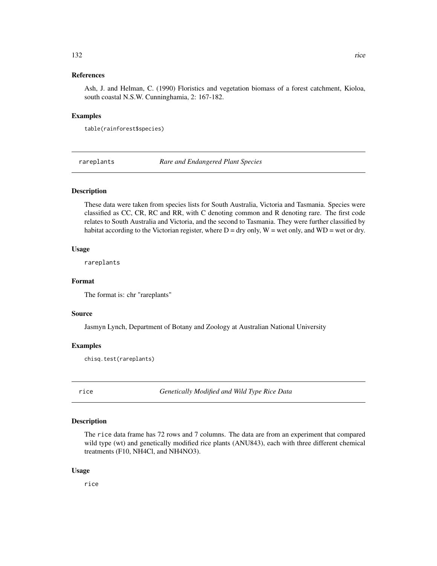### 132 rice

## References

Ash, J. and Helman, C. (1990) Floristics and vegetation biomass of a forest catchment, Kioloa, south coastal N.S.W. Cunninghamia, 2: 167-182.

### Examples

table(rainforest\$species)

rareplants *Rare and Endangered Plant Species*

## Description

These data were taken from species lists for South Australia, Victoria and Tasmania. Species were classified as CC, CR, RC and RR, with C denoting common and R denoting rare. The first code relates to South Australia and Victoria, and the second to Tasmania. They were further classified by habitat according to the Victorian register, where  $D = dry$  only,  $W = wet$  only, and  $WD = wet$  or dry.

### Usage

rareplants

## Format

The format is: chr "rareplants"

### Source

Jasmyn Lynch, Department of Botany and Zoology at Australian National University

### Examples

chisq.test(rareplants)

rice *Genetically Modified and Wild Type Rice Data*

### Description

The rice data frame has 72 rows and 7 columns. The data are from an experiment that compared wild type (wt) and genetically modified rice plants (ANU843), each with three different chemical treatments (F10, NH4Cl, and NH4NO3).

#### Usage

rice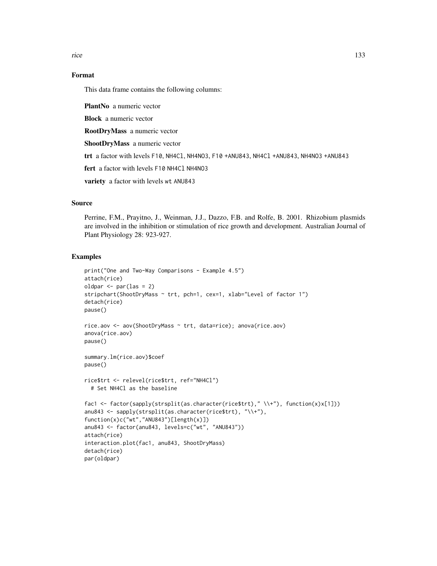rice that the state of the state of the state of the state of the state of the state of the state of the state of the state of the state of the state of the state of the state of the state of the state of the state of the

# Format

This data frame contains the following columns:

PlantNo a numeric vector

Block a numeric vector

RootDryMass a numeric vector

ShootDryMass a numeric vector

trt a factor with levels F10, NH4Cl, NH4NO3, F10 +ANU843, NH4Cl +ANU843, NH4NO3 +ANU843

fert a factor with levels F10 NH4Cl NH4N03

variety a factor with levels wt ANU843

## Source

Perrine, F.M., Prayitno, J., Weinman, J.J., Dazzo, F.B. and Rolfe, B. 2001. Rhizobium plasmids are involved in the inhibition or stimulation of rice growth and development. Australian Journal of Plant Physiology 28: 923-927.

### Examples

```
print("One and Two-Way Comparisons - Example 4.5")
attach(rice)
oldpar \leq par(las = 2)
stripchart(ShootDryMass ~ trt, pch=1, cex=1, xlab="Level of factor 1")
detach(rice)
pause()
rice.aov <- aov(ShootDryMass ~ trt, data=rice); anova(rice.aov)
anova(rice.aov)
pause()
summary.lm(rice.aov)$coef
pause()
rice$trt <- relevel(rice$trt, ref="NH4Cl")
 # Set NH4Cl as the baseline
fac1 <- factor(sapply(strsplit(as.character(rice$trt)," \\+"), function(x)x[1]))
anu843 <- sapply(strsplit(as.character(rice$trt), "\\+"),
function(x)c("wt","ANU843")[length(x)])
anu843 <- factor(anu843, levels=c("wt", "ANU843"))
attach(rice)
interaction.plot(fac1, anu843, ShootDryMass)
detach(rice)
par(oldpar)
```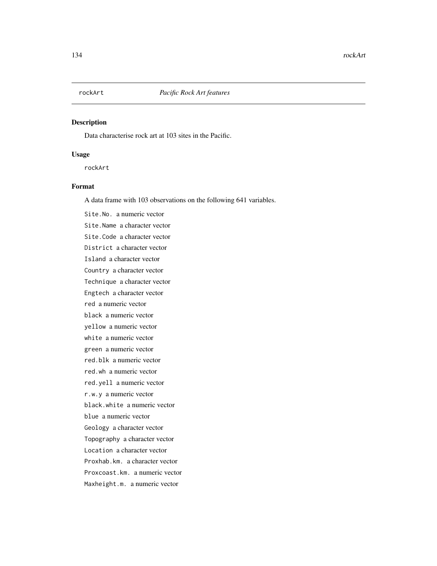# Description

Data characterise rock art at 103 sites in the Pacific.

### Usage

rockArt

# Format

A data frame with 103 observations on the following 641 variables.

Site.No. a numeric vector Site.Name a character vector Site.Code a character vector District a character vector Island a character vector Country a character vector Technique a character vector Engtech a character vector red a numeric vector black a numeric vector yellow a numeric vector white a numeric vector green a numeric vector red.blk a numeric vector red.wh a numeric vector red.yell a numeric vector r.w.y a numeric vector black.white a numeric vector blue a numeric vector Geology a character vector Topography a character vector Location a character vector Proxhab.km. a character vector Proxcoast.km. a numeric vector Maxheight.m. a numeric vector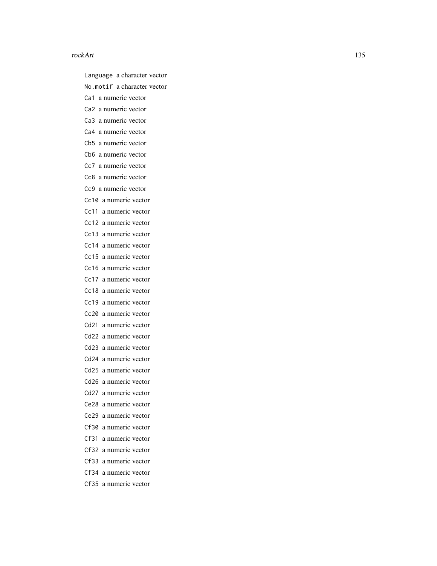Language a character vector

No.motif a character vector

Ca1 a numeric vector

Ca2 a numeric vector

Ca3 a numeric vector

Ca4 a numeric vector

Cb5 a numeric vector

- Cb6 a numeric vector
- Cc7 a numeric vector

Cc8 a numeric vector

Cc9 a numeric vector

Cc10 a numeric vector

Cc11 a numeric vector

Cc12 a numeric vector

Cc13 a numeric vector

Cc14 a numeric vector

Cc15 a numeric vector

Cc16 a numeric vector

Cc17 a numeric vector

Cc18 a numeric vector

Cc19 a numeric vector

Cc20 a numeric vector

Cd21 a numeric vector Cd22 a numeric vector

Cd23 a numeric vector

Cd24 a numeric vector

Cd25 a numeric vector

Cd26 a numeric vector

Cd27 a numeric vector

Ce28 a numeric vector

Ce29 a numeric vector

Cf30 a numeric vector

Cf31 a numeric vector

Cf32 a numeric vector

Cf33 a numeric vector

Cf34 a numeric vector

Cf35 a numeric vector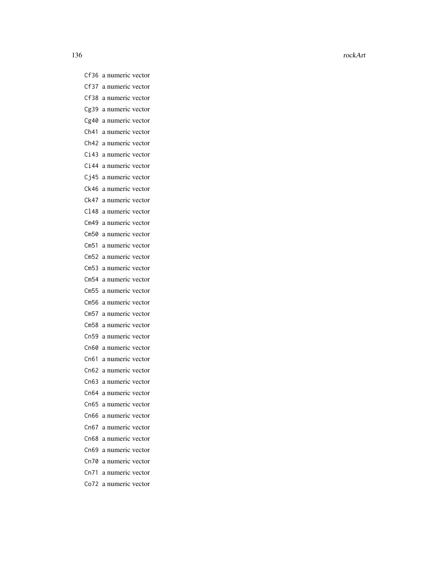136 rockArt and the contract of the contract of the contract of the contract of the contract of the contract of the contract of the contract of the contract of the contract of the contract of the contract of the contract o

Cf36 a numeric vector Cf37 a numeric vector Cf38 a numeric vector Cg39 a numeric vector Cg40 a numeric vector Ch41 a numeric vector Ch42 a numeric vector Ci43 a numeric vector Ci44 a numeric vector Cj45 a numeric vector Ck46 a numeric vector Ck47 a numeric vector Cl48 a numeric vector Cm49 a numeric vector Cm50 a numeric vector Cm51 a numeric vector Cm52 a numeric vector Cm53 a numeric vector Cm54 a numeric vector Cm55 a numeric vector Cm56 a numeric vector Cm57 a numeric vector Cm58 a numeric vector Cn59 a numeric vector Cn60 a numeric vector Cn61 a numeric vector Cn62 a numeric vector Cn63 a numeric vector Cn64 a numeric vector Cn65 a numeric vector Cn66 a numeric vector Cn67 a numeric vector Cn68 a numeric vector Cn69 a numeric vector Cn70 a numeric vector Cn71 a numeric vector Co72 a numeric vector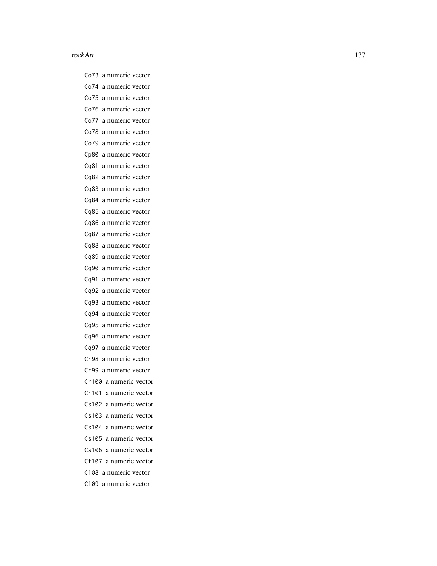Co73 a numeric vector Co74 a numeric vector Co75 a numeric vector Co76 a numeric vector Co77 a numeric vector Co78 a numeric vector Co79 a numeric vector Cp80 a numeric vector Cq81 a numeric vector Cq82 a numeric vector Cq83 a numeric vector Cq84 a numeric vector Cq85 a numeric vector Cq86 a numeric vector Cq87 a numeric vector Cq88 a numeric vector Cq89 a numeric vector Cq90 a numeric vector Cq91 a numeric vector Cq92 a numeric vector Cq93 a numeric vector Cq94 a numeric vector Cq95 a numeric vector Cq96 a numeric vector Cq97 a numeric vector Cr98 a numeric vector Cr99 a numeric vector Cr100 a numeric vector Cr101 a numeric vector Cs102 a numeric vector Cs103 a numeric vector Cs104 a numeric vector Cs105 a numeric vector Cs106 a numeric vector Ct107 a numeric vector C108 a numeric vector C109 a numeric vector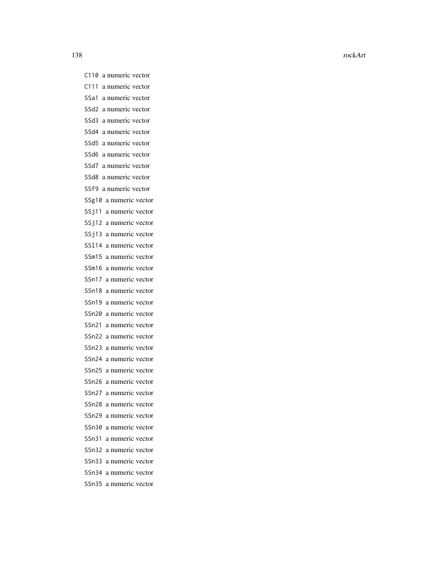C110 a numeric vector C111 a numeric vector SSa1 a numeric vector SSd2 a numeric vector SSd3 a numeric vector SSd4 a numeric vector SSd5 a numeric vector SSd6 a numeric vector SSd7 a numeric vector SSd8 a numeric vector SSf9 a numeric vector SSg10 a numeric vector SSj11 a numeric vector SSj12 a numeric vector SSj13 a numeric vector SSl14 a numeric vector SSm15 a numeric vector SSm16 a numeric vector SSn17 a numeric vector SSn18 a numeric vector SSn19 a numeric vector SSn20 a numeric vector SSn21 a numeric vector SSn22 a numeric vector SSn23 a numeric vector SSn24 a numeric vector SSn25 a numeric vector SSn26 a numeric vector SSn27 a numeric vector SSn28 a numeric vector SSn29 a numeric vector SSn30 a numeric vector SSn31 a numeric vector SSn32 a numeric vector SSn33 a numeric vector SSn34 a numeric vector SSn35 a numeric vector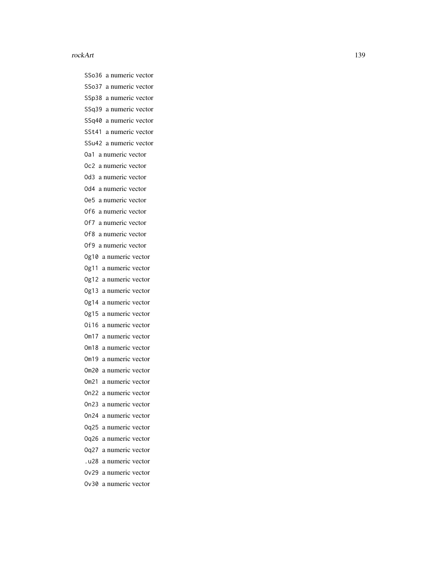SSo36 a numeric vector SSo37 a numeric vector SSp38 a numeric vector SSq39 a numeric vector SSq40 a numeric vector SSt41 a numeric vector SSu42 a numeric vector Oa1 a numeric vector Oc2 a numeric vector Od3 a numeric vector Od4 a numeric vector Oe5 a numeric vector Of6 a numeric vector Of7 a numeric vector Of8 a numeric vector Of9 a numeric vector Og10 a numeric vector Og11 a numeric vector Og12 a numeric vector Og13 a numeric vector Og14 a numeric vector Og15 a numeric vector Oi16 a numeric vector Om17 a numeric vector Om18 a numeric vector Om19 a numeric vector Om20 a numeric vector Om21 a numeric vector On22 a numeric vector On23 a numeric vector On24 a numeric vector Oq25 a numeric vector Oq26 a numeric vector Oq27 a numeric vector .u28 a numeric vector Ov29 a numeric vector Ov30 a numeric vector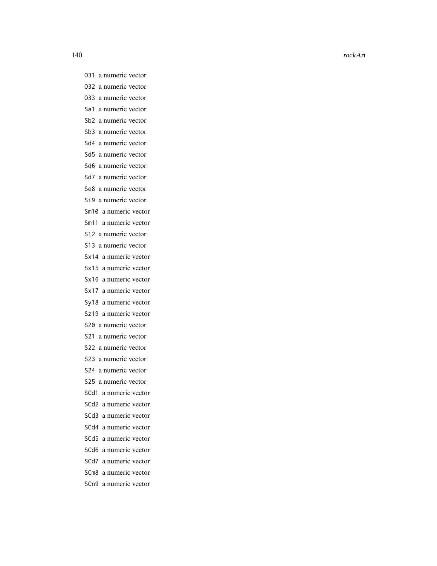- O31 a numeric vector
- O32 a numeric vector
- O33 a numeric vector
- Sa1 a numeric vector
- Sb2 a numeric vector
- Sb3 a numeric vector
- Sd4 a numeric vector
- Sd5 a numeric vector
- Sd6 a numeric vector
- Sd7 a numeric vector
- Se8 a numeric vector
- Si9 a numeric vector
- Sm10 a numeric vector
- Sm11 a numeric vector
- S12 a numeric vector
- S13 a numeric vector
- Sx14 a numeric vector
- Sx15 a numeric vector
- Sx16 a numeric vector
- Sx17 a numeric vector
- Sy18 a numeric vector
- Sz19 a numeric vector
- S20 a numeric vector
- S21 a numeric vector
- S22 a numeric vector
- S23 a numeric vector
- S24 a numeric vector
- S25 a numeric vector
- SCd1 a numeric vector
- SCd2 a numeric vector
- SCd3 a numeric vector
- SCd4 a numeric vector
- SCd5 a numeric vector
- SCd6 a numeric vector
- SCd7 a numeric vector
- SCm8 a numeric vector
- SCn9 a numeric vector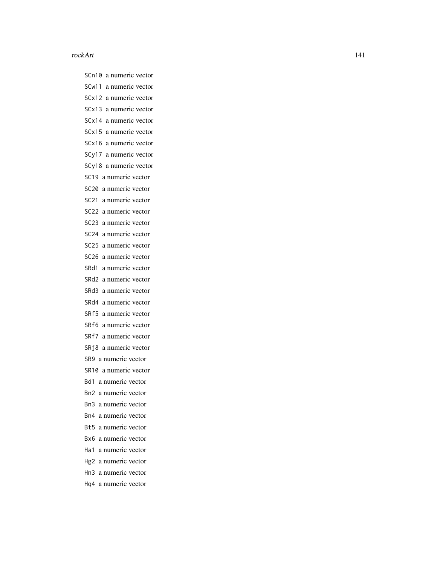SCn10 a numeric vector SCw11 a numeric vector SCx12 a numeric vector SCx13 a numeric vector SCx14 a numeric vector SCx15 a numeric vector SCx16 a numeric vector SCy17 a numeric vector SCy18 a numeric vector SC19 a numeric vector SC20 a numeric vector SC21 a numeric vector SC22 a numeric vector SC23 a numeric vector SC24 a numeric vector SC25 a numeric vector SC26 a numeric vector SRd1 a numeric vector SRd2 a numeric vector SRd3 a numeric vector SRd4 a numeric vector SRf5 a numeric vector SRf6 a numeric vector SRf7 a numeric vector SRj8 a numeric vector SR9 a numeric vector SR10 a numeric vector Bd1 a numeric vector Bn2 a numeric vector Bn3 a numeric vector Bn4 a numeric vector Bt5 a numeric vector Bx6 a numeric vector Ha1 a numeric vector Hg2 a numeric vector Hn3 a numeric vector Hq4 a numeric vector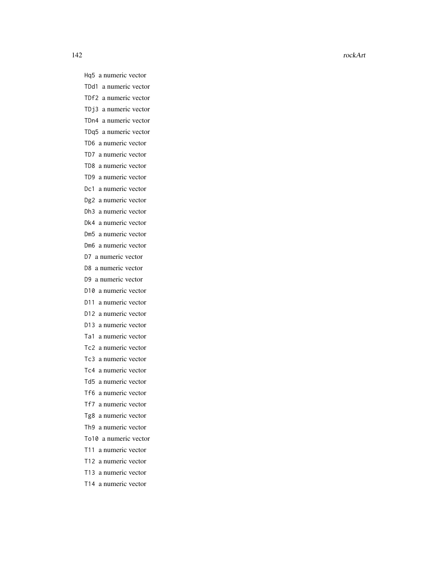Hq5 a numeric vector TDd1 a numeric vector TDf2 a numeric vector TDj3 a numeric vector TDn4 a numeric vector TDq5 a numeric vector TD6 a numeric vector TD7 a numeric vector TD8 a numeric vector TD9 a numeric vector Dc1 a numeric vector Dg2 a numeric vector Dh3 a numeric vector Dk4 a numeric vector Dm5 a numeric vector Dm6 a numeric vector D7 a numeric vector D8 a numeric vector D9 a numeric vector D10 a numeric vector D11 a numeric vector D12 a numeric vector D13 a numeric vector Ta1 a numeric vector Tc2 a numeric vector Tc3 a numeric vector Tc4 a numeric vector Td5 a numeric vector Tf6 a numeric vector Tf7 a numeric vector Tg8 a numeric vector Th9 a numeric vector To10 a numeric vector T11 a numeric vector T12 a numeric vector

- T13 a numeric vector
- T14 a numeric vector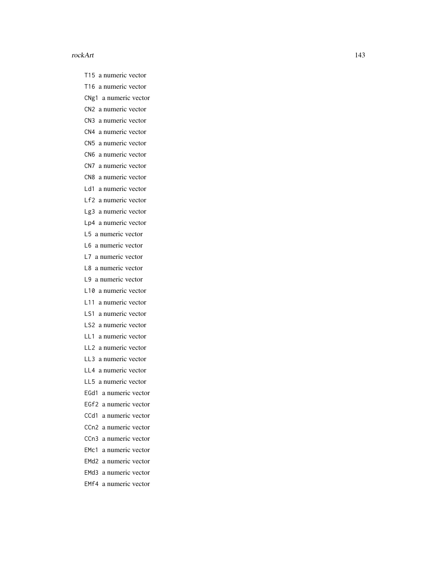- T15 a numeric vector
- T16 a numeric vector
- CNg1 a numeric vector
- CN2 a numeric vector
- CN3 a numeric vector
- CN4 a numeric vector
- CN5 a numeric vector
- CN6 a numeric vector
- CN7 a numeric vector
- CN8 a numeric vector
- Ld1 a numeric vector
- Lf2 a numeric vector
- Lg3 a numeric vector
- Lp4 a numeric vector
- L5 a numeric vector
- L6 a numeric vector
- L7 a numeric vector
- L8 a numeric vector
- L9 a numeric vector
- L10 a numeric vector
- L11 a numeric vector
- LS1 a numeric vector
- LS2 a numeric vector
- LL1 a numeric vector
- LL2 a numeric vector
- LL3 a numeric vector
- LL4 a numeric vector
- LL5 a numeric vector
- EGd1 a numeric vector
- EGf2 a numeric vector
- CCd1 a numeric vector
- CCn2 a numeric vector
- CCn3 a numeric vector
- EMc1 a numeric vector
- EMd2 a numeric vector
- EMd3 a numeric vector
- EMf4 a numeric vector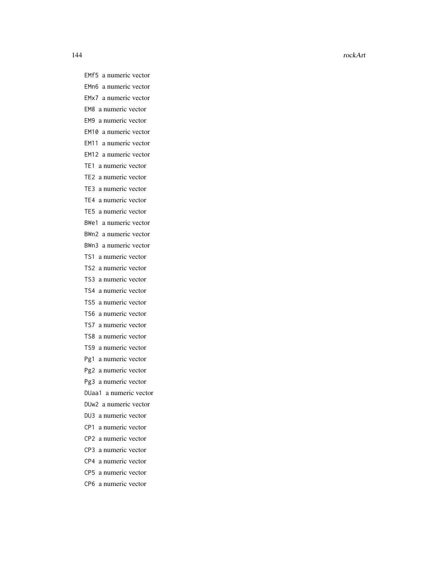144 rockArt and the contract of the contract of the contract of the contract of the contract of the contract of the contract of the contract of the contract of the contract of the contract of the contract of the contract o

EMf5 a numeric vector EMn6 a numeric vector EMx7 a numeric vector EM8 a numeric vector EM9 a numeric vector EM10 a numeric vector EM11 a numeric vector EM12 a numeric vector TE1 a numeric vector TE2 a numeric vector TE3 a numeric vector TE4 a numeric vector TE5 a numeric vector BWe1 a numeric vector BWn2 a numeric vector BWn3 a numeric vector TS1 a numeric vector TS2 a numeric vector TS3 a numeric vector TS4 a numeric vector TS5 a numeric vector TS6 a numeric vector TS7 a numeric vector TS8 a numeric vector TS9 a numeric vector Pg1 a numeric vector Pg2 a numeric vector Pg3 a numeric vector DUaa1 a numeric vector DUw2 a numeric vector DU3 a numeric vector CP1 a numeric vector CP2 a numeric vector CP3 a numeric vector CP4 a numeric vector

- CP5 a numeric vector
- CP6 a numeric vector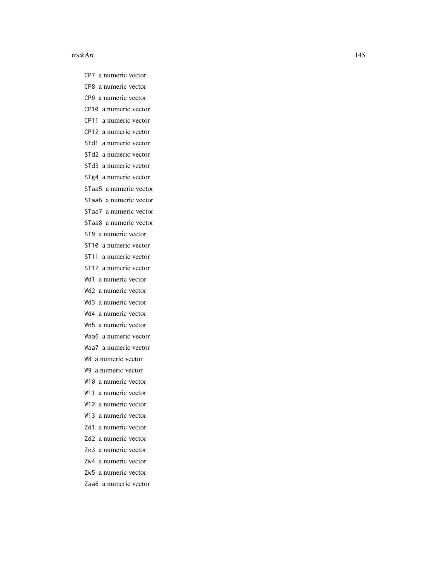CP7 a numeric vector CP8 a numeric vector CP9 a numeric vector CP10 a numeric vector CP11 a numeric vector CP12 a numeric vector STd1 a numeric vector STd2 a numeric vector STd3 a numeric vector STg4 a numeric vector STaa5 a numeric vector STaa6 a numeric vector STaa7 a numeric vector STaa8 a numeric vector ST9 a numeric vector ST10 a numeric vector ST11 a numeric vector ST12 a numeric vector Wd1 a numeric vector Wd2 a numeric vector Wd3 a numeric vector Wd4 a numeric vector Wn5 a numeric vector Waa6 a numeric vector Waa7 a numeric vector W8 a numeric vector W9 a numeric vector W10 a numeric vector W11 a numeric vector W12 a numeric vector W13 a numeric vector Zd1 a numeric vector Zd2 a numeric vector Zn3 a numeric vector Zw4 a numeric vector

- Zw5 a numeric vector
- Zaa6 a numeric vector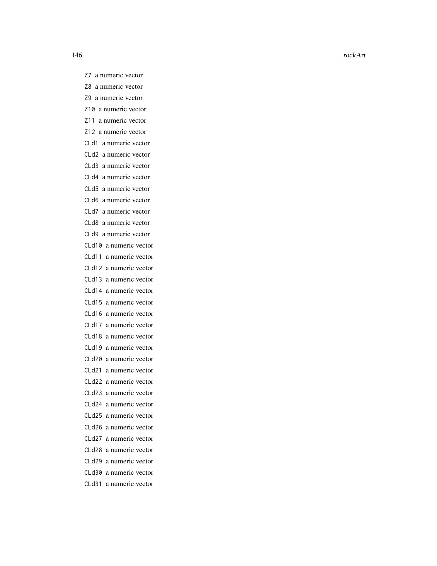146 rockArt and the contract of the contract of the contract of the contract of the contract of the contract of the contract of the contract of the contract of the contract of the contract of the contract of the contract o

Z7 a numeric vector Z8 a numeric vector Z9 a numeric vector Z10 a numeric vector Z11 a numeric vector Z12 a numeric vector CLd1 a numeric vector CLd2 a numeric vector CLd3 a numeric vector CLd4 a numeric vector CLd5 a numeric vector CLd6 a numeric vector CLd7 a numeric vector CLd8 a numeric vector CLd9 a numeric vector CLd10 a numeric vector CLd11 a numeric vector CLd12 a numeric vector CLd13 a numeric vector CLd14 a numeric vector CLd15 a numeric vector CLd16 a numeric vector CLd17 a numeric vector CLd18 a numeric vector CLd19 a numeric vector CLd20 a numeric vector CLd21 a numeric vector CLd22 a numeric vector CLd23 a numeric vector CLd24 a numeric vector CLd25 a numeric vector CLd26 a numeric vector CLd27 a numeric vector CLd28 a numeric vector CLd29 a numeric vector CLd30 a numeric vector CLd31 a numeric vector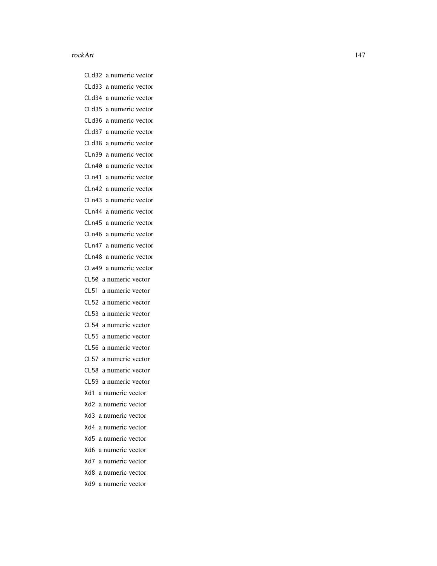CLd32 a numeric vector CLd33 a numeric vector CLd34 a numeric vector CLd35 a numeric vector CLd36 a numeric vector CLd37 a numeric vector CLd38 a numeric vector CLn39 a numeric vector CLn40 a numeric vector CLn41 a numeric vector CLn42 a numeric vector CLn43 a numeric vector CLn44 a numeric vector CLn45 a numeric vector CLn46 a numeric vector CLn47 a numeric vector CLn48 a numeric vector CLw49 a numeric vector CL50 a numeric vector CL51 a numeric vector CL52 a numeric vector CL53 a numeric vector CL54 a numeric vector CL55 a numeric vector CL56 a numeric vector CL57 a numeric vector CL58 a numeric vector CL59 a numeric vector Xd1 a numeric vector Xd2 a numeric vector Xd3 a numeric vector Xd4 a numeric vector Xd5 a numeric vector Xd6 a numeric vector Xd7 a numeric vector Xd8 a numeric vector Xd9 a numeric vector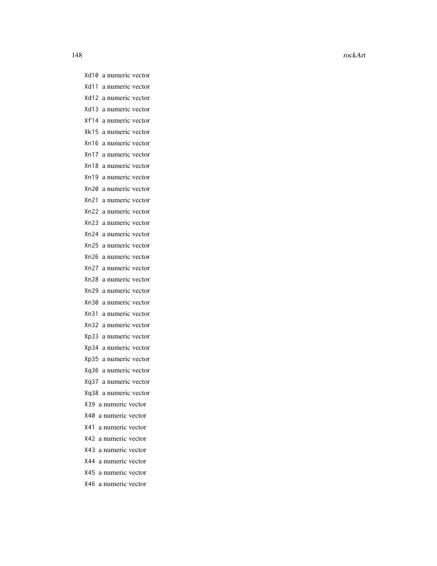148 rockArt and the contract of the contract of the contract of the contract of the contract of the contract of the contract of the contract of the contract of the contract of the contract of the contract of the contract o

Xd10 a numeric vector Xd11 a numeric vector Xd12 a numeric vector Xd13 a numeric vector Xf14 a numeric vector Xk15 a numeric vector Xn16 a numeric vector Xn17 a numeric vector Xn18 a numeric vector Xn19 a numeric vector Xn20 a numeric vector Xn21 a numeric vector Xn22 a numeric vector Xn23 a numeric vector Xn24 a numeric vector Xn25 a numeric vector Xn26 a numeric vector Xn27 a numeric vector Xn28 a numeric vector Xn29 a numeric vector Xn30 a numeric vector Xn31 a numeric vector Xn32 a numeric vector Xp33 a numeric vector Xp34 a numeric vector Xp35 a numeric vector Xq36 a numeric vector Xq37 a numeric vector Xq38 a numeric vector X39 a numeric vector X40 a numeric vector X41 a numeric vector X42 a numeric vector X43 a numeric vector X44 a numeric vector X45 a numeric vector X46 a numeric vector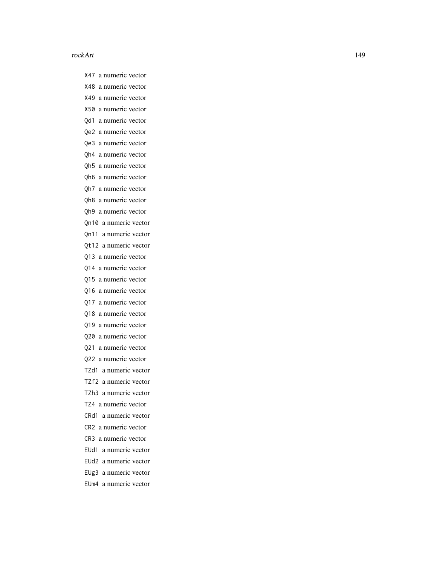- X47 a numeric vector
- X48 a numeric vector
- X49 a numeric vector
- X50 a numeric vector
- Qd1 a numeric vector
- Qe2 a numeric vector
- Qe3 a numeric vector
- Qh4 a numeric vector
- Qh5 a numeric vector
- Qh6 a numeric vector
- Qh7 a numeric vector
- Qh8 a numeric vector
- Qh9 a numeric vector
- Qn10 a numeric vector
- Qn11 a numeric vector
- Qt12 a numeric vector
- Q13 a numeric vector
- Q14 a numeric vector
- Q15 a numeric vector
- Q16 a numeric vector
- Q17 a numeric vector
- Q18 a numeric vector
- Q19 a numeric vector
- Q20 a numeric vector
- Q21 a numeric vector
- Q22 a numeric vector
- TZd1 a numeric vector
- TZf2 a numeric vector
- TZh3 a numeric vector
- TZ4 a numeric vector
- CRd1 a numeric vector
- CR2 a numeric vector
- CR3 a numeric vector
- EUd1 a numeric vector
- EUd2 a numeric vector
- EUg3 a numeric vector
- EUm4 a numeric vector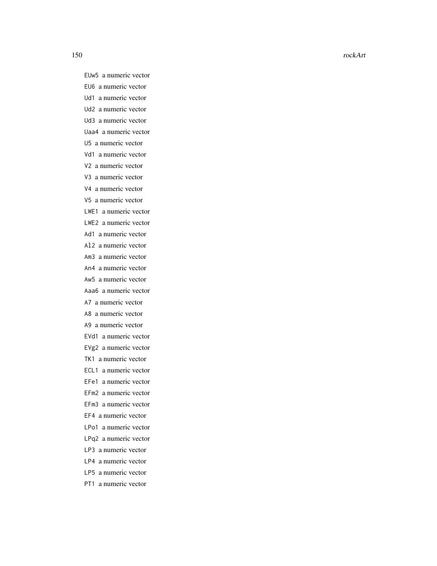EUw5 a numeric vector

EU6 a numeric vector

Ud1 a numeric vector

Ud2 a numeric vector

Ud3 a numeric vector

Uaa4 a numeric vector

U5 a numeric vector

Vd1 a numeric vector

V2 a numeric vector

V3 a numeric vector

V4 a numeric vector

V5 a numeric vector

LWE1 a numeric vector

LWE2 a numeric vector

Ad1 a numeric vector

Al2 a numeric vector

Am3 a numeric vector

An4 a numeric vector

Aw5 a numeric vector

Aaa6 a numeric vector

A7 a numeric vector

A8 a numeric vector

A9 a numeric vector

EVd1 a numeric vector

EVg2 a numeric vector

TK1 a numeric vector

ECL1 a numeric vector

EFe1 a numeric vector

EFm2 a numeric vector

EFm3 a numeric vector

EF4 a numeric vector

LPo1 a numeric vector

LPq2 a numeric vector

LP3 a numeric vector

LP4 a numeric vector

LP5 a numeric vector

PT1 a numeric vector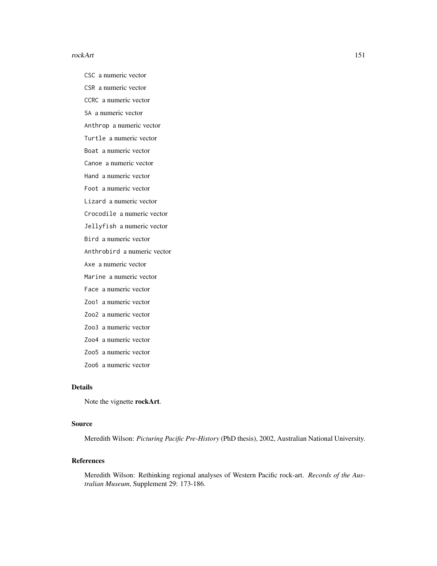CSC a numeric vector

CSR a numeric vector

CCRC a numeric vector

SA a numeric vector

Anthrop a numeric vector

Turtle a numeric vector

Boat a numeric vector

Canoe a numeric vector

Hand a numeric vector

Foot a numeric vector

Lizard a numeric vector

Crocodile a numeric vector

Jellyfish a numeric vector

Bird a numeric vector

Anthrobird a numeric vector

Axe a numeric vector

Marine a numeric vector

Face a numeric vector

Zoo1 a numeric vector

Zoo2 a numeric vector

Zoo3 a numeric vector

- Zoo4 a numeric vector
- Zoo5 a numeric vector

Zoo6 a numeric vector

# Details

Note the vignette rockArt.

# Source

Meredith Wilson: *Picturing Pacific Pre-History* (PhD thesis), 2002, Australian National University.

# References

Meredith Wilson: Rethinking regional analyses of Western Pacific rock-art. *Records of the Australian Museum*, Supplement 29: 173-186.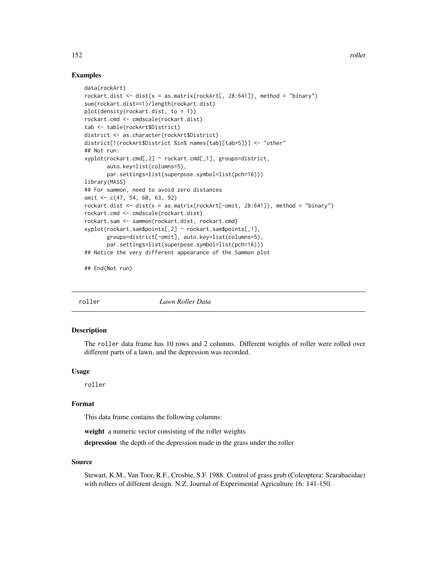# Examples

```
data(rockArt)
rockart.dist \le dist(x = as.matrix(rockArt[, 28:641]), method = "binary")
sum(rockart.dist==1)/length(rockart.dist)
plot(density(rockart.dist, to = 1))
rockart.cmd <- cmdscale(rockart.dist)
tab <- table(rockArt$District)
district <- as.character(rockArt$District)
district[!(rockArt$District %in% names(tab)[tab>5])] <- "other"
## Not run:
xyplot(rockart.cmd[,2] ~ rockart.cmd[,1], groups=district,
      auto.key=list(columns=5),
      par.settings=list(superpose.symbol=list(pch=16)))
library(MASS)
## For sammon, need to avoid zero distances
omit <- c(47, 54, 60, 63, 92)
rockart.dist <- dist(x = as.matrix(rootArt[-omit, 28:641]), method = "binary")
rockart.cmd <- cmdscale(rockart.dist)
rockart.sam <- sammon(rockart.dist, rockart.cmd)
xyplot(rockart.sam$points[,2] ~ rockart.sam$points[,1],
      groups=district[-omit], auto.key=list(columns=5),
      par.settings=list(superpose.symbol=list(pch=16)))
## Notice the very different appearance of the Sammon plot
```
## End(Not run)

roller *Lawn Roller Data*

#### Description

The roller data frame has 10 rows and 2 columns. Different weights of roller were rolled over different parts of a lawn, and the depression was recorded.

#### Usage

roller

#### Format

This data frame contains the following columns:

weight a numeric vector consisting of the roller weights

depression the depth of the depression made in the grass under the roller

#### Source

Stewart, K.M., Van Toor, R.F., Crosbie, S.F. 1988. Control of grass grub (Coleoptera: Scarabaeidae) with rollers of different design. N.Z. Journal of Experimental Agriculture 16: 141-150.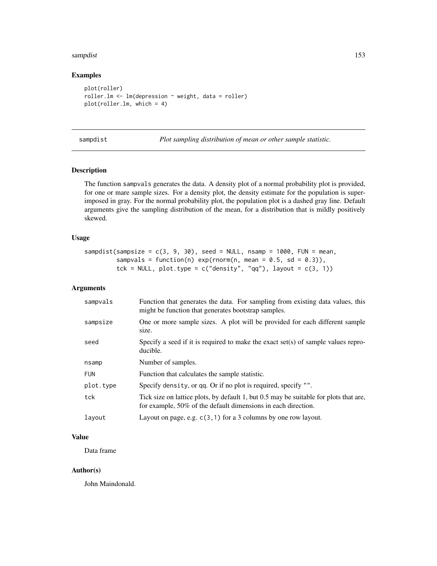#### sampdist the contract of the contract of the contract of the contract of the contract of the contract of the contract of the contract of the contract of the contract of the contract of the contract of the contract of the c

# Examples

```
plot(roller)
roller. lm \leftarrow lm (depression \sim weight, data = roller)
plot(roller.lm, which = 4)
```
sampdist *Plot sampling distribution of mean or other sample statistic.*

# Description

The function sampvals generates the data. A density plot of a normal probability plot is provided, for one or mare sample sizes. For a density plot, the density estimate for the population is superimposed in gray. For the normal probability plot, the population plot is a dashed gray line. Default arguments give the sampling distribution of the mean, for a distribution that is mildly positively skewed.

#### Usage

sampdist(sampsize =  $c(3, 9, 30)$ , seed = NULL, nsamp = 1000, FUN = mean, sampvals = function(n)  $exp(rnorm(n, mean = 0.5, sd = 0.3)),$ tck = NULL, plot.type =  $c("density", "qq"), layout = c(3, 1))$ 

#### Arguments

| sampvals   | Function that generates the data. For sampling from existing data values, this<br>might be function that generates bootstrap samples.                  |  |
|------------|--------------------------------------------------------------------------------------------------------------------------------------------------------|--|
| sampsize   | One or more sample sizes. A plot will be provided for each different sample<br>size.                                                                   |  |
| seed       | Specify a seed if it is required to make the exact set(s) of sample values repro-<br>ducible.                                                          |  |
| nsamp      | Number of samples.                                                                                                                                     |  |
| <b>FUN</b> | Function that calculates the sample statistic.                                                                                                         |  |
| plot.type  | Specify density, or qq. Or if no plot is required, specify "".                                                                                         |  |
| tck        | Tick size on lattice plots, by default 1, but 0.5 may be suitable for plots that are,<br>for example, 50% of the default dimensions in each direction. |  |
| layout     | Layout on page, e.g. $c(3, 1)$ for a 3 columns by one row layout.                                                                                      |  |

# Value

Data frame

# Author(s)

John Maindonald.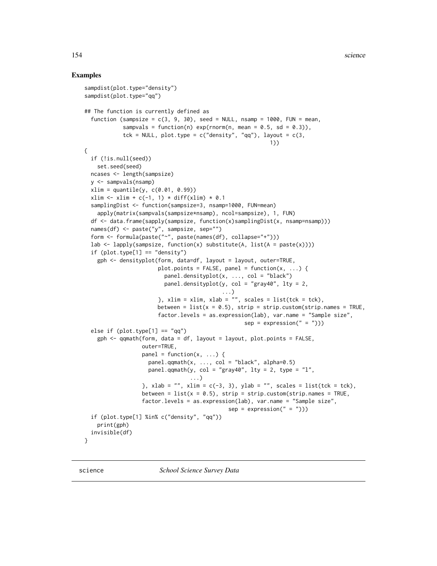```
sampdist(plot.type="density")
sampdist(plot.type="qq")
## The function is currently defined as
 function (sampsize = c(3, 9, 30), seed = NULL, nsamp = 1000, FUN = mean,
            sampvals = function(n) exp(rnorm(n, mean = 0.5, sd = 0.3)),tck = NULL, plot.type = c("density", "qq"), layout = c(3,1))
{
 if (!is.null(seed))
   set.seed(seed)
 ncases <- length(sampsize)
 y <- sampvals(nsamp)
 xlim = quantile(y, c(0.01, 0.99))
 xlim \le xlim + c(-1, 1) * diff(xlim) * 0.1
 samplingDist <- function(sampsize=3, nsamp=1000, FUN=mean)
   apply(matrix(sampvals(sampsize*nsamp), ncol=sampsize), 1, FUN)
 df <- data.frame(sapply(sampsize, function(x)samplingDist(x, nsamp=nsamp)))
 names(df) <- paste("y", sampsize, sep="")
 form <- formula(paste("~", paste(names(df), collapse="+")))
 lab <- lapply(sampsize, function(x) substitute(A, list(A = paste(x))))
 if (plot.type[1] == "density")gph <- densityplot(form, data=df, layout = layout, outer=TRUE,
                       plot.points = FALSE, panel = function(x, \ldots) {
                         panel.densityplot(x, ..., col = "black")
                         panel.densityplot(y, col = "gray40", lty = 2,
                                           ...)
                       }, xlim = xlim, xlab = ", scales = list(tck = tck),
                       between = list(x = 0.5), strip = strip.custom(strip.names = TRUE,
                       factor.levels = as.expression(lab), var.name = "Sample size",
                                                  sep = expression(" = ")))else if (plot.type[1] == "qq")
    gph <- qqmath(form, data = df, layout = layout, plot.points = FALSE,
                  outer=TRUE,
                  panel = function(x, ...)panel.qqmath(x, ..., col = "black", alpha=0.5)panel.qqmath(y, col = "gray40", lty = 2, type = "l",
                                 ...)
                  }, xlab = ", xlim = c(-3, 3), ylab = ", scales = list(tck = tck),
                  between = list(x = 0.5), strip = strip.custom(strip.names = TRUE,
                  factor.levels = as.expression(lab), var.name = "Sample size",
                                             sep = expression(" = ")))if (plot.type[1] %in% c("density", "qq"))
    print(gph)
 invisible(df)
}
```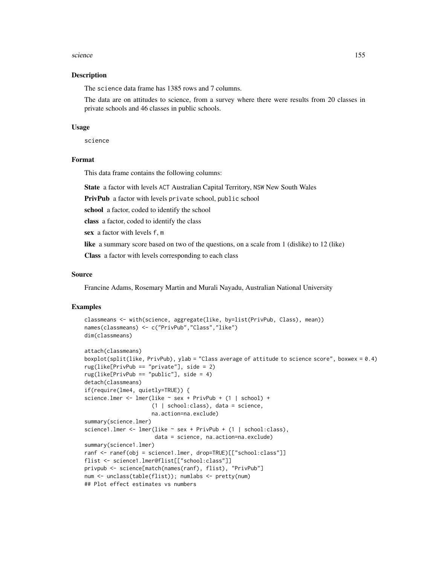#### science and the set of the set of the set of the set of the set of the set of the set of the set of the set of the set of the set of the set of the set of the set of the set of the set of the set of the set of the set of t

#### Description

The science data frame has 1385 rows and 7 columns.

The data are on attitudes to science, from a survey where there were results from 20 classes in private schools and 46 classes in public schools.

#### Usage

science

#### Format

This data frame contains the following columns:

State a factor with levels ACT Australian Capital Territory, NSW New South Wales

PrivPub a factor with levels private school, public school

school a factor, coded to identify the school

class a factor, coded to identify the class

sex a factor with levels f, m

like a summary score based on two of the questions, on a scale from 1 (dislike) to 12 (like)

Class a factor with levels corresponding to each class

#### Source

Francine Adams, Rosemary Martin and Murali Nayadu, Australian National University

```
classmeans <- with(science, aggregate(like, by=list(PrivPub, Class), mean))
names(classmeans) <- c("PrivPub","Class","like")
dim(classmeans)
attach(classmeans)
boxplot(split(like, PrivPub), ylab = "Class average of attitude to science score", boxwex = 0.4)
rug(like[PrivPub == "private"], side = 2)
rug(like[PrivPub == "public"], side = 4)
detach(classmeans)
if(require(lme4, quietly=TRUE)) {
science.lmer <- lmer(like ~ sex + PrivPub + (1 | school) +
                     (1 | school:class), data = science,
                     na.action=na.exclude)
summary(science.lmer)
science1.lmer <- lmer(like ~ sex + PrivPub + (1 | school:class),
                      data = science, na.action=na.exclude)
summary(science1.lmer)
ranf <- ranef(obj = science1.lmer, drop=TRUE)[["school:class"]]
flist <- science1.lmer@flist[["school:class"]]
privpub <- science[match(names(ranf), flist), "PrivPub"]
num <- unclass(table(flist)); numlabs <- pretty(num)
## Plot effect estimates vs numbers
```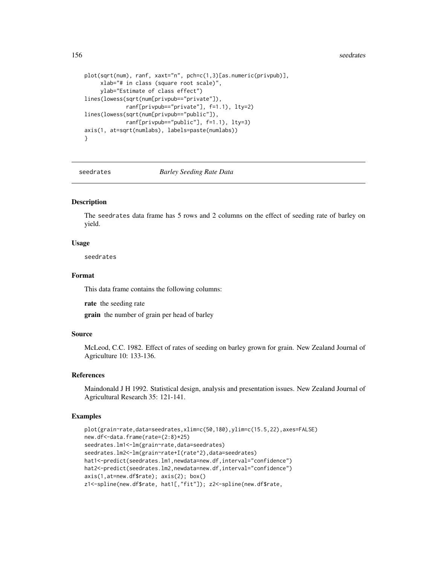#### 156 seedrates and the second second second second second second second second second second second second second second second second second second second second second second second second second second second second seco

```
plot(sqrt(num), ranf, xaxt="n", pch=c(1,3)[as.numeric(privpub)],
     xlab="# in class (square root scale)",
     ylab="Estimate of class effect")
lines(lowess(sqrt(num[privpub=="private"]),
             ranf[privpub=="private"], f=1.1), lty=2)
lines(lowess(sqrt(num[privpub=="public"]),
             ranf[privpub=="public"], f=1.1), lty=3)
axis(1, at=sqrt(numlabs), labels=paste(numlabs))
}
```
seedrates *Barley Seeding Rate Data*

#### Description

The seedrates data frame has 5 rows and 2 columns on the effect of seeding rate of barley on yield.

#### Usage

seedrates

# Format

This data frame contains the following columns:

rate the seeding rate

grain the number of grain per head of barley

# Source

McLeod, C.C. 1982. Effect of rates of seeding on barley grown for grain. New Zealand Journal of Agriculture 10: 133-136.

#### References

Maindonald J H 1992. Statistical design, analysis and presentation issues. New Zealand Journal of Agricultural Research 35: 121-141.

```
plot(grain~rate,data=seedrates,xlim=c(50,180),ylim=c(15.5,22),axes=FALSE)
new.df<-data.frame(rate=(2:8)*25)
seedrates.lm1<-lm(grain~rate,data=seedrates)
seedrates.lm2<-lm(grain~rate+I(rate^2),data=seedrates)
hat1<-predict(seedrates.lm1,newdata=new.df,interval="confidence")
hat2<-predict(seedrates.lm2,newdata=new.df,interval="confidence")
axis(1,at=new.df$rate); axis(2); box()
z1<-spline(new.df$rate, hat1[,"fit"]); z2<-spline(new.df$rate,
```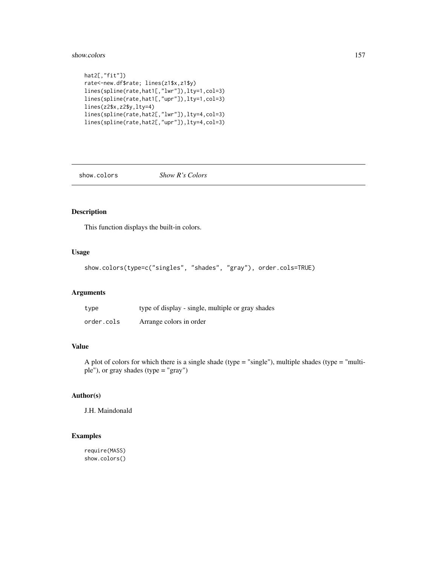#### show.colors 157

```
hat2[,"fit"])
rate<-new.df$rate; lines(z1$x,z1$y)
lines(spline(rate,hat1[,"lwr"]),lty=1,col=3)
lines(spline(rate,hat1[,"upr"]),lty=1,col=3)
lines(z2$x,z2$y,lty=4)
lines(spline(rate,hat2[,"lwr"]),lty=4,col=3)
lines(spline(rate,hat2[,"upr"]),lty=4,col=3)
```
show.colors *Show R's Colors*

# Description

This function displays the built-in colors.

#### Usage

```
show.colors(type=c("singles", "shades", "gray"), order.cols=TRUE)
```
#### Arguments

| type       | type of display - single, multiple or gray shades |
|------------|---------------------------------------------------|
| order.cols | Arrange colors in order                           |

# Value

A plot of colors for which there is a single shade (type = "single"), multiple shades (type = "multiple"), or gray shades (type = "gray")

# Author(s)

J.H. Maindonald

```
require(MASS)
show.colors()
```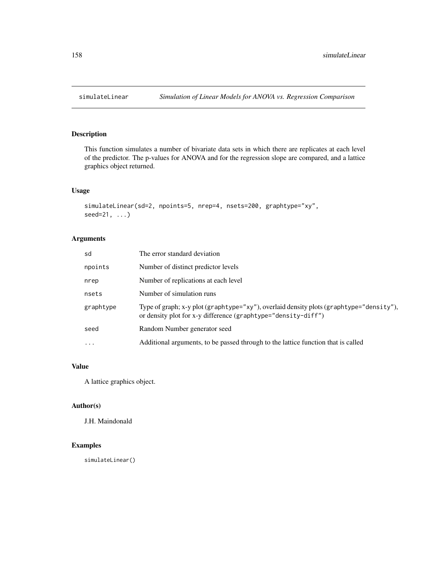This function simulates a number of bivariate data sets in which there are replicates at each level of the predictor. The p-values for ANOVA and for the regression slope are compared, and a lattice graphics object returned.

#### Usage

```
simulateLinear(sd=2, npoints=5, nrep=4, nsets=200, graphtype="xy",
seed=21, ...)
```
# Arguments

| sd        | The error standard deviation                                                                                                                             |
|-----------|----------------------------------------------------------------------------------------------------------------------------------------------------------|
| npoints   | Number of distinct predictor levels                                                                                                                      |
| nrep      | Number of replications at each level                                                                                                                     |
| nsets     | Number of simulation runs                                                                                                                                |
| graphtype | Type of graph; x-y plot (graphtype="xy"), overlaid density plots (graphtype="density"),<br>or density plot for x-y difference (graphtype="density-diff") |
| seed      | Random Number generator seed                                                                                                                             |
| $\cdots$  | Additional arguments, to be passed through to the lattice function that is called                                                                        |

# Value

A lattice graphics object.

# Author(s)

J.H. Maindonald

# Examples

simulateLinear()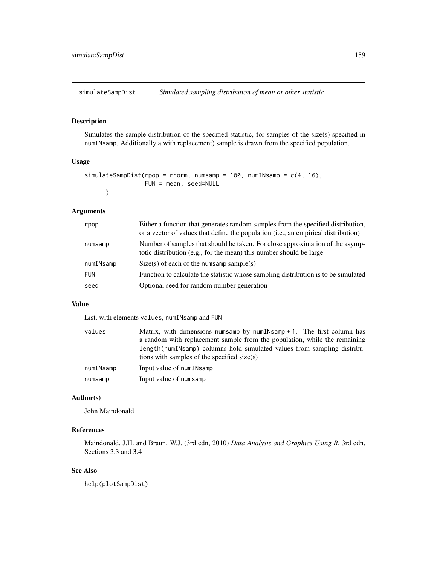<span id="page-158-0"></span>simulateSampDist *Simulated sampling distribution of mean or other statistic*

#### Description

Simulates the sample distribution of the specified statistic, for samples of the size(s) specified in numINsamp. Additionally a with replacement) sample is drawn from the specified population.

# Usage

```
simulateSampDist(rpop = rnorm, numsamp = 100, numINsamp = c(4, 16),
                 FUN = mean, seed=NULL
     )
```
#### Arguments

| rpop       | Either a function that generates random samples from the specified distribution,<br>or a vector of values that define the population (i.e., an empirical distribution) |
|------------|------------------------------------------------------------------------------------------------------------------------------------------------------------------------|
| numsamp    | Number of samples that should be taken. For close approximation of the asymp-<br>totic distribution (e.g., for the mean) this number should be large                   |
| numINsamp  | $Size(s)$ of each of the numsamp sample(s)                                                                                                                             |
| <b>FUN</b> | Function to calculate the statistic whose sampling distribution is to be simulated                                                                                     |
| seed       | Optional seed for random number generation                                                                                                                             |

#### Value

List, with elements values, numINsamp and FUN

| values    | Matrix, with dimensions numsamp by numINsamp $+1$ . The first column has  |
|-----------|---------------------------------------------------------------------------|
|           | a random with replacement sample from the population, while the remaining |
|           | length(numINsamp) columns hold simulated values from sampling distribu-   |
|           | tions with samples of the specified size(s)                               |
| numINsamp | Input value of numINsamp                                                  |
| numsamp   | Input value of numsamp                                                    |

# Author(s)

John Maindonald

# References

Maindonald, J.H. and Braun, W.J. (3rd edn, 2010) *Data Analysis and Graphics Using R*, 3rd edn, Sections 3.3 and 3.4

# See Also

help(plotSampDist)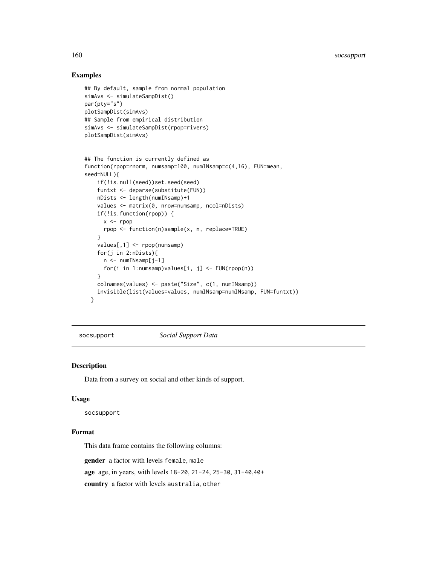# Examples

```
## By default, sample from normal population
simAvs <- simulateSampDist()
par(pty="s")
plotSampDist(simAvs)
## Sample from empirical distribution
simAvs <- simulateSampDist(rpop=rivers)
plotSampDist(simAvs)
```

```
## The function is currently defined as
function(rpop=rnorm, numsamp=100, numINsamp=c(4,16), FUN=mean,
seed=NULL){
   if(!is.null(seed))set.seed(seed)
   funtxt <- deparse(substitute(FUN))
   nDists <- length(numINsamp)+1
   values <- matrix(0, nrow=numsamp, ncol=nDists)
   if(!is.function(rpop)) {
     x < - rpop
     rpop <- function(n)sample(x, n, replace=TRUE)
    }
    values[,1] <- rpop(numsamp)
    for(j in 2:nDists){
     n <- numINsamp[j-1]
     for(i in 1:numsamp)values[i, j] <- FUN(rpop(n))
    }
   colnames(values) <- paste("Size", c(1, numINsamp))
   invisible(list(values=values, numINsamp=numINsamp, FUN=funtxt))
 }
```
socsupport *Social Support Data*

# Description

Data from a survey on social and other kinds of support.

#### Usage

socsupport

#### Format

This data frame contains the following columns:

gender a factor with levels female, male

age age, in years, with levels 18-20, 21-24, 25-30, 31-40,40+

country a factor with levels australia, other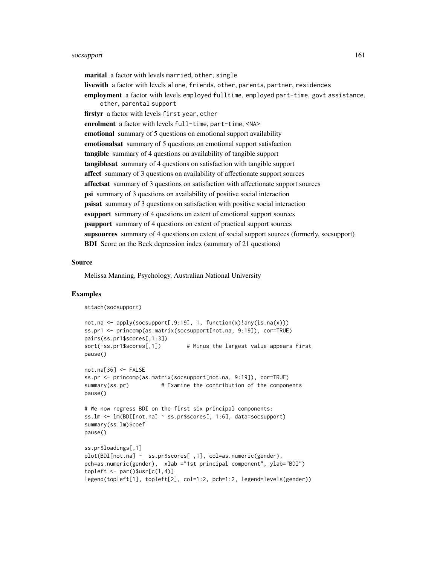#### socsupport that the contract of the contract of the contract of the contract of the contract of the contract of the contract of the contract of the contract of the contract of the contract of the contract of the contract o

marital a factor with levels married, other, single livewith a factor with levels alone, friends, other, parents, partner, residences employment a factor with levels employed fulltime, employed part-time, govt assistance, other, parental support firstyr a factor with levels first year, other enrolment a factor with levels full-time, part-time, <NA> emotional summary of 5 questions on emotional support availability emotionalsat summary of 5 questions on emotional support satisfaction tangible summary of 4 questions on availability of tangible support tangiblesat summary of 4 questions on satisfaction with tangible support affect summary of 3 questions on availability of affectionate support sources affectsat summary of 3 questions on satisfaction with affectionate support sources psi summary of 3 questions on availability of positive social interaction psisat summary of 3 questions on satisfaction with positive social interaction esupport summary of 4 questions on extent of emotional support sources psupport summary of 4 questions on extent of practical support sources supsources summary of 4 questions on extent of social support sources (formerly, socsupport) **BDI** Score on the Beck depression index (summary of 21 questions)

#### Source

Melissa Manning, Psychology, Australian National University

```
attach(socsupport)
```

```
not.na <- apply(socsupport[,9:19], 1, function(x)!any(is.na(x)))
ss.pr1 <- princomp(as.matrix(socsupport[not.na, 9:19]), cor=TRUE)
pairs(ss.pr1$scores[,1:3])
sort(-ss.pr1$scores[,1]) # Minus the largest value appears first
pause()
not.na[36] <- FALSE
ss.pr <- princomp(as.matrix(socsupport[not.na, 9:19]), cor=TRUE)
summary(ss.pr) # Examine the contribution of the components
pause()
# We now regress BDI on the first six principal components:
ss.lm <- lm(BDI[not.na] ~ ss.pr$scores[, 1:6], data=socsupport)
summary(ss.lm)$coef
pause()
ss.pr$loadings[,1]
plot(BDI[not.na] ~ ss.pr$scores[ ,1], col=as.numeric(gender),
pch=as.numeric(gender), xlab ="1st principal component", ylab="BDI")
topleft < -</math> par()<math>\$usr[c(1,4)]</math>legend(topleft[1], topleft[2], col=1:2, pch=1:2, legend=levels(gender))
```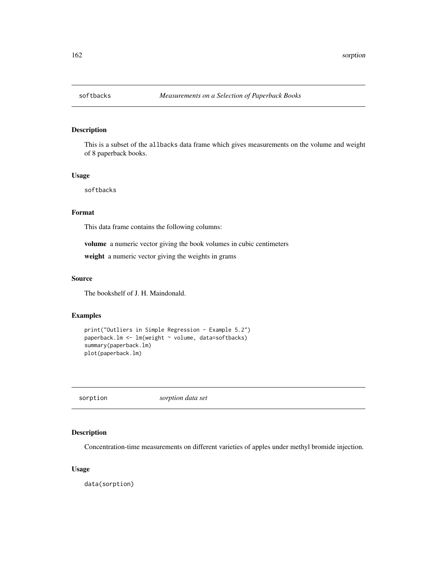This is a subset of the allbacks data frame which gives measurements on the volume and weight of 8 paperback books.

#### Usage

softbacks

# Format

This data frame contains the following columns:

volume a numeric vector giving the book volumes in cubic centimeters

weight a numeric vector giving the weights in grams

# Source

The bookshelf of J. H. Maindonald.

#### Examples

```
print("Outliers in Simple Regression - Example 5.2")
paperback.lm <- lm(weight ~ volume, data=softbacks)
summary(paperback.lm)
plot(paperback.lm)
```
sorption *sorption data set*

# Description

Concentration-time measurements on different varieties of apples under methyl bromide injection.

#### Usage

data(sorption)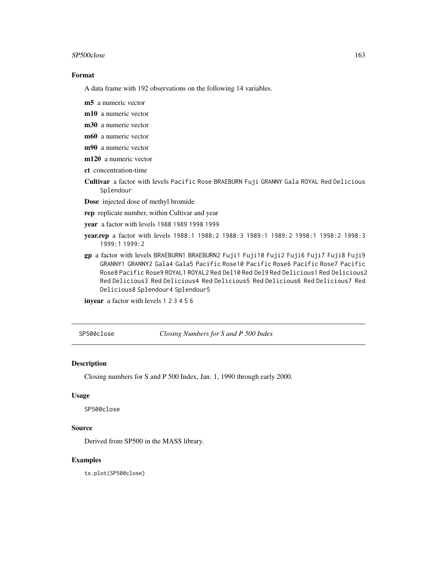#### $SP500 \text{close}$  163

# Format

A data frame with 192 observations on the following 14 variables.

m5 a numeric vector

m10 a numeric vector

m30 a numeric vector

m60 a numeric vector

m90 a numeric vector

m120 a numeric vector

ct concentration-time

Cultivar a factor with levels Pacific Rose BRAEBURN Fuji GRANNY Gala ROYAL Red Delicious Splendour

Dose injected dose of methyl bromide

rep replicate number, within Cultivar and year

year a factor with levels 1988 1989 1998 1999

- year.rep a factor with levels 1988:1 1988:2 1988:3 1989:1 1989:2 1998:1 1998:2 1998:3 1999:1 1999:2
- gp a factor with levels BRAEBURN1 BRAEBURN2 Fuji1 Fuji10 Fuji2 Fuji6 Fuji7 Fuji8 Fuji9 GRANNY1 GRANNY2 Gala4 Gala5 Pacific Rose10 Pacific Rose6 Pacific Rose7 Pacific Rose8 Pacific Rose9 ROYAL1 ROYAL2 Red Del10 Red Del9 Red Delicious1 Red Delicious2 Red Delicious3 Red Delicious4 Red Delicious5 Red Delicious6 Red Delicious7 Red Delicious8 Splendour4 Splendour5

inyear a factor with levels 1 2 3 4 5 6

SP500close *Closing Numbers for S and P 500 Index*

#### Description

Closing numbers for S and P 500 Index, Jan. 1, 1990 through early 2000.

#### Usage

SP500close

# Source

Derived from SP500 in the MASS library.

#### Examples

ts.plot(SP500close)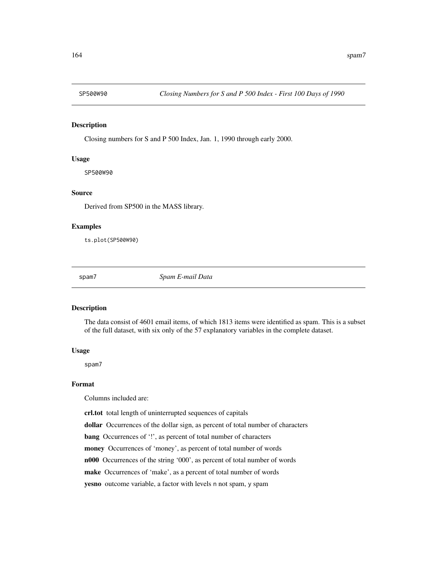Closing numbers for S and P 500 Index, Jan. 1, 1990 through early 2000.

#### Usage

SP500W90

# Source

Derived from SP500 in the MASS library.

### Examples

ts.plot(SP500W90)

spam7 *Spam E-mail Data*

#### Description

The data consist of 4601 email items, of which 1813 items were identified as spam. This is a subset of the full dataset, with six only of the 57 explanatory variables in the complete dataset.

#### Usage

spam7

#### Format

Columns included are:

crl.tot total length of uninterrupted sequences of capitals

dollar Occurrences of the dollar sign, as percent of total number of characters

bang Occurrences of '!', as percent of total number of characters

money Occurrences of 'money', as percent of total number of words

n000 Occurrences of the string '000', as percent of total number of words

make Occurrences of 'make', as a percent of total number of words

yesno outcome variable, a factor with levels n not spam, y spam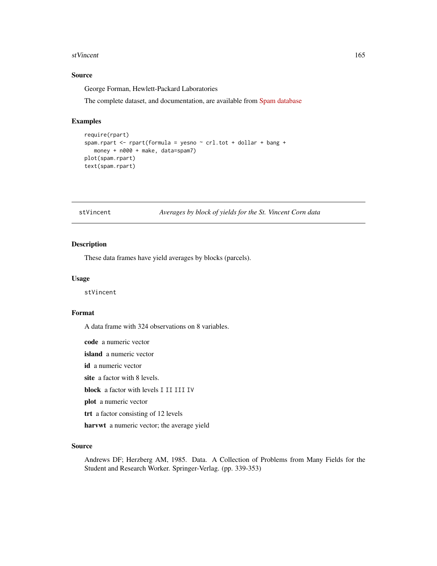#### stVincent 165

# Source

George Forman, Hewlett-Packard Laboratories

The complete dataset, and documentation, are available from [Spam database](https://archive.ics.uci.edu/ml/datasets/spambasehttps://archive.ics.uci.edu/ml/datasets/spambase/)

# Examples

```
require(rpart)
spam.rpart <- rpart(formula = yesno ~ crl.tot + dollar + bang +
  money + n000 + make, data=spam7)
plot(spam.rpart)
text(spam.rpart)
```
stVincent *Averages by block of yields for the St. Vincent Corn data*

# Description

These data frames have yield averages by blocks (parcels).

#### Usage

stVincent

#### Format

A data frame with 324 observations on 8 variables.

code a numeric vector

island a numeric vector

id a numeric vector

site a factor with 8 levels.

block a factor with levels I II III IV

plot a numeric vector

trt a factor consisting of 12 levels

harvwt a numeric vector; the average yield

#### Source

Andrews DF; Herzberg AM, 1985. Data. A Collection of Problems from Many Fields for the Student and Research Worker. Springer-Verlag. (pp. 339-353)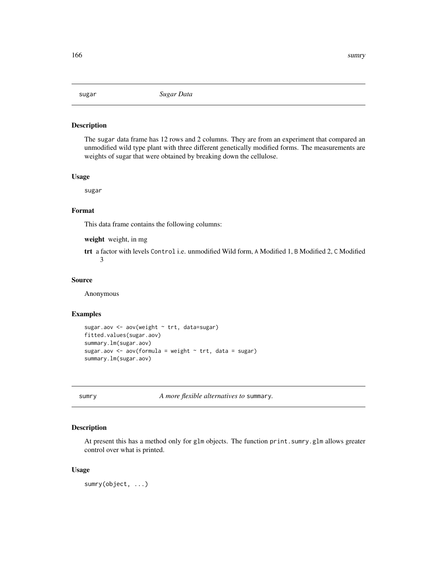The sugar data frame has 12 rows and 2 columns. They are from an experiment that compared an unmodified wild type plant with three different genetically modified forms. The measurements are weights of sugar that were obtained by breaking down the cellulose.

#### Usage

sugar

# Format

This data frame contains the following columns:

weight weight, in mg

trt a factor with levels Control i.e. unmodified Wild form, A Modified 1, B Modified 2, C Modified 3

#### Source

Anonymous

# Examples

```
sugar.aov <- aov(weight ~ trt, data=sugar)
fitted.values(sugar.aov)
summary.lm(sugar.aov)
sugar.aov <- aov(formula = weight \sim trt, data = sugar)
summary.lm(sugar.aov)
```
<span id="page-165-0"></span>sumry *A more flexible alternatives to* summary*.*

#### Description

At present this has a method only for glm objects. The function print.sumry.glm allows greater control over what is printed.

#### Usage

sumry(object, ...)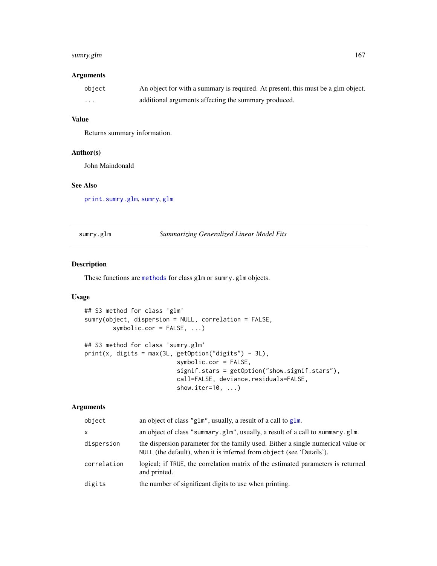# sumry.glm 167

# Arguments

| object | An object for with a summary is required. At present, this must be a glm object. |
|--------|----------------------------------------------------------------------------------|
| .      | additional arguments affecting the summary produced.                             |

# Value

Returns summary information.

# Author(s)

John Maindonald

# See Also

[print.sumry.glm](#page-166-0), [sumry](#page-165-0), [glm](#page-0-0)

sumry.glm *Summarizing Generalized Linear Model Fits*

# <span id="page-166-0"></span>Description

These functions are [methods](#page-0-0) for class glm or sumry.glm objects.

# Usage

```
## S3 method for class 'glm'
sumry(object, dispersion = NULL, correlation = FALSE,
        symbolic.cor = FALSE, ...)
## S3 method for class 'sumry.glm'
print(x, digits = max(3L, getOption("digits") - 3L),
                          symbolic.cor = FALSE,
                          signif.stars = getOption("show.signif.stars"),
                          call=FALSE, deviance.residuals=FALSE,
                          show.iter=10, ...)
```
# Arguments

| object       | an object of class "g1m", usually, a result of a call to g1m.                                                                                            |
|--------------|----------------------------------------------------------------------------------------------------------------------------------------------------------|
| $\mathsf{x}$ | an object of class "summary.glm", usually, a result of a call to summary.glm.                                                                            |
| dispersion   | the dispersion parameter for the family used. Either a single numerical value or<br>NULL (the default), when it is inferred from object (see 'Details'). |
| correlation  | logical; if TRUE, the correlation matrix of the estimated parameters is returned<br>and printed.                                                         |
| digits       | the number of significant digits to use when printing.                                                                                                   |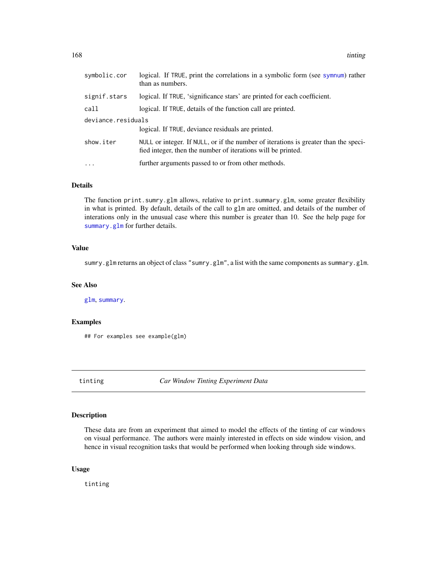168 tinting the state of the state of the state of the state of the state of the state of the state of the state of the state of the state of the state of the state of the state of the state of the state of the state of th

| symbolic.cor       | logical. If TRUE, print the correlations in a symbolic form (see sympum) rather<br>than as numbers.                                                 |
|--------------------|-----------------------------------------------------------------------------------------------------------------------------------------------------|
| signif.stars       | logical. If TRUE, 'significance stars' are printed for each coefficient.                                                                            |
| call               | logical. If TRUE, details of the function call are printed.                                                                                         |
| deviance.residuals |                                                                                                                                                     |
|                    | logical. If TRUE, deviance residuals are printed.                                                                                                   |
| show.iter          | NULL or integer. If NULL, or if the number of iterations is greater than the speci-<br>fied integer, then the number of iterations will be printed. |
| $\ddots$ .         | further arguments passed to or from other methods.                                                                                                  |

# Details

The function print.sumry.glm allows, relative to print.summary.glm, some greater flexibility in what is printed. By default, details of the call to glm are omitted, and details of the number of interations only in the unusual case where this number is greater than 10. See the help page for [summary.glm](#page-0-0) for further details.

# Value

sumry.glm returns an object of class "sumry.glm", a list with the same components as summary.glm.

#### See Also

[glm](#page-0-0), [summary](#page-0-0).

# Examples

## For examples see example(glm)

tinting *Car Window Tinting Experiment Data*

#### Description

These data are from an experiment that aimed to model the effects of the tinting of car windows on visual performance. The authors were mainly interested in effects on side window vision, and hence in visual recognition tasks that would be performed when looking through side windows.

#### Usage

tinting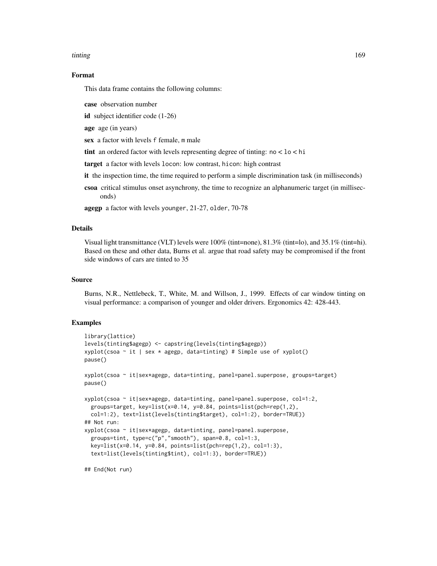#### tinting the contract of the contract of the contract of the contract of the contract of the contract of the contract of the contract of the contract of the contract of the contract of the contract of the contract of the co

#### Format

This data frame contains the following columns:

case observation number

id subject identifier code (1-26)

age age (in years)

sex a factor with levels f female, m male

tint an ordered factor with levels representing degree of tinting: no < lo < hi

target a factor with levels locon: low contrast, hicon: high contrast

it the inspection time, the time required to perform a simple discrimination task (in milliseconds)

csoa critical stimulus onset asynchrony, the time to recognize an alphanumeric target (in milliseconds)

agegp a factor with levels younger, 21-27, older, 70-78

# Details

Visual light transmittance (VLT) levels were 100% (tint=none), 81.3% (tint=lo), and 35.1% (tint=hi). Based on these and other data, Burns et al. argue that road safety may be compromised if the front side windows of cars are tinted to 35

#### Source

Burns, N.R., Nettlebeck, T., White, M. and Willson, J., 1999. Effects of car window tinting on visual performance: a comparison of younger and older drivers. Ergonomics 42: 428-443.

# Examples

```
library(lattice)
levels(tinting$agegp) <- capstring(levels(tinting$agegp))
xyplot(csoa \sim it | sex * agegp, data=tinting) # Simple use of xyplot()
pause()
xyplot(csoa ~ it|sex*agegp, data=tinting, panel=panel.superpose, groups=target)
pause()
xyplot(csoa ~ it|sex*agegp, data=tinting, panel=panel.superpose, col=1:2,
 groups=target, key=list(x=0.14, y=0.84, points=list(pch=rep(1,2),
 col=1:2), text=list(levels(tinting$target), col=1:2), border=TRUE))
## Not run:
xyplot(csoa ~ it|sex*agegp, data=tinting, panel=panel.superpose,
 groups=tint, type=c("p","smooth"), span=0.8, col=1:3,
 key=list(x=0.14, y=0.84, points=list(pch=rep(1,2), col=1:3),
 text=list(levels(tinting$tint), col=1:3), border=TRUE))
```
## End(Not run)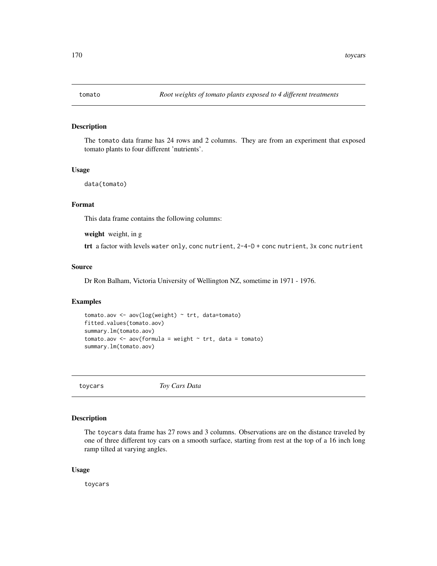The tomato data frame has 24 rows and 2 columns. They are from an experiment that exposed tomato plants to four different 'nutrients'.

#### Usage

data(tomato)

# Format

This data frame contains the following columns:

weight weight, in g

trt a factor with levels water only, conc nutrient, 2-4-D + conc nutrient, 3x conc nutrient

#### Source

Dr Ron Balham, Victoria University of Wellington NZ, sometime in 1971 - 1976.

#### Examples

```
tomato.aov <- aov(log(weight) ~ trt, data=tomato)
fitted.values(tomato.aov)
summary.lm(tomato.aov)
tomato.aov <- aov(formula = weight \sim trt, data = tomato)
summary.lm(tomato.aov)
```
toycars *Toy Cars Data*

# Description

The toycars data frame has 27 rows and 3 columns. Observations are on the distance traveled by one of three different toy cars on a smooth surface, starting from rest at the top of a 16 inch long ramp tilted at varying angles.

#### Usage

toycars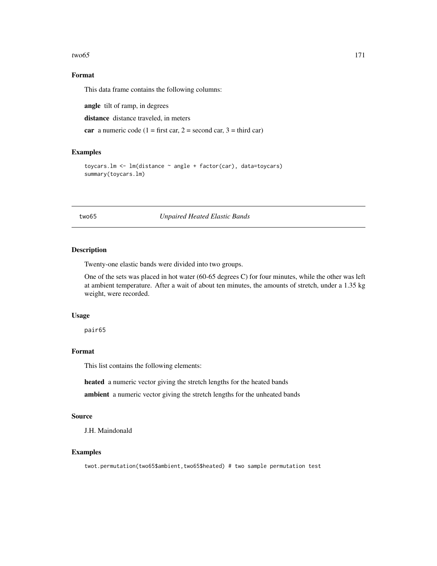#### $two65$  171

# Format

This data frame contains the following columns:

angle tilt of ramp, in degrees

distance distance traveled, in meters

car a numeric code (1 = first car, 2 = second car, 3 = third car)

#### Examples

```
toycars.lm <- lm(distance ~ angle + factor(car), data=toycars)
summary(toycars.lm)
```
two65 *Unpaired Heated Elastic Bands*

#### Description

Twenty-one elastic bands were divided into two groups.

One of the sets was placed in hot water (60-65 degrees C) for four minutes, while the other was left at ambient temperature. After a wait of about ten minutes, the amounts of stretch, under a 1.35 kg weight, were recorded.

# Usage

pair65

# Format

This list contains the following elements:

heated a numeric vector giving the stretch lengths for the heated bands

ambient a numeric vector giving the stretch lengths for the unheated bands

#### Source

J.H. Maindonald

#### Examples

twot.permutation(two65\$ambient,two65\$heated) # two sample permutation test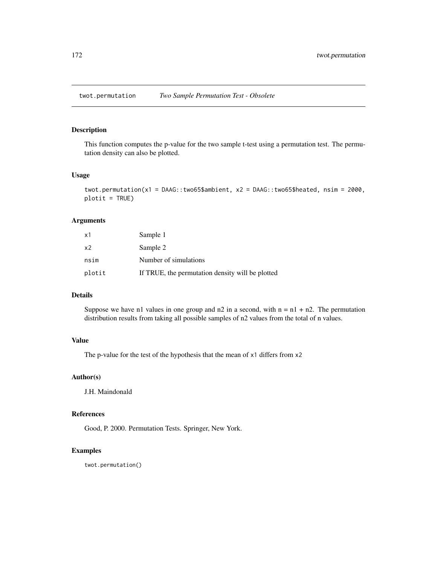This function computes the p-value for the two sample t-test using a permutation test. The permutation density can also be plotted.

#### Usage

```
twot.permutation(x1 = DAAG::two65$ambient, x2 = DAAG::two65$heated, nsim = 2000,
plotit = TRUE)
```
# Arguments

| x1             | Sample 1                                         |
|----------------|--------------------------------------------------|
| x <sub>2</sub> | Sample 2                                         |
| nsim           | Number of simulations                            |
| plotit         | If TRUE, the permutation density will be plotted |

# Details

Suppose we have n1 values in one group and  $n^2$  in a second, with  $n = n^1 + n^2$ . The permutation distribution results from taking all possible samples of n2 values from the total of n values.

# Value

The p-value for the test of the hypothesis that the mean of x1 differs from x2

# Author(s)

J.H. Maindonald

# References

Good, P. 2000. Permutation Tests. Springer, New York.

#### Examples

twot.permutation()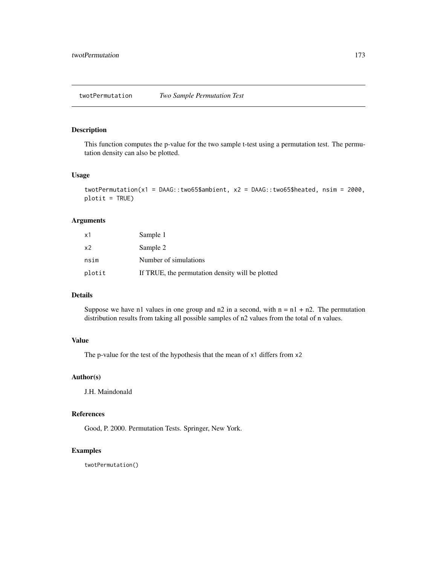This function computes the p-value for the two sample t-test using a permutation test. The permutation density can also be plotted.

#### Usage

```
twotPermutation(x1 = DAAG::two65$ambient, x2 = DAAG::two65$heated, nsim = 2000,
plotit = TRUE)
```
# Arguments

| x1             | Sample 1                                         |
|----------------|--------------------------------------------------|
| x <sub>2</sub> | Sample 2                                         |
| nsim           | Number of simulations                            |
| plotit         | If TRUE, the permutation density will be plotted |

# Details

Suppose we have n1 values in one group and  $n^2$  in a second, with  $n = n^1 + n^2$ . The permutation distribution results from taking all possible samples of n2 values from the total of n values.

# Value

The p-value for the test of the hypothesis that the mean of x1 differs from x2

# Author(s)

J.H. Maindonald

# References

Good, P. 2000. Permutation Tests. Springer, New York.

#### Examples

twotPermutation()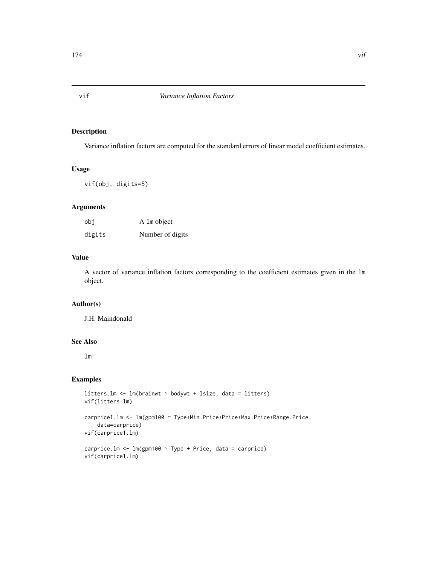Variance inflation factors are computed for the standard errors of linear model coefficient estimates.

# Usage

vif(obj, digits=5)

# Arguments

| obi    | A 1m object      |
|--------|------------------|
| digits | Number of digits |

# Value

A vector of variance inflation factors corresponding to the coefficient estimates given in the lm object.

# Author(s)

J.H. Maindonald

# See Also

lm

```
litters.lm <- lm(brainwt ~ bodywt + lsize, data = litters)
vif(litters.lm)
carprice1.lm <- lm(gpm100 ~ Type+Min.Price+Price+Max.Price+Range.Price,
    data=carprice)
vif(carprice1.lm)
carprice.lm <- lm(gpm100 ~ Type + Price, data = carprice)
vif(carprice1.lm)
```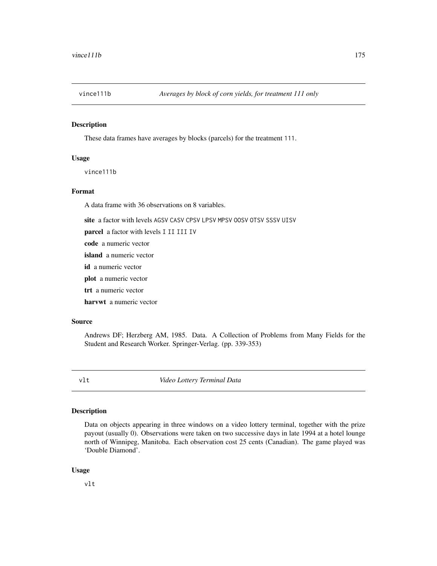These data frames have averages by blocks (parcels) for the treatment 111.

#### Usage

vince111b

#### Format

A data frame with 36 observations on 8 variables.

site a factor with levels AGSV CASV CPSV LPSV MPSV OOSV OTSV SSSV UISV

parcel a factor with levels I II III IV

code a numeric vector

island a numeric vector

id a numeric vector

plot a numeric vector

trt a numeric vector

harvwt a numeric vector

# Source

Andrews DF; Herzberg AM, 1985. Data. A Collection of Problems from Many Fields for the Student and Research Worker. Springer-Verlag. (pp. 339-353)

vlt *Video Lottery Terminal Data*

# Description

Data on objects appearing in three windows on a video lottery terminal, together with the prize payout (usually 0). Observations were taken on two successive days in late 1994 at a hotel lounge north of Winnipeg, Manitoba. Each observation cost 25 cents (Canadian). The game played was 'Double Diamond'.

#### Usage

vlt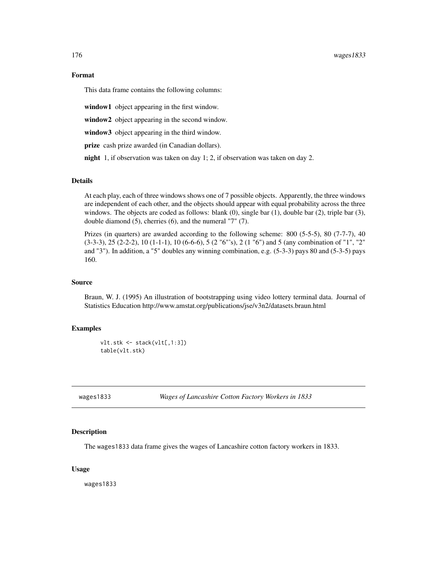This data frame contains the following columns:

window1 object appearing in the first window.

window2 object appearing in the second window.

window3 object appearing in the third window.

prize cash prize awarded (in Canadian dollars).

night 1, if observation was taken on day 1; 2, if observation was taken on day 2.

#### Details

At each play, each of three windows shows one of 7 possible objects. Apparently, the three windows are independent of each other, and the objects should appear with equal probability across the three windows. The objects are coded as follows: blank (0), single bar (1), double bar (2), triple bar (3), double diamond (5), cherries (6), and the numeral "7" (7).

Prizes (in quarters) are awarded according to the following scheme: 800 (5-5-5), 80 (7-7-7), 40  $(3-3-3)$ ,  $25$   $(2-2-2)$ ,  $10$   $(1-1-1)$ ,  $10$   $(6-6-6)$ ,  $5$   $(2\degree{6\degree{}}\degree{5})$ ,  $2$   $(1\degree{6\degree{}}\degree{5})$  and  $5$  (any combination of  $\degree{1\degree{}}\degree{1\degree{}}$ ) and "3"). In addition, a "5" doubles any winning combination, e.g. (5-3-3) pays 80 and (5-3-5) pays 160.

#### Source

Braun, W. J. (1995) An illustration of bootstrapping using video lottery terminal data. Journal of Statistics Education http://www.amstat.org/publications/jse/v3n2/datasets.braun.html

#### Examples

```
vlt.stk <- stack(vlt[,1:3])
table(vlt.stk)
```
wages1833 *Wages of Lancashire Cotton Factory Workers in 1833*

#### Description

The wages1833 data frame gives the wages of Lancashire cotton factory workers in 1833.

#### Usage

wages1833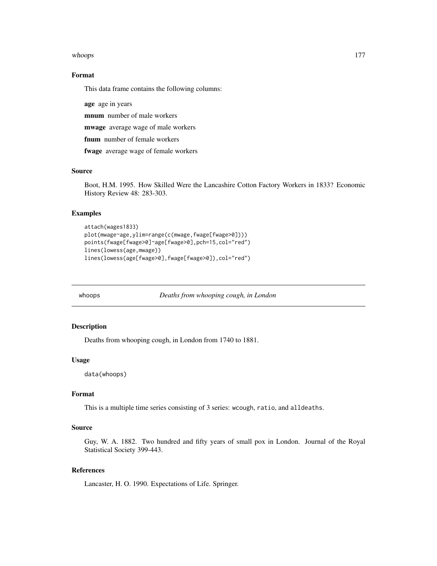#### whoops that the contract of the contract of the contract of the contract of the contract of the contract of the contract of the contract of the contract of the contract of the contract of the contract of the contract of th

# Format

This data frame contains the following columns:

age age in years

mnum number of male workers

mwage average wage of male workers

fnum number of female workers

fwage average wage of female workers

#### Source

Boot, H.M. 1995. How Skilled Were the Lancashire Cotton Factory Workers in 1833? Economic History Review 48: 283-303.

### Examples

```
attach(wages1833)
plot(mwage~age,ylim=range(c(mwage,fwage[fwage>0])))
points(fwage[fwage>0]~age[fwage>0],pch=15,col="red")
lines(lowess(age,mwage))
lines(lowess(age[fwage>0],fwage[fwage>0]),col="red")
```
whoops *Deaths from whooping cough, in London*

# Description

Deaths from whooping cough, in London from 1740 to 1881.

#### Usage

data(whoops)

# Format

This is a multiple time series consisting of 3 series: wcough, ratio, and alldeaths.

# Source

Guy, W. A. 1882. Two hundred and fifty years of small pox in London. Journal of the Royal Statistical Society 399-443.

#### References

Lancaster, H. O. 1990. Expectations of Life. Springer.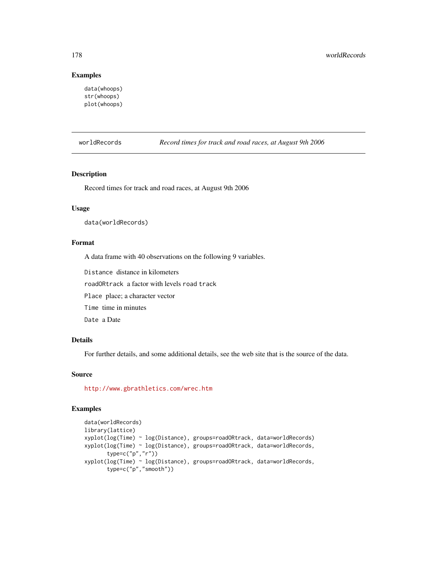# Examples

```
data(whoops)
str(whoops)
plot(whoops)
```
worldRecords *Record times for track and road races, at August 9th 2006*

# Description

Record times for track and road races, at August 9th 2006

# Usage

data(worldRecords)

#### Format

A data frame with 40 observations on the following 9 variables.

Distance distance in kilometers

roadORtrack a factor with levels road track

Place place; a character vector

Time time in minutes

Date a Date

# Details

For further details, and some additional details, see the web site that is the source of the data.

# Source

<http://www.gbrathletics.com/wrec.htm>

```
data(worldRecords)
library(lattice)
xyplot(log(Time) ~ log(Distance), groups=roadORtrack, data=worldRecords)
xyplot(log(Time) ~ log(Distance), groups=roadORtrack, data=worldRecords,
      type=c("p","r"))
xyplot(log(Time) ~ log(Distance), groups=roadORtrack, data=worldRecords,
      type=c("p","smooth"))
```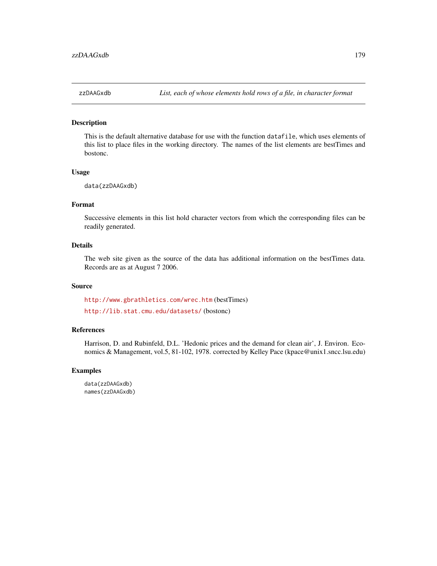This is the default alternative database for use with the function datafile, which uses elements of this list to place files in the working directory. The names of the list elements are bestTimes and bostonc.

#### Usage

```
data(zzDAAGxdb)
```
# Format

Successive elements in this list hold character vectors from which the corresponding files can be readily generated.

#### Details

The web site given as the source of the data has additional information on the bestTimes data. Records are as at August 7 2006.

#### Source

<http://www.gbrathletics.com/wrec.htm> (bestTimes)

<http://lib.stat.cmu.edu/datasets/> (bostonc)

# References

Harrison, D. and Rubinfeld, D.L. 'Hedonic prices and the demand for clean air', J. Environ. Economics & Management, vol.5, 81-102, 1978. corrected by Kelley Pace (kpace@unix1.sncc.lsu.edu)

#### Examples

data(zzDAAGxdb) names(zzDAAGxdb)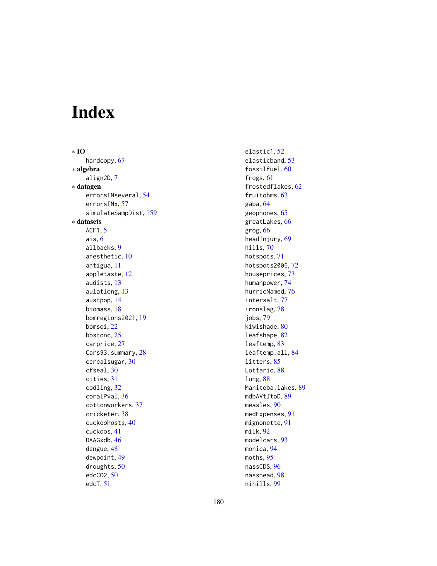# Index

∗ IO hardcopy, [67](#page-66-0) ∗ algebra align2D, [7](#page-6-0) ∗ datagen errorsINseveral, [54](#page-53-0) errorsINx, [57](#page-56-0) simulateSampDist, [159](#page-158-0) ∗ datasets ACF1, [5](#page-4-0) ais, [6](#page-5-0) allbacks, [9](#page-8-0) anesthetic, [10](#page-9-0) antigua, [11](#page-10-0) appletaste, [12](#page-11-0) audists, [13](#page-12-0) aulatlong, [13](#page-12-0) austpop, [14](#page-13-0) biomass, [18](#page-17-0) bomregions2021, [19](#page-18-0) bomsoi, [22](#page-21-0) bostonc, [25](#page-24-0) carprice, [27](#page-26-0) Cars93.summary, [28](#page-27-0) cerealsugar, [30](#page-29-0) cfseal, [30](#page-29-0) cities, [31](#page-30-0) codling, [32](#page-31-0) coralPval, [36](#page-35-0) cottonworkers, [37](#page-36-0) cricketer, [38](#page-37-0) cuckoohosts, [40](#page-39-0) cuckoos, [41](#page-40-0) DAAGxdb, [46](#page-45-0) dengue, [48](#page-47-0) dewpoint, [49](#page-48-0) droughts, [50](#page-49-0) edcCO2, [50](#page-49-0) edcT, [51](#page-50-0)

elastic1, [52](#page-51-0) elasticband, [53](#page-52-0) fossilfuel, [60](#page-59-0) frogs, [61](#page-60-0) frostedflakes, [62](#page-61-0) fruitohms, [63](#page-62-0) gaba, [64](#page-63-0) geophones, [65](#page-64-0) greatLakes, [66](#page-65-0) grog, [66](#page-65-0) headInjury, [69](#page-68-0) hills, [70](#page-69-0) hotspots, [71](#page-70-0) hotspots2006, [72](#page-71-0) houseprices, [73](#page-72-0) humanpower, [74](#page-73-0) hurricNamed, [76](#page-75-0) intersalt, [77](#page-76-0) ironslag, [78](#page-77-0) jobs, [79](#page-78-0) kiwishade, [80](#page-79-0) leafshape, [82](#page-81-0) leaftemp, [83](#page-82-0) leaftemp.all, [84](#page-83-0) litters, [85](#page-84-0) Lottario, [88](#page-87-0) lung, [88](#page-87-0) Manitoba.lakes, [89](#page-88-0) mdbAVtJtoD, [89](#page-88-0) measles, [90](#page-89-0) medExpenses, [91](#page-90-0) mignonette, [91](#page-90-0) milk, [92](#page-91-0) modelcars, [93](#page-92-0) monica, [94](#page-93-0) moths, [95](#page-94-0) nassCDS, [96](#page-95-0) nasshead, [98](#page-97-0) nihills, [99](#page-98-0)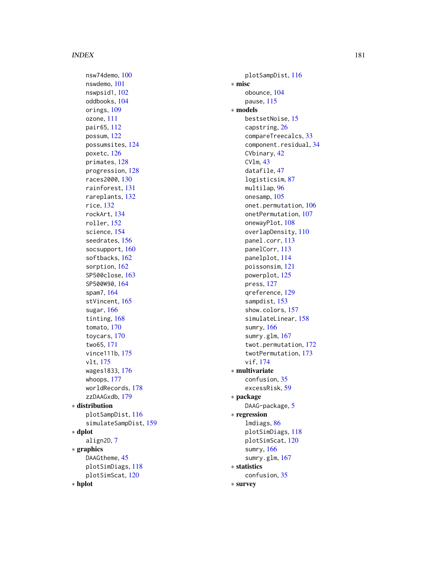nsw74demo , [100](#page-99-0) nswdemo , [101](#page-100-0) nswpsid1 , [102](#page-101-0) oddbooks , [104](#page-103-0) orings, [109](#page-108-0) ozone , [111](#page-110-0) pair65 , [112](#page-111-0) possum , [122](#page-121-0) possumsites , [124](#page-123-0) poxetc , [126](#page-125-0) primates , [128](#page-127-0) progression , [128](#page-127-0) races2000 , [130](#page-129-0) rainforest , [131](#page-130-0) rareplants , [132](#page-131-0) rice , [132](#page-131-0) rockArt , [134](#page-133-0) roller , [152](#page-151-0) science , [154](#page-153-0) seedrates , [156](#page-155-0) socsupport, [160](#page-159-0) softbacks , [162](#page-161-0) sorption , [162](#page-161-0) SP500close , [163](#page-162-0) SP500W90 , [164](#page-163-0) spam7 , [164](#page-163-0) stVincent, [165](#page-164-0) sugar , [166](#page-165-0) tinting , [168](#page-167-0) tomato , [170](#page-169-0) toycars , [170](#page-169-0) two65 , [171](#page-170-0) vince111b , [175](#page-174-0) vlt , [175](#page-174-0) wages1833 , [176](#page-175-0) whoops , [177](#page-176-0) worldRecords , [178](#page-177-0) zzDAAGxdb , [179](#page-178-0) ∗ distribution plotSampDist , [116](#page-115-0) simulateSampDist , [159](#page-158-0) ∗ dplot align2D , [7](#page-6-0) ∗ graphics DAAGtheme, [45](#page-44-0) plotSimDiags , [118](#page-117-0) plotSimScat , [120](#page-119-0) ∗ hplot

plotSampDist , [116](#page-115-0) ∗ misc obounce , [104](#page-103-0) pause , [115](#page-114-0) ∗ models bestsetNoise , [15](#page-14-0) capstring , [26](#page-25-0) compareTreecalcs , [33](#page-32-0) component.residual, [34](#page-33-0) CVbinary , [42](#page-41-0) CVlm , [43](#page-42-0) datafile, [47](#page-46-0) logisticsim , [87](#page-86-0) multilap, [96](#page-95-0) onesamp , [105](#page-104-0) onet.permutation , [106](#page-105-0) onetPermutation , [107](#page-106-0) onewayPlot, [108](#page-107-0) overlapDensity , [110](#page-109-0) panel.corr , [113](#page-112-0) panelCorr , [113](#page-112-0) panelplot , [114](#page-113-0) poissonsim , [121](#page-120-0) powerplot , [125](#page-124-0) press , [127](#page-126-0) qreference , [129](#page-128-0) sampdist, [153](#page-152-0) show.colors, [157](#page-156-0) simulateLinear, [158](#page-157-0) sumry , [166](#page-165-0) sumry.glm , [167](#page-166-0) twot.permutation , [172](#page-171-0) twotPermutation , [173](#page-172-0) vif , [174](#page-173-0) ∗ multivariate confusion , [35](#page-34-0) excessRisk, <mark>[59](#page-58-0)</mark> ∗ package DAAG-package, <mark>[5](#page-4-0)</mark> ∗ regression lmdiags , [86](#page-85-0) plotSimDiags , [118](#page-117-0) plotSimScat , [120](#page-119-0) sumry , [166](#page-165-0) sumry.glm , [167](#page-166-0) ∗ statistics confusion , [35](#page-34-0) ∗ survey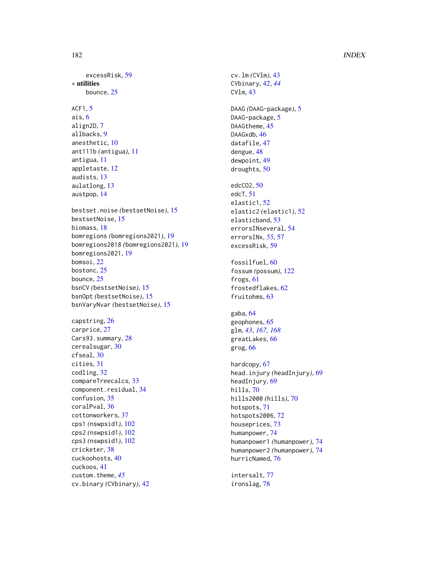## 182 INDEX

excessRisk, [59](#page-58-0) ∗ utilities bounce, [25](#page-24-0) ACF1, [5](#page-4-0) ais, [6](#page-5-0) align2D, [7](#page-6-0) allbacks, [9](#page-8-0) anesthetic, [10](#page-9-0) ant111b *(*antigua*)*, [11](#page-10-0) antigua, [11](#page-10-0) appletaste, [12](#page-11-0) audists, [13](#page-12-0) aulatlong, [13](#page-12-0) austpop, [14](#page-13-0) bestset.noise *(*bestsetNoise*)*, [15](#page-14-0) bestsetNoise, [15](#page-14-0) biomass, [18](#page-17-0) bomregions *(*bomregions2021*)*, [19](#page-18-0) bomregions2018 *(*bomregions2021*)*, [19](#page-18-0) bomregions2021, [19](#page-18-0) bomsoi, [22](#page-21-0) bostonc, [25](#page-24-0) bounce, [25](#page-24-0) bsnCV *(*bestsetNoise*)*, [15](#page-14-0) bsnOpt *(*bestsetNoise*)*, [15](#page-14-0) bsnVaryNvar *(*bestsetNoise*)*, [15](#page-14-0) capstring, [26](#page-25-0) carprice, [27](#page-26-0) Cars93.summary, [28](#page-27-0) cerealsugar, [30](#page-29-0) cfseal, [30](#page-29-0) cities, [31](#page-30-0) codling, [32](#page-31-0) compareTreecalcs, [33](#page-32-0) component.residual, [34](#page-33-0) confusion, [35](#page-34-0) coralPval, [36](#page-35-0) cottonworkers, [37](#page-36-0) cps1 *(*nswpsid1*)*, [102](#page-101-0) cps2 *(*nswpsid1*)*, [102](#page-101-0) cps3 *(*nswpsid1*)*, [102](#page-101-0) cricketer, [38](#page-37-0) cuckoohosts, [40](#page-39-0) cuckoos, [41](#page-40-0) custom.theme, *[45](#page-44-0)* cv.binary *(*CVbinary*)*, [42](#page-41-0)

cv.lm *(*CVlm*)*, [43](#page-42-0) CVbinary, [42,](#page-41-0) *[44](#page-43-0)* CVlm, [43](#page-42-0) DAAG *(*DAAG-package*)*, [5](#page-4-0) DAAG-package, [5](#page-4-0) DAAGtheme, [45](#page-44-0) DAAGxdb, [46](#page-45-0) datafile, [47](#page-46-0) dengue, [48](#page-47-0) dewpoint, [49](#page-48-0) droughts, [50](#page-49-0) edcCO2, [50](#page-49-0) edcT, [51](#page-50-0) elastic1, [52](#page-51-0) elastic2 *(*elastic1*)*, [52](#page-51-0) elasticband, [53](#page-52-0) errorsINseveral, [54](#page-53-0) errorsINx, *[55](#page-54-0)*, [57](#page-56-0) excessRisk, [59](#page-58-0) fossilfuel, [60](#page-59-0) fossum *(*possum*)*, [122](#page-121-0) frogs, [61](#page-60-0) frostedflakes, [62](#page-61-0) fruitohms, [63](#page-62-0) gaba, [64](#page-63-0) geophones, [65](#page-64-0) glm, *[43](#page-42-0)*, *[167,](#page-166-0) [168](#page-167-0)* greatLakes, [66](#page-65-0) grog, [66](#page-65-0) hardcopy, [67](#page-66-0) head.injury *(*headInjury*)*, [69](#page-68-0) headInjury, [69](#page-68-0) hills, [70](#page-69-0) hills2000 *(*hills*)*, [70](#page-69-0) hotspots, [71](#page-70-0) hotspots2006, [72](#page-71-0) houseprices, [73](#page-72-0) humanpower, [74](#page-73-0) humanpower1 *(*humanpower*)*, [74](#page-73-0) humanpower2 *(*humanpower*)*, [74](#page-73-0) hurricNamed, [76](#page-75-0) intersalt, [77](#page-76-0)

ironslag, [78](#page-77-0)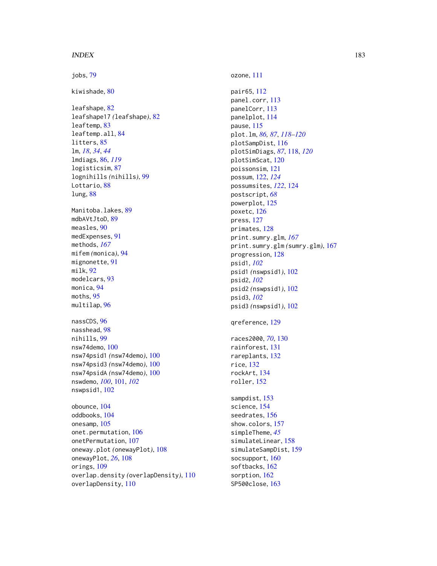## $I\ N$ DEX 183

jobs, [79](#page-78-0) kiwishade, [80](#page-79-0) leafshape, [82](#page-81-0) leafshape17 *(*leafshape*)*, [82](#page-81-0) leaftemp, [83](#page-82-0) leaftemp.all, [84](#page-83-0) litters, [85](#page-84-0) lm, *[18](#page-17-0)*, *[34](#page-33-0)*, *[44](#page-43-0)* lmdiags, [86,](#page-85-0) *[119](#page-118-0)* logisticsim, [87](#page-86-0) lognihills *(*nihills*)*, [99](#page-98-0) Lottario, [88](#page-87-0) lung, [88](#page-87-0) Manitoba.lakes, [89](#page-88-0) mdbAVtJtoD, [89](#page-88-0) measles, [90](#page-89-0) medExpenses, [91](#page-90-0) methods, *[167](#page-166-0)* mifem *(*monica*)*, [94](#page-93-0) mignonette, [91](#page-90-0) milk, [92](#page-91-0) modelcars, [93](#page-92-0) monica, [94](#page-93-0) moths, [95](#page-94-0) multilap, [96](#page-95-0) nassCDS, [96](#page-95-0) nasshead, [98](#page-97-0) nihills, [99](#page-98-0) nsw74demo, [100](#page-99-0) nsw74psid1 *(*nsw74demo*)*, [100](#page-99-0) nsw74psid3 *(*nsw74demo*)*, [100](#page-99-0) nsw74psidA *(*nsw74demo*)*, [100](#page-99-0) nswdemo, *[100](#page-99-0)*, [101,](#page-100-0) *[102](#page-101-0)* nswpsid1, [102](#page-101-0) obounce, [104](#page-103-0) oddbooks, [104](#page-103-0) onesamp, [105](#page-104-0) onet.permutation, [106](#page-105-0) onetPermutation, [107](#page-106-0) oneway.plot *(*onewayPlot*)*, [108](#page-107-0) onewayPlot, *[26](#page-25-0)*, [108](#page-107-0) orings, [109](#page-108-0) overlap.density *(*overlapDensity*)*, [110](#page-109-0) overlapDensity, [110](#page-109-0)

ozone, [111](#page-110-0) pair65, [112](#page-111-0) panel.corr, [113](#page-112-0) panelCorr, [113](#page-112-0) panelplot, [114](#page-113-0) pause, [115](#page-114-0) plot.lm, *[86,](#page-85-0) [87](#page-86-0)*, *[118](#page-117-0)[–120](#page-119-0)* plotSampDist, [116](#page-115-0) plotSimDiags, *[87](#page-86-0)*, [118,](#page-117-0) *[120](#page-119-0)* plotSimScat, [120](#page-119-0) poissonsim, [121](#page-120-0) possum, [122,](#page-121-0) *[124](#page-123-0)* possumsites, *[122](#page-121-0)*, [124](#page-123-0) postscript, *[68](#page-67-0)* powerplot, [125](#page-124-0) poxetc, [126](#page-125-0) press, [127](#page-126-0) primates, [128](#page-127-0) print.sumry.glm, *[167](#page-166-0)* print.sumry.glm *(*sumry.glm*)*, [167](#page-166-0) progression, [128](#page-127-0) psid1, *[102](#page-101-0)* psid1 *(*nswpsid1*)*, [102](#page-101-0) psid2, *[102](#page-101-0)* psid2 *(*nswpsid1*)*, [102](#page-101-0) psid3, *[102](#page-101-0)* psid3 *(*nswpsid1*)*, [102](#page-101-0) qreference, [129](#page-128-0)

races2000, *[70](#page-69-0)*, [130](#page-129-0) rainforest, [131](#page-130-0) rareplants, [132](#page-131-0) rice, [132](#page-131-0) rockArt, [134](#page-133-0) roller, [152](#page-151-0)

sampdist, [153](#page-152-0) science, [154](#page-153-0) seedrates, [156](#page-155-0) show.colors, [157](#page-156-0) simpleTheme, *[45](#page-44-0)* simulateLinear, [158](#page-157-0) simulateSampDist, [159](#page-158-0) socsupport, [160](#page-159-0) softbacks, [162](#page-161-0) sorption, [162](#page-161-0) SP500close, [163](#page-162-0)